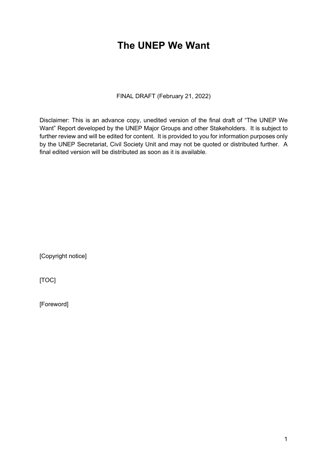## **The UNEP We Want**

FINAL DRAFT (February 21, 2022)

Disclaimer: This is an advance copy, unedited version of the final draft of "The UNEP We Want" Report developed by the UNEP Major Groups and other Stakeholders. It is subject to further review and will be edited for content. It is provided to you for information purposes only by the UNEP Secretariat, Civil Society Unit and may not be quoted or distributed further. A final edited version will be distributed as soon as it is available.

[Copyright notice]

[TOC]

[Foreword]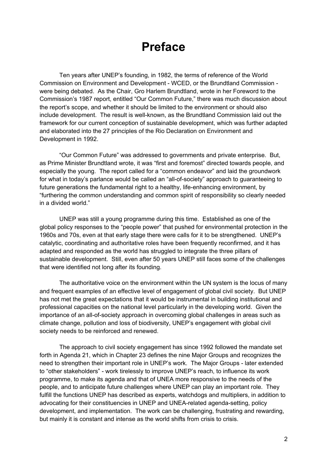# **Preface**

Ten years after UNEP's founding, in 1982, the terms of reference of the World Commission on Environment and Development - WCED, or the Brundtland Commission were being debated. As the Chair, Gro Harlem Brundtland, wrote in her Foreword to the Commission's 1987 report, entitled "Our Common Future," there was much discussion about the report's scope, and whether it should be limited to the environment or should also include development. The result is well-known, as the Brundtland Commission laid out the framework for our current conception of sustainable development, which was further adapted and elaborated into the 27 principles of the Rio Declaration on Environment and Development in 1992.

"Our Common Future" was addressed to governments and private enterprise. But, as Prime Minister Brundtland wrote, it was "first and foremost" directed towards people, and especially the young. The report called for a "common endeavor" and laid the groundwork for what in today's parlance would be called an "all-of-society" approach to guaranteeing to future generations the fundamental right to a healthy, life-enhancing environment, by "furthering the common understanding and common spirit of responsibility so clearly needed in a divided world."

UNEP was still a young programme during this time. Established as one of the global policy responses to the "people power" that pushed for environmental protection in the 1960s and 70s, even at that early stage there were calls for it to be strengthened. UNEP's catalytic, coordinating and authoritative roles have been frequently reconfirmed, and it has adapted and responded as the world has struggled to integrate the three pillars of sustainable development. Still, even after 50 years UNEP still faces some of the challenges that were identified not long after its founding.

The authoritative voice on the environment within the UN system is the locus of many and frequent examples of an effective level of engagement of global civil society. But UNEP has not met the great expectations that it would be instrumental in building institutional and professional capacities on the national level particularly in the developing world. Given the importance of an all-of-society approach in overcoming global challenges in areas such as climate change, pollution and loss of biodiversity, UNEP's engagement with global civil society needs to be reinforced and renewed.

The approach to civil society engagement has since 1992 followed the mandate set forth in Agenda 21, which in Chapter 23 defines the nine Major Groups and recognizes the need to strengthen their important role in UNEP's work. The Major Groups - later extended to "other stakeholders" - work tirelessly to improve UNEP's reach, to influence its work programme, to make its agenda and that of UNEA more responsive to the needs of the people, and to anticipate future challenges where UNEP can play an important role. They fulfill the functions UNEP has described as experts, watchdogs and multipliers, in addition to advocating for their constituencies in UNEP and UNEA-related agenda-setting, policy development, and implementation. The work can be challenging, frustrating and rewarding, but mainly it is constant and intense as the world shifts from crisis to crisis.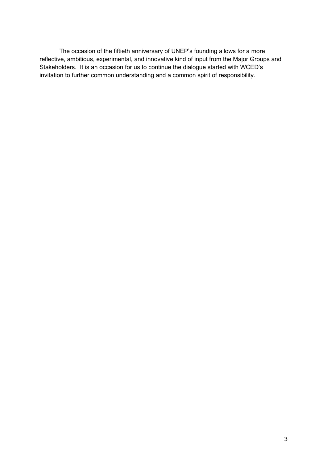The occasion of the fiftieth anniversary of UNEP's founding allows for a more reflective, ambitious, experimental, and innovative kind of input from the Major Groups and Stakeholders. It is an occasion for us to continue the dialogue started with WCED's invitation to further common understanding and a common spirit of responsibility.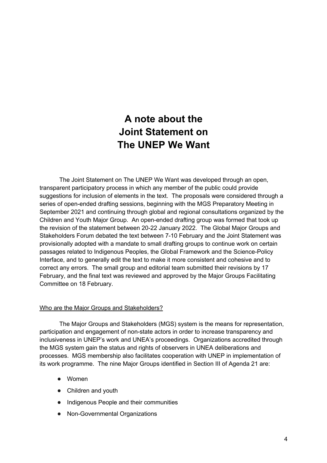## **A note about the Joint Statement on The UNEP We Want**

The Joint Statement on The UNEP We Want was developed through an open, transparent participatory process in which any member of the public could provide suggestions for inclusion of elements in the text. The proposals were considered through a series of open-ended drafting sessions, beginning with the MGS Preparatory Meeting in September 2021 and continuing through global and regional consultations organized by the Children and Youth Major Group. An open-ended drafting group was formed that took up the revision of the statement between 20-22 January 2022. The Global Major Groups and Stakeholders Forum debated the text between 7-10 February and the Joint Statement was provisionally adopted with a mandate to small drafting groups to continue work on certain passages related to Indigenous Peoples, the Global Framework and the Science-Policy Interface, and to generally edit the text to make it more consistent and cohesive and to correct any errors. The small group and editorial team submitted their revisions by 17 February, and the final text was reviewed and approved by the Major Groups Facilitating Committee on 18 February.

### Who are the Major Groups and Stakeholders?

The Major Groups and Stakeholders (MGS) system is the means for representation, participation and engagement of non-state actors in order to increase transparency and inclusiveness in UNEP's work and UNEA's proceedings. Organizations accredited through the MGS system gain the status and rights of observers in UNEA deliberations and processes. MGS membership also facilitates cooperation with UNEP in implementation of its work programme. The nine Major Groups identified in Section III of Agenda 21 are:

- Women
- Children and youth
- Indigenous People and their communities
- Non-Governmental Organizations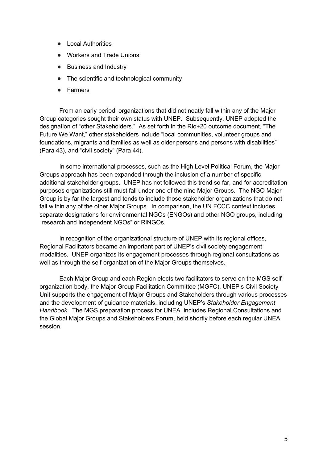- Local Authorities
- Workers and Trade Unions
- Business and Industry
- The scientific and technological community
- Farmers

From an early period, organizations that did not neatly fall within any of the Major Group categories sought their own status with UNEP. Subsequently, UNEP adopted the designation of "other Stakeholders." As set forth in the Rio+20 outcome document, "The Future We Want," other stakeholders include "local communities, volunteer groups and foundations, migrants and families as well as older persons and persons with disabilities" (Para 43), and "civil society" (Para 44).

In some international processes, such as the High Level Political Forum, the Major Groups approach has been expanded through the inclusion of a number of specific additional stakeholder groups. UNEP has not followed this trend so far, and for accreditation purposes organizations still must fall under one of the nine Major Groups. The NGO Major Group is by far the largest and tends to include those stakeholder organizations that do not fall within any of the other Major Groups. In comparison, the UN FCCC context includes separate designations for environmental NGOs (ENGOs) and other NGO groups, including "research and independent NGOs" or RINGOs.

In recognition of the organizational structure of UNEP with its regional offices, Regional Facilitators became an important part of UNEP's civil society engagement modalities. UNEP organizes its engagement processes through regional consultations as well as through the self-organization of the Major Groups themselves.

Each Major Group and each Region elects two facilitators to serve on the MGS selforganization body, the Major Group Facilitation Committee (MGFC). UNEP's Civil Society Unit supports the engagement of Major Groups and Stakeholders through various processes and the development of guidance materials, including UNEP's *Stakeholder Engagement Handbook.* The MGS preparation process for UNEA includes Regional Consultations and the Global Major Groups and Stakeholders Forum, held shortly before each regular UNEA session.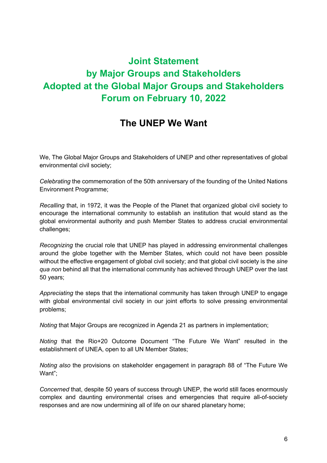## **Joint Statement by Major Groups and Stakeholders Adopted at the Global Major Groups and Stakeholders Forum on February 10, 2022**

## **The UNEP We Want**

We, The Global Major Groups and Stakeholders of UNEP and other representatives of global environmental civil society;

*Celebrating* the commemoration of the 50th anniversary of the founding of the United Nations Environment Programme;

*Recalling* that, in 1972, it was the People of the Planet that organized global civil society to encourage the international community to establish an institution that would stand as the global environmental authority and push Member States to address crucial environmental challenges;

*Recognizing* the crucial role that UNEP has played in addressing environmental challenges around the globe together with the Member States, which could not have been possible without the effective engagement of global civil society; and that global civil society is the *sine qua non* behind all that the international community has achieved through UNEP over the last 50 years;

*Appreciating* the steps that the international community has taken through UNEP to engage with global environmental civil society in our joint efforts to solve pressing environmental problems;

*Noting* that Major Groups are recognized in Agenda 21 as partners in implementation;

*Noting* that the Rio+20 Outcome Document "The Future We Want" resulted in the establishment of UNEA, open to all UN Member States;

*Noting also* the provisions on stakeholder engagement in paragraph 88 of "The Future We Want";

*Concerned* that, despite 50 years of success through UNEP, the world still faces enormously complex and daunting environmental crises and emergencies that require all-of-society responses and are now undermining all of life on our shared planetary home;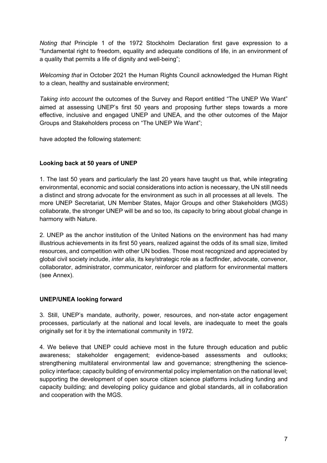*Noting that* Principle 1 of the 1972 Stockholm Declaration first gave expression to a "fundamental right to freedom, equality and adequate conditions of life, in an environment of a quality that permits a life of dignity and well-being";

*Welcoming that* in October 2021 the Human Rights Council acknowledged the Human Right to a clean, healthy and sustainable environment;

*Taking into account* the outcomes of the Survey and Report entitled "The UNEP We Want" aimed at assessing UNEP's first 50 years and proposing further steps towards a more effective, inclusive and engaged UNEP and UNEA, and the other outcomes of the Major Groups and Stakeholders process on "The UNEP We Want";

have adopted the following statement:

### **Looking back at 50 years of UNEP**

1. The last 50 years and particularly the last 20 years have taught us that, while integrating environmental, economic and social considerations into action is necessary, the UN still needs a distinct and strong advocate for the environment as such in all processes at all levels. The more UNEP Secretariat, UN Member States, Major Groups and other Stakeholders (MGS) collaborate, the stronger UNEP will be and so too, its capacity to bring about global change in harmony with Nature.

2. UNEP as the anchor institution of the United Nations on the environment has had many illustrious achievements in its first 50 years, realized against the odds of its small size, limited resources, and competition with other UN bodies. Those most recognized and appreciated by global civil society include, *inter alia*, its key/strategic role as a factfinder, advocate, convenor, collaborator, administrator, communicator, reinforcer and platform for environmental matters (see Annex).

### **UNEP/UNEA looking forward**

3. Still, UNEP's mandate, authority, power, resources, and non-state actor engagement processes, particularly at the national and local levels, are inadequate to meet the goals originally set for it by the international community in 1972.

4. We believe that UNEP could achieve most in the future through education and public awareness; stakeholder engagement; evidence-based assessments and outlooks; strengthening multilateral environmental law and governance; strengthening the sciencepolicy interface; capacity building of environmental policy implementation on the national level; supporting the development of open source citizen science platforms including funding and capacity building; and developing policy guidance and global standards, all in collaboration and cooperation with the MGS.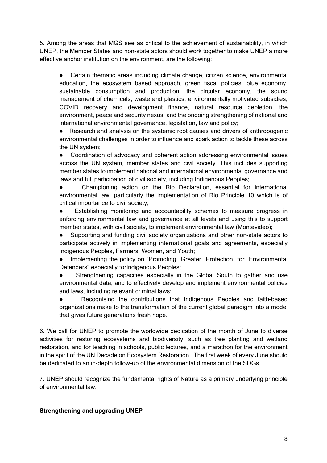5. Among the areas that MGS see as critical to the achievement of sustainability, in which UNEP, the Member States and non-state actors should work together to make UNEP a more effective anchor institution on the environment, are the following:

Certain thematic areas including climate change, citizen science, environmental education, the ecosystem based approach, green fiscal policies, blue economy, sustainable consumption and production, the circular economy, the sound management of chemicals, waste and plastics, environmentally motivated subsidies, COVID recovery and development finance, natural resource depletion; the environment, peace and security nexus; and the ongoing strengthening of national and international environmental governance, legislation, law and policy;

● Research and analysis on the systemic root causes and drivers of anthropogenic environmental challenges in order to influence and spark action to tackle these across the UN system;

● Coordination of advocacy and coherent action addressing environmental issues across the UN system, member states and civil society. This includes supporting member states to implement national and international environmental governance and laws and full participation of civil society, including Indigenous Peoples;

Championing action on the Rio Declaration, essential for international environmental law, particularly the implementation of Rio Principle 10 which is of critical importance to civil society;

Establishing monitoring and accountability schemes to measure progress in enforcing environmental law and governance at all levels and using this to support member states, with civil society, to implement environmental law (Montevideo);

Supporting and funding civil society organizations and other non-state actors to participate actively in implementing international goals and agreements, especially Indigenous Peoples, Farmers, Women, and Youth;

Implementing the policy on "Promoting Greater Protection for Environmental Defenders" especially forIndigenous Peoples;

Strengthening capacities especially in the Global South to gather and use environmental data, and to effectively develop and implement environmental policies and laws, including relevant criminal laws;

Recognising the contributions that Indigenous Peoples and faith-based organizations make to the transformation of the current global paradigm into a model that gives future generations fresh hope.

6. We call for UNEP to promote the worldwide dedication of the month of June to diverse activities for restoring ecosystems and biodiversity, such as tree planting and wetland restoration, and for teaching in schools, public lectures, and a marathon for the environment in the spirit of the UN Decade on Ecosystem Restoration. The first week of every June should be dedicated to an in-depth follow-up of the environmental dimension of the SDGs.

7. UNEP should recognize the fundamental rights of Nature as a primary underlying principle of environmental law.

### **Strengthening and upgrading UNEP**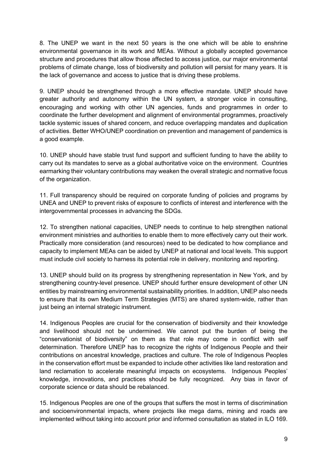8. The UNEP we want in the next 50 years is the one which will be able to enshrine environmental governance in its work and MEAs. Without a globally accepted governance structure and procedures that allow those affected to access justice, our major environmental problems of climate change, loss of biodiversity and pollution will persist for many years. It is the lack of governance and access to justice that is driving these problems.

9. UNEP should be strengthened through a more effective mandate. UNEP should have greater authority and autonomy within the UN system, a stronger voice in consulting, encouraging and working with other UN agencies, funds and programmes in order to coordinate the further development and alignment of environmental programmes, proactively tackle systemic issues of shared concern, and reduce overlapping mandates and duplication of activities. Better WHO/UNEP coordination on prevention and management of pandemics is a good example.

10. UNEP should have stable trust fund support and sufficient funding to have the ability to carry out its mandates to serve as a global authoritative voice on the environment. Countries earmarking their voluntary contributions may weaken the overall strategic and normative focus of the organization.

11. Full transparency should be required on corporate funding of policies and programs by UNEA and UNEP to prevent risks of exposure to conflicts of interest and interference with the intergovernmental processes in advancing the SDGs.

12. To strengthen national capacities, UNEP needs to continue to help strengthen national environment ministries and authorities to enable them to more effectively carry out their work. Practically more consideration (and resources) need to be dedicated to how compliance and capacity to implement MEAs can be aided by UNEP at national and local levels. This support must include civil society to harness its potential role in delivery, monitoring and reporting.

13. UNEP should build on its progress by strengthening representation in New York, and by strengthening country-level presence. UNEP should further ensure development of other UN entities by mainstreaming environmental sustainability priorities. In addition, UNEP also needs to ensure that its own Medium Term Strategies (MTS) are shared system-wide, rather than just being an internal strategic instrument.

14. Indigenous Peoples are crucial for the conservation of biodiversity and their knowledge and livelihood should not be undermined. We cannot put the burden of being the "conservationist of biodiversity" on them as that role may come in conflict with self determination. Therefore UNEP has to recognize the rights of Indigenous People and their contributions on ancestral knowledge, practices and culture. The role of Indigenous Peoples in the conservation effort must be expanded to include other activities like land restoration and land reclamation to accelerate meaningful impacts on ecosystems. Indigenous Peoples' knowledge, innovations, and practices should be fully recognized. Any bias in favor of corporate science or data should be rebalanced.

15. Indigenous Peoples are one of the groups that suffers the most in terms of discrimination and socioenvironmental impacts, where projects like mega dams, mining and roads are implemented without taking into account prior and informed consultation as stated in ILO 169.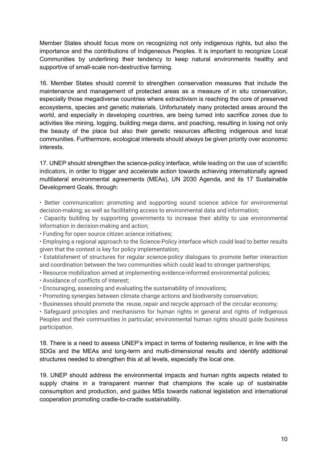Member States should focus more on recognizing not only indigenous rights, but also the importance and the contributions of Indigeneous Peoples. It is important to recognize Local Communities by underlining their tendency to keep natural environments healthy and supportive of small-scale non-destructive farming.

16. Member States should commit to strengthen conservation measures that include the maintenance and management of protected areas as a measure of in situ conservation, especially those megadiverse countries where extractivism is reaching the core of preserved ecosystems, species and genetic materials. Unfortunately many protected areas around the world, and especially in developing countries, are being turned into sacrifice zones due to activities like mining, logging, building mega dams, and poaching, resulting in losing not only the beauty of the place but also their genetic resources affecting indigenous and local communities. Furthermore, ecological interests should always be given priority over economic interests.

17. UNEP should strengthen the science-policy interface, while leading on the use of scientific indicators, in order to trigger and accelerate action towards achieving internationally agreed multilateral environmental agreements (MEAs), UN 2030 Agenda, and its 17 Sustainable Development Goals, through:

• Better communication: promoting and supporting sound science advice for environmental decision-making; as well as facilitating access to environmental data and information;

• Capacity building by supporting governments to increase their ability to use environmental information in decision-making and action;

• Funding for open source citizen science initiatives;

• Employing a regional approach to the Science-Policy interface which could lead to better results given that the context is key for policy implementation;

• Establishment of structures for regular science-policy dialogues to promote better interaction and coordination between the two communities which could lead to stronger partnerships;

• Resource mobilization aimed at implementing evidence-informed environmental policies;

- Avoidance of conflicts of interest;
- Encouraging, assessing and evaluating the sustainability of innovations;
- Promoting synergies between climate change actions and biodiversity conservation;
- Businesses should promote the reuse, repair and recycle approach of the circular economy;

• Safeguard principles and mechanisms for human rights in general and rights of Indigenous Peoples and their communities in particular; environmental human rights should guide business participation.

18. There is a need to assess UNEP's impact in terms of fostering resilience, in line with the SDGs and the MEAs and long-term and multi-dimensional results and identify additional structures needed to strengthen this at all levels, especially the local one.

19. UNEP should address the environmental impacts and human rights aspects related to supply chains in a transparent manner that champions the scale up of sustainable consumption and production, and guides MSs towards national legislation and international cooperation promoting cradle-to-cradle sustainability.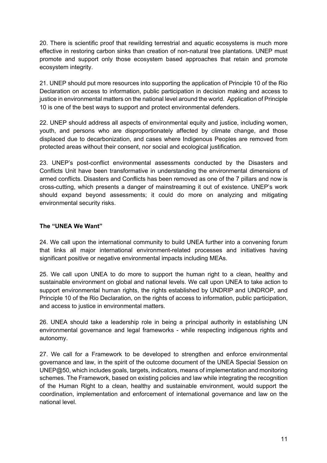20. There is scientific proof that rewilding terrestrial and aquatic ecosystems is much more effective in restoring carbon sinks than creation of non-natural tree plantations. UNEP must promote and support only those ecosystem based approaches that retain and promote ecosystem integrity.

21. UNEP should put more resources into supporting the application of Principle 10 of the Rio Declaration on access to information, public participation in decision making and access to justice in environmental matters on the national level around the world. Application of Principle 10 is one of the best ways to support and protect environmental defenders.

22. UNEP should address all aspects of environmental equity and justice, including women, youth, and persons who are disproportionately affected by climate change, and those displaced due to decarbonization, and cases where Indigenous Peoples are removed from protected areas without their consent, nor social and ecological justification.

23. UNEP's post-conflict environmental assessments conducted by the Disasters and Conflicts Unit have been transformative in understanding the environmental dimensions of armed conflicts. Disasters and Conflicts has been removed as one of the 7 pillars and now is cross-cutting, which presents a danger of mainstreaming it out of existence. UNEP's work should expand beyond assessments; it could do more on analyzing and mitigating environmental security risks.

### **The "UNEA We Want"**

24. We call upon the international community to build UNEA further into a convening forum that links all major international environment-related processes and initiatives having significant positive or negative environmental impacts including MEAs.

25. We call upon UNEA to do more to support the human right to a clean, healthy and sustainable environment on global and national levels. We call upon UNEA to take action to support environmental human rights, the rights established by UNDRIP and UNDROP, and Principle 10 of the Rio Declaration, on the rights of access to information, public participation, and access to justice in environmental matters.

26. UNEA should take a leadership role in being a principal authority in establishing UN environmental governance and legal frameworks - while respecting indigenous rights and autonomy.

27. We call for a Framework to be developed to strengthen and enforce environmental governance and law, in the spirit of the outcome document of the UNEA Special Session on UNEP@50, which includes goals, targets, indicators, means of implementation and monitoring schemes. The Framework, based on existing policies and law while integrating the recognition of the Human Right to a clean, healthy and sustainable environment, would support the coordination, implementation and enforcement of international governance and law on the national level.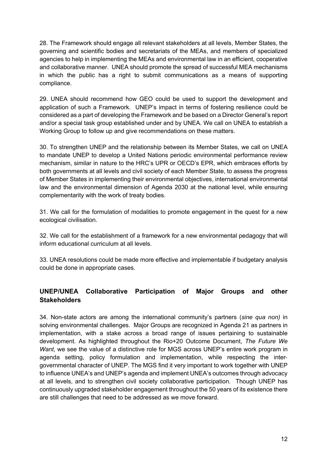28. The Framework should engage all relevant stakeholders at all levels, Member States, the governing and scientific bodies and secretariats of the MEAs, and members of specialized agencies to help in implementing the MEAs and environmental law in an efficient, cooperative and collaborative manner. UNEA should promote the spread of successful MEA mechanisms in which the public has a right to submit communications as a means of supporting compliance.

29. UNEA should recommend how GEO could be used to support the development and application of such a Framework. UNEP's impact in terms of fostering resilience could be considered as a part of developing the Framework and be based on a Director General's report and/or a special task group established under and by UNEA. We call on UNEA to establish a Working Group to follow up and give recommendations on these matters.

30. To strengthen UNEP and the relationship between its Member States, we call on UNEA to mandate UNEP to develop a United Nations periodic environmental performance review mechanism, similar in nature to the HRC's UPR or OECD's EPR, which embraces efforts by both governments at all levels and civil society of each Member State, to assess the progress of Member States in implementing their environmental objectives, international environmental law and the environmental dimension of Agenda 2030 at the national level, while ensuring complementarity with the work of treaty bodies.

31. We call for the formulation of modalities to promote engagement in the quest for a new ecological civilisation.

32. We call for the establishment of a framework for a new environmental pedagogy that will inform educational curriculum at all levels.

33. UNEA resolutions could be made more effective and implementable if budgetary analysis could be done in appropriate cases.

### **UNEP/UNEA Collaborative Participation of Major Groups and other Stakeholders**

34. Non-state actors are among the international community's partners (*sine qua non)* in solving environmental challenges. Major Groups are recognized in Agenda 21 as partners in implementation, with a stake across a broad range of issues pertaining to sustainable development. As highlighted throughout the Rio+20 Outcome Document, *The Future We Want, we see the value of a distinctive role for MGS across UNEP's entire work program in* agenda setting, policy formulation and implementation, while respecting the intergovernmental character of UNEP. The MGS find it very important to work together with UNEP to influence UNEA's and UNEP's agenda and implement UNEA's outcomes through advocacy at all levels, and to strengthen civil society collaborative participation. Though UNEP has continuously upgraded stakeholder engagement throughout the 50 years of its existence there are still challenges that need to be addressed as we move forward.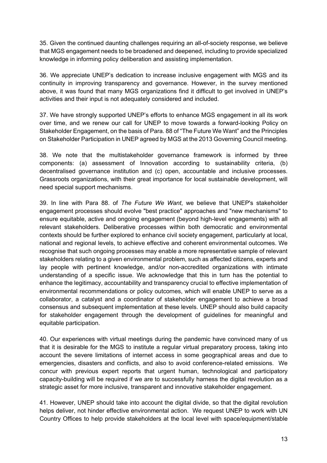35. Given the continued daunting challenges requiring an all-of-society response, we believe that MGS engagement needs to be broadened and deepened, including to provide specialized knowledge in informing policy deliberation and assisting implementation.

36. We appreciate UNEP's dedication to increase inclusive engagement with MGS and its continuity in improving transparency and governance. However, in the survey mentioned above, it was found that many MGS organizations find it difficult to get involved in UNEP's activities and their input is not adequately considered and included.

37. We have strongly supported UNEP's efforts to enhance MGS engagement in all its work over time, and we renew our call for UNEP to move towards a forward-looking Policy on Stakeholder Engagement, on the basis of Para. 88 of "The Future We Want" and the Principles on Stakeholder Participation in UNEP agreed by MGS at the 2013 Governing Council meeting.

38. We note that the multistakeholder governance framework is informed by three components: (a) assessment of Innovation according to sustainability criteria, (b) decentralised governance institution and (c) open, accountable and inclusive processes. Grassroots organizations, with their great importance for local sustainable development, will need special support mechanisms.

39. In line with Para 88. of *The Future We Want*, we believe that UNEP's stakeholder engagement processes should evolve "best practice" approaches and "new mechanisms" to ensure equitable, active and ongoing engagement (beyond high-level engagements) with all relevant stakeholders. Deliberative processes within both democratic and environmental contexts should be further explored to enhance civil society engagement, particularly at local, national and regional levels, to achieve effective and coherent environmental outcomes. We recognise that such ongoing processes may enable a more representative sample of relevant stakeholders relating to a given environmental problem, such as affected citizens, experts and lay people with pertinent knowledge, and/or non-accredited organizations with intimate understanding of a specific issue. We acknowledge that this in turn has the potential to enhance the legitimacy, accountability and transparency crucial to effective implementation of environmental recommendations or policy outcomes, which will enable UNEP to serve as a collaborator, a catalyst and a coordinator of stakeholder engagement to achieve a broad consensus and subsequent implementation at these levels. UNEP should also build capacity for stakeholder engagement through the development of guidelines for meaningful and equitable participation.

40. Our experiences with virtual meetings during the pandemic have convinced many of us that it is desirable for the MGS to institute a regular virtual preparatory process, taking into account the severe limitations of internet access in some geographical areas and due to emergencies, disasters and conflicts, and also to avoid conference-related emissions. We concur with previous expert reports that urgent human, technological and participatory capacity-building will be required if we are to successfully harness the digital revolution as a strategic asset for more inclusive, transparent and innovative stakeholder engagement.

41. However, UNEP should take into account the digital divide, so that the digital revolution helps deliver, not hinder effective environmental action. We request UNEP to work with UN Country Offices to help provide stakeholders at the local level with space/equipment/stable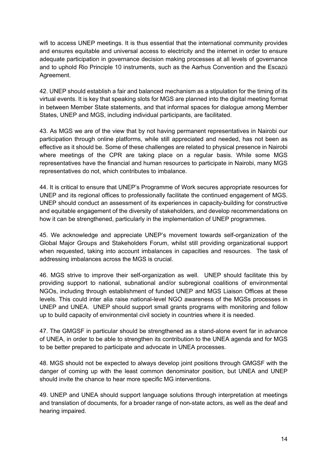wifi to access UNEP meetings. It is thus essential that the international community provides and ensures equitable and universal access to electricity and the internet in order to ensure adequate participation in governance decision making processes at all levels of governance and to uphold Rio Principle 10 instruments, such as the Aarhus Convention and the Escazú Agreement.

42. UNEP should establish a fair and balanced mechanism as a stipulation for the timing of its virtual events. It is key that speaking slots for MGS are planned into the digital meeting format in between Member State statements, and that informal spaces for dialogue among Member States, UNEP and MGS, including individual participants, are facilitated.

43. As MGS we are of the view that by not having permanent representatives in Nairobi our participation through online platforms, while still appreciated and needed, has not been as effective as it should be. Some of these challenges are related to physical presence in Nairobi where meetings of the CPR are taking place on a regular basis. While some MGS representatives have the financial and human resources to participate in Nairobi, many MGS representatives do not, which contributes to imbalance.

44. It is critical to ensure that UNEP's Programme of Work secures appropriate resources for UNEP and its regional offices to professionally facilitate the continued engagement of MGS. UNEP should conduct an assessment of its experiences in capacity-building for constructive and equitable engagement of the diversity of stakeholders, and develop recommendations on how it can be strengthened, particularly in the implementation of UNEP programmes.

45. We acknowledge and appreciate UNEP's movement towards self-organization of the Global Major Groups and Stakeholders Forum, whilst still providing organizational support when requested, taking into account imbalances in capacities and resources. The task of addressing imbalances across the MGS is crucial.

46. MGS strive to improve their self-organization as well. UNEP should facilitate this by providing support to national, subnational and/or subregional coalitions of environmental NGOs, including through establishment of funded UNEP and MGS Liaison Offices at these levels. This could inter alia raise national-level NGO awareness of the MGSs processes in UNEP and UNEA. UNEP should support small grants programs with monitoring and follow up to build capacity of environmental civil society in countries where it is needed.

47. The GMGSF in particular should be strengthened as a stand-alone event far in advance of UNEA, in order to be able to strengthen its contribution to the UNEA agenda and for MGS to be better prepared to participate and advocate in UNEA processes.

48. MGS should not be expected to always develop joint positions through GMGSF with the danger of coming up with the least common denominator position, but UNEA and UNEP should invite the chance to hear more specific MG interventions.

49. UNEP and UNEA should support language solutions through interpretation at meetings and translation of documents, for a broader range of non-state actors, as well as the deaf and hearing impaired.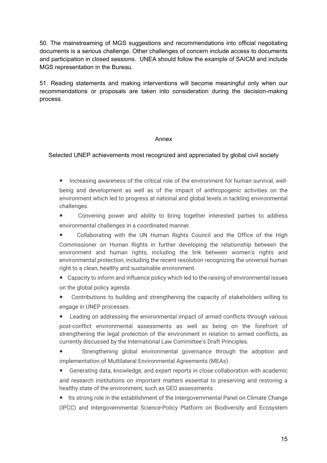50. The mainstreaming of MGS suggestions and recommendations into official negotiating documents is a serious challenge. Other challenges of concern include access to documents and participation in closed sessions. UNEA should follow the example of SAICM and include MGS representation in the Bureau.

51. Reading statements and making interventions will become meaningful only when our recommendations or proposals are taken into consideration during the decision-making process.

### Annex

### Selected UNEP achievements most recognized and appreciated by global civil society

- ! Increasing awareness of the critical role of the environment for human survival, wellbeing and development as well as of the impact of anthropogenic activities on the environment which led to progress at national and global levels in tackling environmental challenges.
- ! Convening power and ability to bring together interested parties to address environmental challenges in a coordinated manner.
- Collaborating with the UN Human Rights Council and the Office of the High Commissioner on Human Rights in further developing the relationship between the environment and human rights, including the link between women's rights and environmental protection, including the recent resolution recognizing the universal human right to a clean, healthy and sustainable environment.
- ! Capacity to inform and influence policy which led to the raising of environmental issues on the global policy agenda.
- ! Contributions to building and strengthening the capacity of stakeholders willing to engage in UNEP processes.

! Leading on addressing the environmental impact of armed conflicts through various post-conflict environmental assessments as well as being on the forefront of strengthening the legal protection of the environment in relation to armed conflicts, as currently discussed by the International Law Committee's Draft Principles.

Strengthening global environmental governance through the adoption and implementation of Multilateral Environmental Agreements (MEAs).

! Generating data, knowledge, and expert reports in close collaboration with academic and research institutions on important matters essential to preserving and restoring a healthy state of the environment, such as GEO assessments .

• Its strong role in the establishment of the Intergovernmental Panel on Climate Change (IPCC) and Intergovernmental Science-Policy Platform on Biodiversity and Ecosystem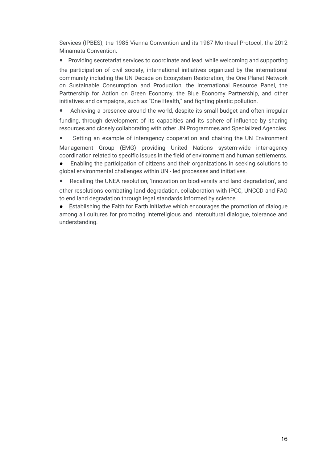Services (IPBES); the 1985 Vienna Convention and its 1987 Montreal Protocol; the 2012 Minamata Convention.

! Providing secretariat services to coordinate and lead, while welcoming and supporting

the participation of civil society, international initiatives organized by the international community including the UN Decade on Ecosystem Restoration, the One Planet Network on Sustainable Consumption and Production, the International Resource Panel, the Partnership for Action on Green Economy, the Blue Economy Partnership, and other initiatives and campaigns, such as "One Health," and fighting plastic pollution.

Achieving a presence around the world, despite its small budget and often irregular funding, through development of its capacities and its sphere of influence by sharing resources and closely collaborating with other UN Programmes and Specialized Agencies.

Setting an example of interagency cooperation and chairing the UN Environment Management Group (EMG) providing United Nations system-wide inter-agency coordination related to specific issues in the field of environment and human settlements.

Enabling the participation of citizens and their organizations in seeking solutions to global environmental challenges within UN - led processes and initiatives.

Recalling the UNEA resolution, 'Innovation on biodiversity and land degradation', and other resolutions combating land degradation, collaboration with IPCC, UNCCD and FAO to end land degradation through legal standards informed by science.

● Establishing the Faith for Earth initiative which encourages the promotion of dialogue among all cultures for promoting interreligious and intercultural dialogue, tolerance and understanding.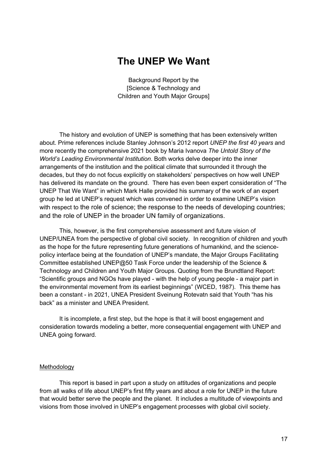### **The UNEP We Want**

Background Report by the [Science & Technology and Children and Youth Major Groups]

The history and evolution of UNEP is something that has been extensively written about. Prime references include Stanley Johnson's 2012 report *UNEP the first 40 years* and more recently the comprehensive 2021 book by Maria Ivanova *The Untold Story of the World's Leading Environmental Institution*. Both works delve deeper into the inner arrangements of the institution and the political climate that surrounded it through the decades, but they do not focus explicitly on stakeholders' perspectives on how well UNEP has delivered its mandate on the ground. There has even been expert consideration of "The UNEP That We Want" in which Mark Halle provided his summary of the work of an expert group he led at UNEP's request which was convened in order to examine UNEP's vision with respect to the role of science; the response to the needs of developing countries; and the role of UNEP in the broader UN family of organizations.

This, however, is the first comprehensive assessment and future vision of UNEP/UNEA from the perspective of global civil society. In recognition of children and youth as the hope for the future representing future generations of humankind, and the sciencepolicy interface being at the foundation of UNEP's mandate, the Major Groups Facilitating Committee established UNEP@50 Task Force under the leadership of the Science & Technology and Children and Youth Major Groups. Quoting from the Brundtland Report: "Scientific groups and NGOs have played - with the help of young people - a major part in the environmental movement from its earliest beginnings" (WCED, 1987). This theme has been a constant - in 2021, UNEA President Sveinung Rotevatn said that Youth "has his back" as a minister and UNEA President.

It is incomplete, a first step, but the hope is that it will boost engagement and consideration towards modeling a better, more consequential engagement with UNEP and UNEA going forward.

#### Methodology

This report is based in part upon a study on attitudes of organizations and people from all walks of life about UNEP's first fifty years and about a role for UNEP in the future that would better serve the people and the planet. It includes a multitude of viewpoints and visions from those involved in UNEP's engagement processes with global civil society.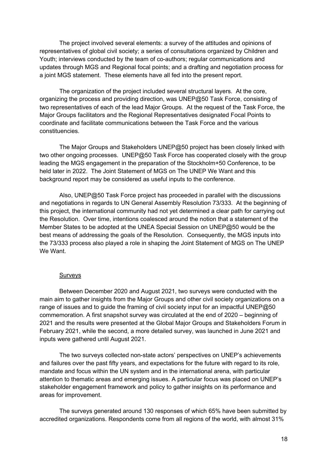The project involved several elements: a survey of the attitudes and opinions of representatives of global civil society; a series of consultations organized by Children and Youth; interviews conducted by the team of co-authors; regular communications and updates through MGS and Regional focal points; and a drafting and negotiation process for a joint MGS statement. These elements have all fed into the present report.

The organization of the project included several structural layers. At the core, organizing the process and providing direction, was UNEP@50 Task Force, consisting of two representatives of each of the lead Major Groups. At the request of the Task Force, the Major Groups facilitators and the Regional Representatives designated Focal Points to coordinate and facilitate communications between the Task Force and the various constituencies.

The Major Groups and Stakeholders UNEP@50 project has been closely linked with two other ongoing processes. UNEP@50 Task Force has cooperated closely with the group leading the MGS engagement in the preparation of the Stockholm+50 Conference, to be held later in 2022. The Joint Statement of MGS on The UNEP We Want and this background report may be considered as useful inputs to the conference.

Also, UNEP@50 Task Force project has proceeded in parallel with the discussions and negotiations in regards to UN General Assembly Resolution 73/333. At the beginning of this project, the international community had not yet determined a clear path for carrying out the Resolution. Over time, intentions coalesced around the notion that a statement of the Member States to be adopted at the UNEA Special Session on UNEP@50 would be the best means of addressing the goals of the Resolution. Consequently, the MGS inputs into the 73/333 process also played a role in shaping the Joint Statement of MGS on The UNEP We Want.

#### Surveys

Between December 2020 and August 2021, two surveys were conducted with the main aim to gather insights from the Major Groups and other civil society organizations on a range of issues and to guide the framing of civil society input for an impactful UNEP@50 commemoration. A first snapshot survey was circulated at the end of 2020 – beginning of 2021 and the results were presented at the Global Major Groups and Stakeholders Forum in February 2021, while the second, a more detailed survey, was launched in June 2021 and inputs were gathered until August 2021.

The two surveys collected non-state actors' perspectives on UNEP's achievements and failures over the past fifty years, and expectations for the future with regard to its role, mandate and focus within the UN system and in the international arena, with particular attention to thematic areas and emerging issues. A particular focus was placed on UNEP's stakeholder engagement framework and policy to gather insights on its performance and areas for improvement.

The surveys generated around 130 responses of which 65% have been submitted by accredited organizations. Respondents come from all regions of the world, with almost 31%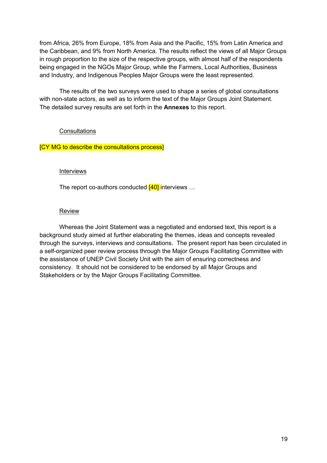from Africa, 26% from Europe, 18% from Asia and the Pacific, 15% from Latin America and the Caribbean, and 9% from North America. The results reflect the views of all Major Groups in rough proportion to the size of the respective groups, with almost half of the respondents being engaged in the NGOs Major Group, while the Farmers, Local Authorities, Business and Industry, and Indigenous Peoples Major Groups were the least represented.

The results of the two surveys were used to shape a series of global consultations with non-state actors, as well as to inform the text of the Major Groups Joint Statement. The detailed survey results are set forth in the **Annexes** to this report.

### **Consultations**

### [CY MG to describe the consultations process]

#### Interviews

The report co-authors conducted  $[40]$  interviews ...

### Review

Whereas the Joint Statement was a negotiated and endorsed text, this report is a background study aimed at further elaborating the themes, ideas and concepts revealed through the surveys, interviews and consultations. The present report has been circulated in a self-organized peer review process through the Major Groups Facilitating Committee with the assistance of UNEP Civil Society Unit with the aim of ensuring correctness and consistency. It should not be considered to be endorsed by all Major Groups and Stakeholders or by the Major Groups Facilitating Committee.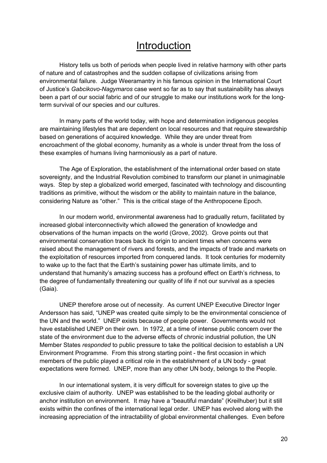### Introduction

History tells us both of periods when people lived in relative harmony with other parts of nature and of catastrophes and the sudden collapse of civilizations arising from environmental failure. Judge Weeramantry in his famous opinion in the International Court of Justice's *Gabcikovo-Nagymaros* case went so far as to say that sustainability has always been a part of our social fabric and of our struggle to make our institutions work for the longterm survival of our species and our cultures.

In many parts of the world today, with hope and determination indigenous peoples are maintaining lifestyles that are dependent on local resources and that require stewardship based on generations of acquired knowledge. While they are under threat from encroachment of the global economy, humanity as a whole is under threat from the loss of these examples of humans living harmoniously as a part of nature.

The Age of Exploration, the establishment of the international order based on state sovereignty, and the Industrial Revolution combined to transform our planet in unimaginable ways. Step by step a globalized world emerged, fascinated with technology and discounting traditions as primitive, without the wisdom or the ability to maintain nature in the balance, considering Nature as "other." This is the critical stage of the Anthropocene Epoch.

In our modern world, environmental awareness had to gradually return, facilitated by increased global interconnectivity which allowed the generation of knowledge and observations of the human impacts on the world (Grove, 2002). Grove points out that environmental conservation traces back its origin to ancient times when concerns were raised about the management of rivers and forests, and the impacts of trade and markets on the exploitation of resources imported from conquered lands. It took centuries for modernity to wake up to the fact that the Earth's sustaining power has ultimate limits, and to understand that humanity's amazing success has a profound effect on Earth's richness, to the degree of fundamentally threatening our quality of life if not our survival as a species (Gaia).

UNEP therefore arose out of necessity. As current UNEP Executive Director Inger Andersson has said, "UNEP was created quite simply to be the environmental conscience of the UN and the world." UNEP exists because of people power. Governments would not have established UNEP on their own. In 1972, at a time of intense public concern over the state of the environment due to the adverse effects of chronic industrial pollution, the UN Member States *responded* to public pressure to take the political decision to establish a UN Environment Programme. From this strong starting point - the first occasion in which members of the public played a critical role in the establishment of a UN body - great expectations were formed. UNEP, more than any other UN body, belongs to the People.

In our international system, it is very difficult for sovereign states to give up the exclusive claim of authority. UNEP was established to be the leading global authority or anchor institution on environment. It may have a "beautiful mandate" (Kreilhuber) but it still exists within the confines of the international legal order. UNEP has evolved along with the increasing appreciation of the intractability of global environmental challenges. Even before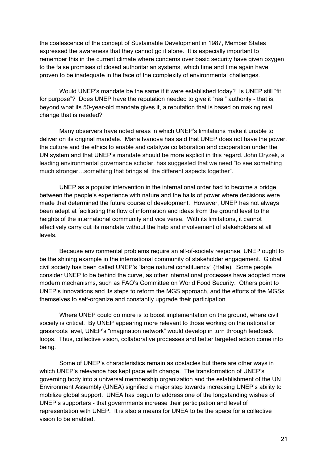the coalescence of the concept of Sustainable Development in 1987, Member States expressed the awareness that they cannot go it alone. It is especially important to remember this in the current climate where concerns over basic security have given oxygen to the false promises of closed authoritarian systems, which time and time again have proven to be inadequate in the face of the complexity of environmental challenges.

Would UNEP's mandate be the same if it were established today? Is UNEP still "fit for purpose"? Does UNEP have the reputation needed to give it "real" authority - that is, beyond what its 50-year-old mandate gives it, a reputation that is based on making real change that is needed?

Many observers have noted areas in which UNEP's limitations make it unable to deliver on its original mandate. Maria Ivanova has said that UNEP does not have the power, the culture and the ethics to enable and catalyze collaboration and cooperation under the UN system and that UNEP's mandate should be more explicit in this regard. John Dryzek, a leading environmental governance scholar, has suggested that we need "to see something much stronger…something that brings all the different aspects together".

UNEP as a popular intervention in the international order had to become a bridge between the people's experience with nature and the halls of power where decisions were made that determined the future course of development. However, UNEP has not always been adept at facilitating the flow of information and ideas from the ground level to the heights of the international community and vice versa. With its limitations, it cannot effectively carry out its mandate without the help and involvement of stakeholders at all levels.

Because environmental problems require an all-of-society response, UNEP ought to be the shining example in the international community of stakeholder engagement. Global civil society has been called UNEP's "large natural constituency" (Halle). Some people consider UNEP to be behind the curve, as other international processes have adopted more modern mechanisms, such as FAO's Committee on World Food Security. Others point to UNEP's innovations and its steps to reform the MGS approach, and the efforts of the MGSs themselves to self-organize and constantly upgrade their participation.

Where UNEP could do more is to boost implementation on the ground, where civil society is critical. By UNEP appearing more relevant to those working on the national or grassroots level, UNEP's "imagination network" would develop in turn through feedback loops. Thus, collective vision, collaborative processes and better targeted action come into being.

Some of UNEP's characteristics remain as obstacles but there are other ways in which UNEP's relevance has kept pace with change. The transformation of UNEP's governing body into a universal membership organization and the establishment of the UN Environment Assembly (UNEA) signified a major step towards increasing UNEP's ability to mobilize global support. UNEA has begun to address one of the longstanding wishes of UNEP's supporters - that governments increase their participation and level of representation with UNEP. It is also a means for UNEA to be the space for a collective vision to be enabled.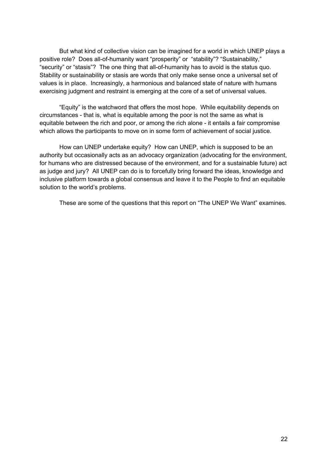But what kind of collective vision can be imagined for a world in which UNEP plays a positive role? Does all-of-humanity want "prosperity" or "stability"? "Sustainability," "security" or "stasis"? The one thing that all-of-humanity has to avoid is the status quo. Stability or sustainability or stasis are words that only make sense once a universal set of values is in place. Increasingly, a harmonious and balanced state of nature with humans exercising judgment and restraint is emerging at the core of a set of universal values.

"Equity" is the watchword that offers the most hope. While equitability depends on circumstances - that is, what is equitable among the poor is not the same as what is equitable between the rich and poor, or among the rich alone - it entails a fair compromise which allows the participants to move on in some form of achievement of social justice.

How can UNEP undertake equity? How can UNEP, which is supposed to be an authority but occasionally acts as an advocacy organization (advocating for the environment, for humans who are distressed because of the environment, and for a sustainable future) act as judge and jury? All UNEP can do is to forcefully bring forward the ideas, knowledge and inclusive platform towards a global consensus and leave it to the People to find an equitable solution to the world's problems.

These are some of the questions that this report on "The UNEP We Want" examines.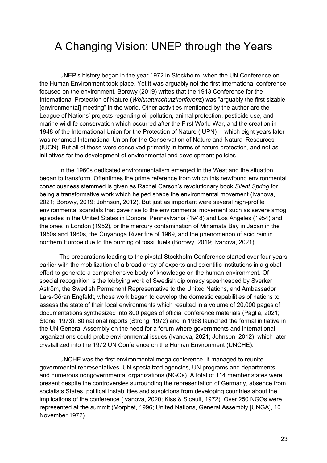## A Changing Vision: UNEP through the Years

UNEP's history began in the year 1972 in Stockholm, when the UN Conference on the Human Environment took place. Yet it was arguably not the first international conference focused on the environment. Borowy (2019) writes that the 1913 Conference for the International Protection of Nature (*Weltnaturschutzkonferen*z) was "arguably the first sizable [environmental] meeting" in the world. Other activities mentioned by the author are the League of Nations' projects regarding oil pollution, animal protection, pesticide use, and marine wildlife conservation which occurred after the First World War, and the creation in 1948 of the International Union for the Protection of Nature (IUPN) —which eight years later was renamed International Union for the Conservation of Nature and Natural Resources (IUCN). But all of these were conceived primarily in terms of nature protection, and not as initiatives for the development of environmental and development policies.

In the 1960s dedicated environmentalism emerged in the West and the situation began to transform. Oftentimes the prime reference from which this newfound environmental consciousness stemmed is given as Rachel Carson's revolutionary book *Silent Spring* for being a transformative work which helped shape the environmental movement (Ivanova, 2021; Borowy, 2019; Johnson, 2012). But just as important were several high-profile environmental scandals that gave rise to the environmental movement such as severe smog episodes in the United States in Donora, Pennsylvania (1948) and Los Angeles (1954) and the ones in London (1952), or the mercury contamination of Minamata Bay in Japan in the 1950s and 1960s, the Cuyahoga River fire of 1969, and the phenomenon of acid rain in northern Europe due to the burning of fossil fuels (Borowy, 2019; Ivanova, 2021).

The preparations leading to the pivotal Stockholm Conference started over four years earlier with the mobilization of a broad array of experts and scientific institutions in a global effort to generate a comprehensive body of knowledge on the human environment. Of special recognition is the lobbying work of Swedish diplomacy spearheaded by Sverker Åström, the Swedish Permanent Representative to the United Nations, and Ambassador Lars-Göran Engfeldt, whose work began to develop the domestic capabilities of nations to assess the state of their local environments which resulted in a volume of 20,000 pages of documentations synthesized into 800 pages of official conference materials (Paglia, 2021; Stone, 1973), 80 national reports (Strong, 1972) and in 1968 launched the formal initiative in the UN General Assembly on the need for a forum where governments and international organizations could probe environmental issues (Ivanova, 2021; Johnson, 2012), which later crystallized into the 1972 UN Conference on the Human Environment (UNCHE).

UNCHE was the first environmental mega conference. It managed to reunite governmental representatives, UN specialized agencies, UN programs and departments, and numerous nongovernmental organizations (NGOs). A total of 114 member states were present despite the controversies surrounding the representation of Germany, absence from socialists States, political instabilities and suspicions from developing countries about the implications of the conference (Ivanova, 2020; Kiss & Sicault, 1972). Over 250 NGOs were represented at the summit (Morphet, 1996; United Nations, General Assembly [UNGA], 10 November 1972).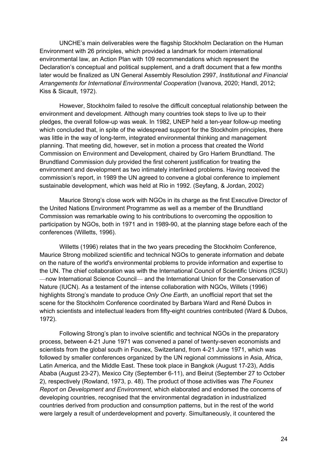UNCHE's main deliverables were the flagship Stockholm Declaration on the Human Environment with 26 principles, which provided a landmark for modern international environmental law, an Action Plan with 109 recommendations which represent the Declaration's conceptual and political supplement, and a draft document that a few months later would be finalized as UN General Assembly Resolution 2997, *Institutional and Financial Arrangements for International Environmental Cooperation* (Ivanova, 2020; Handl, 2012; Kiss & Sicault, 1972).

However, Stockholm failed to resolve the difficult conceptual relationship between the environment and development. Although many countries took steps to live up to their pledges, the overall follow-up was weak. In 1982, UNEP held a ten-year follow-up meeting which concluded that, in spite of the widespread support for the Stockholm principles, there was little in the way of long-term, integrated environmental thinking and management planning. That meeting did, however, set in motion a process that created the World Commission on Environment and Development, chaired by Gro Harlem Brundtland. The Brundtland Commission duly provided the first coherent justification for treating the environment and development as two intimately interlinked problems. Having received the commission's report, in 1989 the UN agreed to convene a global conference to implement sustainable development, which was held at Rio in 1992. (Seyfang, & Jordan, 2002)

Maurice Strong's close work with NGOs in its charge as the first Executive Director of the United Nations Environment Programme as well as a member of the Brundtland Commission was remarkable owing to his contributions to overcoming the opposition to participation by NGOs, both in 1971 and in 1989-90, at the planning stage before each of the conferences (Willetts, 1996).

Willetts (1996) relates that in the two years preceding the Stockholm Conference, Maurice Strong mobilized scientific and technical NGOs to generate information and debate on the nature of the world's environmental problems to provide information and expertise to the UN. The chief collaboration was with the International Council of Scientific Unions (ICSU) —now International Science Council— and the International Union for the Conservation of Nature (IUCN). As a testament of the intense collaboration with NGOs, Willets (1996) highlights Strong's mandate to produce *Only One Earth*, an unofficial report that set the scene for the Stockholm Conference coordinated by Barbara Ward and René Dubos in which scientists and intellectual leaders from fifty-eight countries contributed (Ward & Dubos, 1972).

Following Strong's plan to involve scientific and technical NGOs in the preparatory process, between 4-21 June 1971 was convened a panel of twenty-seven economists and scientists from the global south in Founex, Switzerland, from 4-21 June 1971, which was followed by smaller conferences organized by the UN regional commissions in Asia, Africa, Latin America, and the Middle East. These took place in Bangkok (August 17-23), Addis Ababa (August 23-27), Mexico City (September 6-11), and Beirut (September 27 to October 2), respectively (Rowland, 1973, p. 48). The product of those activities was *The Founex Report on Development and Environment*, which elaborated and endorsed the concerns of developing countries, recognised that the environmental degradation in industrialized countries derived from production and consumption patterns, but in the rest of the world were largely a result of underdevelopment and poverty. Simultaneously, it countered the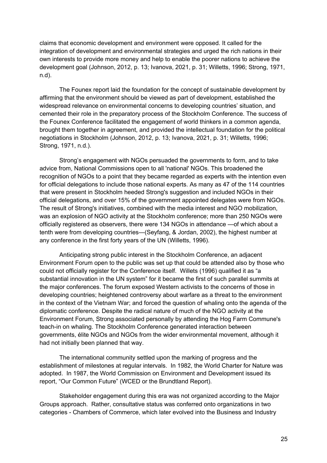claims that economic development and environment were opposed. It called for the integration of development and environmental strategies and urged the rich nations in their own interests to provide more money and help to enable the poorer nations to achieve the development goal (Johnson, 2012, p. 13; Ivanova, 2021, p. 31; Willetts, 1996; Strong, 1971, n.d).

The Founex report laid the foundation for the concept of sustainable development by affirming that the environment should be viewed as part of development, established the widespread relevance on environmental concerns to developing countries' situation, and cemented their role in the preparatory process of the Stockholm Conference. The success of the Founex Conference facilitated the engagement of world thinkers in a common agenda, brought them together in agreement, and provided the intellectual foundation for the political negotiations in Stockholm (Johnson, 2012, p. 13; Ivanova, 2021, p. 31; Willetts, 1996; Strong, 1971, n.d.).

Strong's engagement with NGOs persuaded the governments to form, and to take advice from, National Commissions open to all 'national' NGOs. This broadened the recognition of NGOs to a point that they became regarded as experts with the intention even for official delegations to include those national experts. As many as 47 of the 114 countries that were present in Stockholm heeded Strong's suggestion and included NGOs in their official delegations, and over 15% of the government appointed delegates were from NGOs. The result of Strong's initiatives, combined with the media interest and NGO mobilization, was an explosion of NGO activity at the Stockholm conference; more than 250 NGOs were officially registered as observers, there were 134 NGOs in attendance —of which about a tenth were from developing countries—(Seyfang, & Jordan, 2002), the highest number at any conference in the first forty years of the UN (Willetts, 1996).

Anticipating strong public interest in the Stockholm Conference, an adjacent Environment Forum open to the public was set up that could be attended also by those who could not officially register for the Conference itself. Willets (1996) qualified it as "a substantial innovation in the UN system" for it became the first of such parallel summits at the major conferences. The forum exposed Western activists to the concerns of those in developing countries; heightened controversy about warfare as a threat to the environment in the context of the Vietnam War; and forced the question of whaling onto the agenda of the diplomatic conference. Despite the radical nature of much of the NGO activity at the Environment Forum, Strong associated personally by attending the Hog Farm Commune's teach-in on whaling. The Stockholm Conference generated interaction between governments, élite NGOs and NGOs from the wider environmental movement, although it had not initially been planned that way.

The international community settled upon the marking of progress and the establishment of milestones at regular intervals. In 1982, the World Charter for Nature was adopted. In 1987, the World Commission on Environment and Development issued its report, "Our Common Future" (WCED or the Brundtland Report).

Stakeholder engagement during this era was not organized according to the Major Groups approach. Rather, consultative status was conferred onto organizations in two categories - Chambers of Commerce, which later evolved into the Business and Industry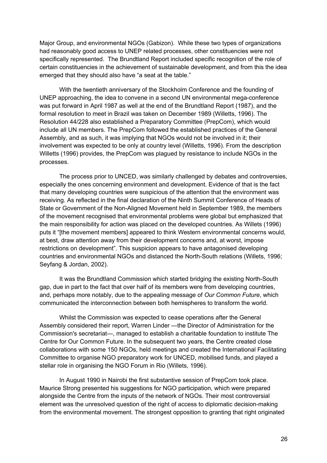Major Group, and environmental NGOs (Gabizon). While these two types of organizations had reasonably good access to UNEP related processes, other constituencies were not specifically represented. The Brundtland Report included specific recognition of the role of certain constituencies in the achievement of sustainable development, and from this the idea emerged that they should also have "a seat at the table."

With the twentieth anniversary of the Stockholm Conference and the founding of UNEP approaching, the idea to convene in a second UN environmental mega-conference was put forward in April 1987 as well at the end of the Brundtland Report (1987), and the formal resolution to meet in Brazil was taken on December 1989 (Willetts, 1996). The Resolution 44/228 also established a Preparatory Committee (PrepCom), which would include all UN members. The PrepCom followed the established practices of the General Assembly, and as such, it was implying that NGOs would not be involved in it; their involvement was expected to be only at country level (Willetts, 1996). From the description Willetts (1996) provides, the PrepCom was plagued by resistance to include NGOs in the processes.

The process prior to UNCED, was similarly challenged by debates and controversies, especially the ones concerning environment and development. Evidence of that is the fact that many developing countries were suspicious of the attention that the environment was receiving. As reflected in the final declaration of the Ninth Summit Conference of Heads of State or Government of the Non-Aligned Movement held in September 1989, the members of the movement recognised that environmental problems were global but emphasized that the main responsibility for action was placed on the developed countries. As Willets (1996) puts it "[the movement members] appeared to think Western environmental concerns would, at best, draw attention away from their development concerns and, at worst, impose restrictions on development". This suspicion appears to have antagonised developing countries and environmental NGOs and distanced the North-South relations (Willets, 1996; Seyfang & Jordan, 2002).

It was the Brundtland Commission which started bridging the existing North-South gap, due in part to the fact that over half of its members were from developing countries, and, perhaps more notably, due to the appealing message of *Our Common Future*, which communicated the interconnection between both hemispheres to transform the world.

Whilst the Commission was expected to cease operations after the General Assembly considered their report, Warren Linder —the Director of Administration for the Commission's secretariat—, managed to establish a charitable foundation to institute The Centre for Our Common Future. In the subsequent two years, the Centre created close collaborations with some 150 NGOs, held meetings and created the International Facilitating Committee to organise NGO preparatory work for UNCED, mobilised funds, and played a stellar role in organising the NGO Forum in Rio (Willets, 1996).

In August 1990 in Nairobi the first substantive session of PrepCom took place. Maurice Strong presented his suggestions for NGO participation, which were prepared alongside the Centre from the inputs of the network of NGOs. Their most controversial element was the unresolved question of the right of access to diplomatic decision-making from the environmental movement. The strongest opposition to granting that right originated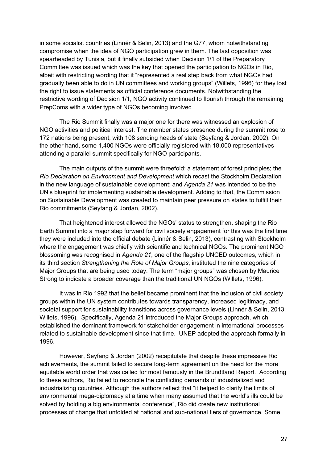in some socialist countries (Linnér & Selin, 2013) and the G77, whom notwithstanding compromise when the idea of NGO participation grew in them. The last opposition was spearheaded by Tunisia, but it finally subsided when Decision 1/1 of the Preparatory Committee was issued which was the key that opened the participation to NGOs in Rio, albeit with restricting wording that it "represented a real step back from what NGOs had gradually been able to do in UN committees and working groups" (Willets, 1996) for they lost the right to issue statements as official conference documents. Notwithstanding the restrictive wording of Decision 1/1, NGO activity continued to flourish through the remaining PrepComs with a wider type of NGOs becoming involved.

The Rio Summit finally was a major one for there was witnessed an explosion of NGO activities and political interest. The member states presence during the summit rose to 172 nations being present, with 108 sending heads of state (Seyfang & Jordan, 2002). On the other hand, some 1,400 NGOs were officially registered with 18,000 representatives attending a parallel summit specifically for NGO participants.

The main outputs of the summit were threefold: a statement of forest principles; the *Rio Declaration on Environment and Development* which recast the Stockholm Declaration in the new language of sustainable development; and *Agenda 21* was intended to be the UN's blueprint for implementing sustainable development. Adding to that, the Commission on Sustainable Development was created to maintain peer pressure on states to fulfill their Rio commitments (Seyfang & Jordan, 2002).

That heightened interest allowed the NGOs' status to strengthen, shaping the Rio Earth Summit into a major step forward for civil society engagement for this was the first time they were included into the official debate (Linnér & Selin, 2013), contrasting with Stockholm where the engagement was chiefly with scientific and technical NGOs. The prominent NGO blossoming was recognised in *Agenda 21*, one of the flagship UNCED outcomes, which in its third section *Strengthening the Role of Major Groups*, instituted the nine categories of Major Groups that are being used today. The term "major groups" was chosen by Maurice Strong to indicate a broader coverage than the traditional UN NGOs (Willets, 1996).

It was in Rio 1992 that the belief became prominent that the inclusion of civil society groups within the UN system contributes towards transparency, increased legitimacy, and societal support for sustainability transitions across governance levels (Linnér & Selin, 2013; Willets, 1996). Specifically, Agenda 21 introduced the Major Groups approach, which established the dominant framework for stakeholder engagement in international processes related to sustainable development since that time. UNEP adopted the approach formally in 1996.

However, Seyfang & Jordan (2002) recapitulate that despite these impressive Rio achievements, the summit failed to secure long-term agreement on the need for the more equitable world order that was called for most famously in the Brundtland Report. According to these authors, Rio failed to reconcile the conflicting demands of industrialized and industrializing countries. Although the authors reflect that "it helped to clarify the limits of environmental mega-diplomacy at a time when many assumed that the world's ills could be solved by holding a big environmental conference", Rio did create new institutional processes of change that unfolded at national and sub-national tiers of governance. Some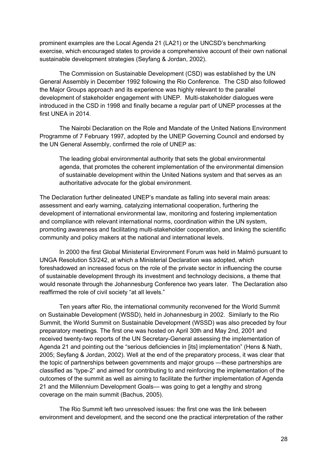prominent examples are the Local Agenda 21 (LA21) or the UNCSD's benchmarking exercise, which encouraged states to provide a comprehensive account of their own national sustainable development strategies (Seyfang & Jordan, 2002).

The Commission on Sustainable Development (CSD) was established by the UN General Assembly in December 1992 following the Rio Conference. The CSD also followed the Major Groups approach and its experience was highly relevant to the parallel development of stakeholder engagement with UNEP. Multi-stakeholder dialogues were introduced in the CSD in 1998 and finally became a regular part of UNEP processes at the first UNEA in 2014.

The Nairobi Declaration on the Role and Mandate of the United Nations Environment Programme of 7 February 1997, adopted by the UNEP Governing Council and endorsed by the UN General Assembly, confirmed the role of UNEP as:

The leading global environmental authority that sets the global environmental agenda, that promotes the coherent implementation of the environmental dimension of sustainable development within the United Nations system and that serves as an authoritative advocate for the global environment.

The Declaration further delineated UNEP's mandate as falling into several main areas: assessment and early warning, catalyzing international cooperation, furthering the development of international environmental law, monitoring and fostering implementation and compliance with relevant international norms, coordination within the UN system, promoting awareness and facilitating multi-stakeholder cooperation, and linking the scientific community and policy makers at the national and international levels.

In 2000 the first Global Ministerial Environment Forum was held in Malmö pursuant to UNGA Resolution 53/242, at which a Ministerial Declaration was adopted, which foreshadowed an increased focus on the role of the private sector in influencing the course of sustainable development through its investment and technology decisions, a theme that would resonate through the Johannesburg Conference two years later. The Declaration also reaffirmed the role of civil society "at all levels."

Ten years after Rio, the international community reconvened for the World Summit on Sustainable Development (WSSD), held in Johannesburg in 2002. Similarly to the Rio Summit, the World Summit on Sustainable Development (WSSD) was also preceded by four preparatory meetings. The first one was hosted on April 30th and May 2nd, 2001 and received twenty-two reports of the UN Secretary-General assessing the implementation of Agenda 21 and pointing out the "serious deficiencies in [its] implementation" (Hens & Nath, 2005; Seyfang & Jordan, 2002). Well at the end of the preparatory process, it was clear that the topic of partnerships between governments and major groups —these partnerships are classified as "type-2" and aimed for contributing to and reinforcing the implementation of the outcomes of the summit as well as aiming to facilitate the further implementation of Agenda 21 and the Millennium Development Goals— was going to get a lengthy and strong coverage on the main summit (Bachus, 2005).

The Rio Summit left two unresolved issues: the first one was the link between environment and development, and the second one the practical interpretation of the rather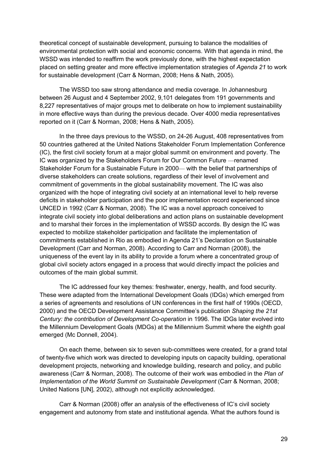theoretical concept of sustainable development, pursuing to balance the modalities of environmental protection with social and economic concerns. With that agenda in mind, the WSSD was intended to reaffirm the work previously done, with the highest expectation placed on setting greater and more effective implementation strategies of *Agenda 21* to work for sustainable development (Carr & Norman, 2008; Hens & Nath, 2005).

The WSSD too saw strong attendance and media coverage. In Johannesburg between 26 August and 4 September 2002, 9,101 delegates from 191 governments and 8,227 representatives of major groups met to deliberate on how to implement sustainability in more effective ways than during the previous decade. Over 4000 media representatives reported on it (Carr & Norman, 2008; Hens & Nath, 2005).

In the three days previous to the WSSD, on 24-26 August, 408 representatives from 50 countries gathered at the United Nations Stakeholder Forum Implementation Conference (IC), the first civil society forum at a major global summit on environment and poverty. The IC was organized by the Stakeholders Forum for Our Common Future —renamed Stakeholder Forum for a Sustainable Future in 2000— with the belief that partnerships of diverse stakeholders can create solutions, regardless of their level of involvement and commitment of governments in the global sustainability movement. The IC was also organized with the hope of integrating civil society at an international level to help reverse deficits in stakeholder participation and the poor implementation record experienced since UNCED in 1992 (Carr & Norman, 2008). The IC was a novel approach conceived to integrate civil society into global deliberations and action plans on sustainable development and to marshal their forces in the implementation of WSSD accords. By design the IC was expected to mobilize stakeholder participation and facilitate the implementation of commitments established in Rio as embodied in Agenda 21's Declaration on Sustainable Development (Carr and Norman, 2008). According to Carr and Norman (2008), the uniqueness of the event lay in its ability to provide a forum where a concentrated group of global civil society actors engaged in a process that would directly impact the policies and outcomes of the main global summit.

The IC addressed four key themes: freshwater, energy, health, and food security. These were adapted from the International Development Goals (IDGs) which emerged from a series of agreements and resolutions of UN conferences in the first half of 1990s (OECD, 2000) and the OECD Development Assistance Committee's publication *Shaping the 21st Century: the contribution of Development Co-operation* in 1996. The IDGs later evolved into the Millennium Development Goals (MDGs) at the Millennium Summit where the eighth goal emerged (Mc Donnell, 2004).

On each theme, between six to seven sub-committees were created, for a grand total of twenty-five which work was directed to developing inputs on capacity building, operational development projects, networking and knowledge building, research and policy, and public awareness (Carr & Norman, 2008). The outcome of their work was embodied in the *Plan of Implementation of the World Summit on Sustainable Development* (Carr & Norman, 2008; United Nations [UN], 2002), although not explicitly acknowledged.

Carr & Norman (2008) offer an analysis of the effectiveness of IC's civil society engagement and autonomy from state and institutional agenda. What the authors found is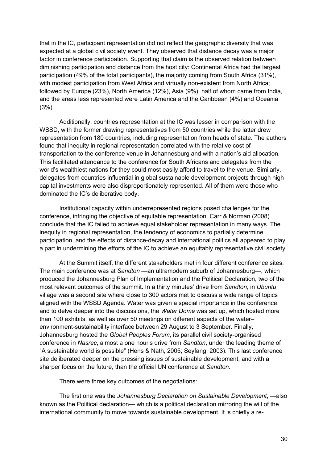that in the IC, participant representation did not reflect the geographic diversity that was expected at a global civil society event. They observed that distance decay was a major factor in conference participation. Supporting that claim is the observed relation between diminishing participation and distance from the host city: Continental Africa had the largest participation (49% of the total participants), the majority coming from South Africa (31%), with modest participation from West Africa and virtually non-existent from North Africa; followed by Europe (23%), North America (12%), Asia (9%), half of whom came from India, and the areas less represented were Latin America and the Caribbean (4%) and Oceania (3%).

Additionally, countries representation at the IC was lesser in comparison with the WSSD, with the former drawing representatives from 50 countries while the latter drew representation from 180 countries, including representation from heads of state. The authors found that inequity in regional representation correlated with the relative cost of transportation to the conference venue in Johannesburg and with a nation's aid allocation. This facilitated attendance to the conference for South Africans and delegates from the world's wealthiest nations for they could most easily afford to travel to the venue. Similarly, delegates from countries influential in global sustainable development projects through high capital investments were also disproportionately represented. All of them were those who dominated the IC's deliberative body.

Institutional capacity within underrepresented regions posed challenges for the conference, infringing the objective of equitable representation. Carr & Norman (2008) conclude that the IC failed to achieve equal stakeholder representation in many ways. The inequity in regional representation, the tendency of economics to partially determine participation, and the effects of distance-decay and international politics all appeared to play a part in undermining the efforts of the IC to achieve an equitably representative civil society.

At the Summit itself, the different stakeholders met in four different conference sites. The main conference was at *Sandton* —an ultramodern suburb of Johannesburg—, which produced the Johannesburg Plan of Implementation and the Political Declaration, two of the most relevant outcomes of the summit. In a thirty minutes' drive from *Sandton*, in *Ubuntu* village was a second site where close to 300 actors met to discuss a wide range of topics aligned with the WSSD Agenda. Water was given a special importance in the conference, and to delve deeper into the discussions, the *Water Dome* was set up, which hosted more than 100 exhibits, as well as over 50 meetings on different aspects of the water– environment-sustainability interface between 29 August to 3 September. Finally, Johannesburg hosted the *Global Peoples Forum*, its parallel civil society-organised conference in *Nasrec*, almost a one hour's drive from *Sandton*, under the leading theme of "A sustainable world is possible" (Hens & Nath, 2005; Seyfang, 2003). This last conference site deliberated deeper on the pressing issues of sustainable development, and with a sharper focus on the future, than the official UN conference at *Sandton*.

There were three key outcomes of the negotiations:

The first one was the *Johannesburg Declaration on Sustainable Development*, —also known as the Political declaration— which is a political declaration mirroring the will of the international community to move towards sustainable development. It is chiefly a re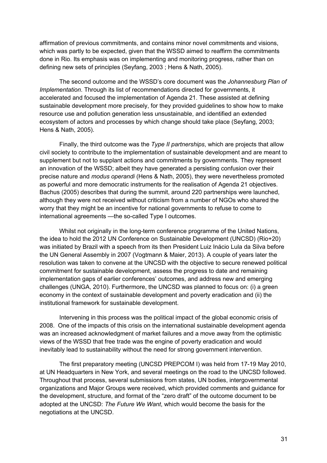affirmation of previous commitments, and contains minor novel commitments and visions, which was partly to be expected, given that the WSSD aimed to reaffirm the commitments done in Rio. Its emphasis was on implementing and monitoring progress, rather than on defining new sets of principles (Seyfang, 2003 ; Hens & Nath, 2005).

The second outcome and the WSSD's core document was the *Johannesburg Plan of Implementation*. Through its list of recommendations directed for governments, it accelerated and focused the implementation of Agenda 21. These assisted at defining sustainable development more precisely, for they provided guidelines to show how to make resource use and pollution generation less unsustainable, and identified an extended ecosystem of actors and processes by which change should take place (Seyfang, 2003; Hens & Nath, 2005).

Finally, the third outcome was the *Type II partnerships*, which are projects that allow civil society to contribute to the implementation of sustainable development and are meant to supplement but not to supplant actions and commitments by governments. They represent an innovation of the WSSD; albeit they have generated a persisting confusion over their precise nature and *modus operandi* (Hens & Nath, 2005), they were nevertheless promoted as powerful and more democratic instruments for the realisation of Agenda 21 objectives. Bachus (2005) describes that during the summit, around 220 partnerships were launched, although they were not received without criticism from a number of NGOs who shared the worry that they might be an incentive for national governments to refuse to come to international agreements —the so-called Type I outcomes.

Whilst not originally in the long-term conference programme of the United Nations, the idea to hold the 2012 UN Conference on Sustainable Development (UNCSD) (Rio+20) was initiated by Brazil with a speech from its then President Luiz Inácio Lula da Silva before the UN General Assembly in 2007 (Vogtmann & Maier, 2013). A couple of years later the resolution was taken to convene at the UNCSD with the objective to secure renewed political commitment for sustainable development, assess the progress to date and remaining implementation gaps of earlier conferences' outcomes, and address new and emerging challenges (UNGA, 2010). Furthermore, the UNCSD was planned to focus on: (i) a green economy in the context of sustainable development and poverty eradication and (ii) the institutional framework for sustainable development.

Intervening in this process was the political impact of the global economic crisis of 2008. One of the impacts of this crisis on the international sustainable development agenda was an increased acknowledgment of market failures and a move away from the optimistic views of the WSSD that free trade was the engine of poverty eradication and would inevitably lead to sustainability without the need for strong government intervention.

The first preparatory meeting (UNCSD PREPCOM I) was held from 17-19 May 2010, at UN Headquarters in New York, and several meetings on the road to the UNCSD followed. Throughout that process, several submissions from states, UN bodies, intergovernmental organizations and Major Groups were received, which provided comments and guidance for the development, structure, and format of the "zero draft" of the outcome document to be adopted at the UNCSD: *The Future We Want*, which would become the basis for the negotiations at the UNCSD.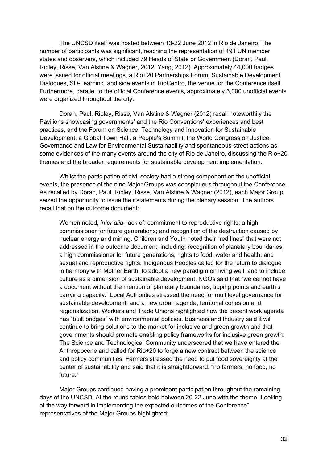The UNCSD itself was hosted between 13-22 June 2012 in Rio de Janeiro. The number of participants was significant, reaching the representation of 191 UN member states and observers, which included 79 Heads of State or Government (Doran, Paul, Ripley, Risse, Van Alstine & Wagner, 2012; Yang, 2012). Approximately 44,000 badges were issued for official meetings, a Rio+20 Partnerships Forum, Sustainable Development Dialogues, SD-Learning, and side events in RioCentro, the venue for the Conference itself. Furthermore, parallel to the official Conference events, approximately 3,000 unofficial events were organized throughout the city.

Doran, Paul, Ripley, Risse, Van Alstine & Wagner (2012) recall noteworthily the Pavilions showcasing governments' and the Rio Conventions' experiences and best practices, and the Forum on Science, Technology and Innovation for Sustainable Development, a Global Town Hall, a People's Summit, the World Congress on Justice, Governance and Law for Environmental Sustainability and spontaneous street actions as some evidences of the many events around the city of Rio de Janeiro, discussing the Rio+20 themes and the broader requirements for sustainable development implementation.

Whilst the participation of civil society had a strong component on the unofficial events, the presence of the nine Major Groups was conspicuous throughout the Conference. As recalled by Doran, Paul, Ripley, Risse, Van Alstine & Wagner (2012), each Major Group seized the opportunity to issue their statements during the plenary session. The authors recall that on the outcome document:

Women noted, *inter alia*, lack of: commitment to reproductive rights; a high commissioner for future generations; and recognition of the destruction caused by nuclear energy and mining. Children and Youth noted their "red lines" that were not addressed in the outcome document, including: recognition of planetary boundaries; a high commissioner for future generations; rights to food, water and health; and sexual and reproductive rights. Indigenous Peoples called for the return to dialogue in harmony with Mother Earth, to adopt a new paradigm on living well, and to include culture as a dimension of sustainable development. NGOs said that "we cannot have a document without the mention of planetary boundaries, tipping points and earth's carrying capacity." Local Authorities stressed the need for multilevel governance for sustainable development, and a new urban agenda, territorial cohesion and regionalization. Workers and Trade Unions highlighted how the decent work agenda has "built bridges" with environmental policies. Business and Industry said it will continue to bring solutions to the market for inclusive and green growth and that governments should promote enabling policy frameworks for inclusive green growth. The Science and Technological Community underscored that we have entered the Anthropocene and called for Rio+20 to forge a new contract between the science and policy communities. Farmers stressed the need to put food sovereignty at the center of sustainability and said that it is straightforward: "no farmers, no food, no future."

Major Groups continued having a prominent participation throughout the remaining days of the UNCSD. At the round tables held between 20-22 June with the theme "Looking at the way forward in implementing the expected outcomes of the Conference" representatives of the Major Groups highlighted: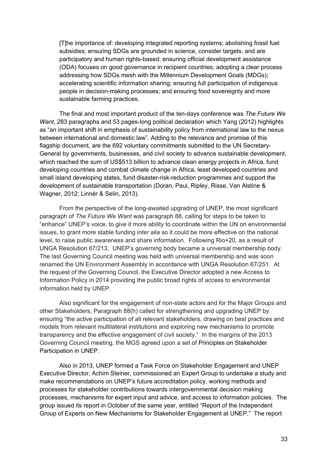[T]he importance of: developing integrated reporting systems; abolishing fossil fuel subsidies; ensuring SDGs are grounded in science, consider targets, and are participatory and human rights-based; ensuring official development assistance (ODA) focuses on good governance in recipient countries; adopting a clear process addressing how SDGs mesh with the Millennium Development Goals (MDGs); accelerating scientific information sharing; ensuring full participation of indigenous people in decision-making processes; and ensuring food sovereignty and more sustainable farming practices.

The final and most important product of the ten-days conference was *The Future We Want*, 283 paragraphs and 53 pages-long political declaration which Yang (2012) highlights as "an important shift in emphasis of sustainability policy from international law to the nexus between international and domestic law". Adding to the relevance and promise of this flagship document, are the 692 voluntary commitments submitted to the UN Secretary-General by governments, businesses, and civil society to advance sustainable development, which reached the sum of US\$513 billion to advance clean energy projects in Africa, fund developing countries and combat climate change in Africa, least developed countries and small island developing states, fund disaster-risk-reduction programmes and support the development of sustainable transportation (Doran, Paul, Ripley, Risse, Van Alstine & Wagner, 2012; Linnér & Selin, 2013).

From the perspective of the long-awaited upgrading of UNEP, the most significant paragraph of *The Future We Want* was paragraph 88, calling for steps to be taken to "enhance" UNEP's voice, to give it more ability to coordinate within the UN on environmental issues, to grant more stable funding *inter alia* so it could be more effective on the national level, to raise public awareness and share information. Following Rio+20, as a result of UNGA Resolution 67/213, UNEP's governing body became a universal membership body. The last Governing Council meeting was held with universal membership and was soon renamed the UN Environment Assembly in accordance with UNGA Resolution 67/251. At the request of the Governing Council, the Executive Director adopted a new Access to Information Policy in 2014 providing the public broad rights of access to environmental information held by UNEP.

Also significant for the engagement of non-state actors and for the Major Groups and other Stakeholders, Paragraph 88(h) called for strengthening and upgrading UNEP by ensuring "the active participation of all relevant stakeholders, drawing on best practices and models from relevant multilateral institutions and exploring new mechanisms to promote transparency and the effective engagement of civil society." In the margins of the 2013 Governing Council meeting, the MGS agreed upon a set of Principles on Stakeholder Participation in UNEP.

Also in 2013, UNEP formed a Task Force on Stakeholder Engagement and UNEP Executive Director, Achim Steiner, commissioned an Expert Group to undertake a study and make recommendations on UNEP's future accreditation policy, working methods and processes for stakeholder contributions towards intergovernmental decision making processes, mechanisms for expert input and advice, and access to information policies. The group issued its report in October of the same year, entitled "Report of the Independent Group of Experts on New Mechanisms for Stakeholder Engagement at UNEP." The report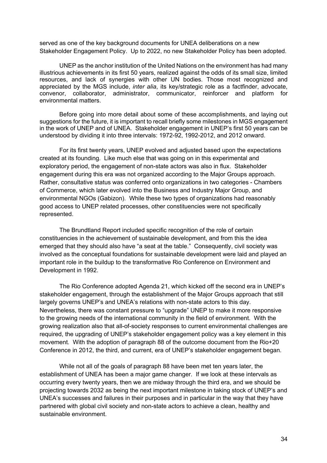served as one of the key background documents for UNEA deliberations on a new Stakeholder Engagement Policy. Up to 2022, no new Stakeholder Policy has been adopted.

UNEP as the anchor institution of the United Nations on the environment has had many illustrious achievements in its first 50 years, realized against the odds of its small size, limited resources, and lack of synergies with other UN bodies. Those most recognized and appreciated by the MGS include, *inter alia*, its key/strategic role as a factfinder, advocate, convenor, collaborator, administrator, communicator, reinforcer and platform for environmental matters.

Before going into more detail about some of these accomplishments, and laying out suggestions for the future, it is important to recall briefly some milestones in MGS engagement in the work of UNEP and of UNEA. Stakeholder engagement in UNEP's first 50 years can be understood by dividing it into three intervals: 1972-92, 1992-2012, and 2012 onward.

For its first twenty years, UNEP evolved and adjusted based upon the expectations created at its founding. Like much else that was going on in this experimental and exploratory period, the engagement of non-state actors was also in flux. Stakeholder engagement during this era was not organized according to the Major Groups approach. Rather, consultative status was conferred onto organizations in two categories - Chambers of Commerce, which later evolved into the Business and Industry Major Group, and environmental NGOs (Gabizon). While these two types of organizations had reasonably good access to UNEP related processes, other constituencies were not specifically represented.

The Brundtland Report included specific recognition of the role of certain constituencies in the achievement of sustainable development, and from this the idea emerged that they should also have "a seat at the table." Consequently, civil society was involved as the conceptual foundations for sustainable development were laid and played an important role in the buildup to the transformative Rio Conference on Environment and Development in 1992.

The Rio Conference adopted Agenda 21, which kicked off the second era in UNEP's stakeholder engagement, through the establishment of the Major Groups approach that still largely governs UNEP's and UNEA's relations with non-state actors to this day. Nevertheless, there was constant pressure to "upgrade" UNEP to make it more responsive to the growing needs of the international community in the field of environment. With the growing realization also that all-of-society responses to current environmental challenges are required, the upgrading of UNEP's stakeholder engagement policy was a key element in this movement. With the adoption of paragraph 88 of the outcome document from the Rio+20 Conference in 2012, the third, and current, era of UNEP's stakeholder engagement began.

While not all of the goals of paragraph 88 have been met ten years later, the establishment of UNEA has been a major game changer. If we look at these intervals as occurring every twenty years, then we are midway through the third era, and we should be projecting towards 2032 as being the next important milestone in taking stock of UNEP's and UNEA's successes and failures in their purposes and in particular in the way that they have partnered with global civil society and non-state actors to achieve a clean, healthy and sustainable environment.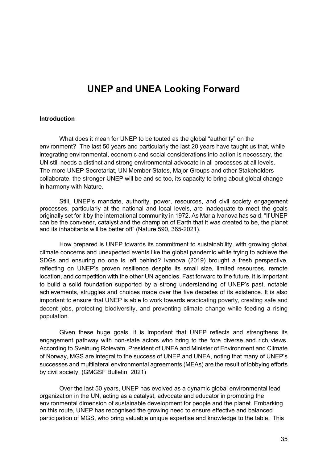### **UNEP and UNEA Looking Forward**

#### **Introduction**

What does it mean for UNEP to be touted as the global "authority" on the environment? The last 50 years and particularly the last 20 years have taught us that, while integrating environmental, economic and social considerations into action is necessary, the UN still needs a distinct and strong environmental advocate in all processes at all levels. The more UNEP Secretariat, UN Member States, Major Groups and other Stakeholders collaborate, the stronger UNEP will be and so too, its capacity to bring about global change in harmony with Nature.

Still, UNEP's mandate, authority, power, resources, and civil society engagement processes, particularly at the national and local levels, are inadequate to meet the goals originally set for it by the international community in 1972. As Maria Ivanova has said, "If UNEP can be the convener, catalyst and the champion of Earth that it was created to be, the planet and its inhabitants will be better off" (Nature 590, 365-2021).

How prepared is UNEP towards its commitment to sustainability, with growing global climate concerns and unexpected events like the global pandemic while trying to achieve the SDGs and ensuring no one is left behind? Ivanova (2019) brought a fresh perspective, reflecting on UNEP's proven resilience despite its small size, limited resources, remote location, and competition with the other UN agencies. Fast forward to the future, it is important to build a solid foundation supported by a strong understanding of UNEP's past, notable achievements, struggles and choices made over the five decades of its existence. It is also important to ensure that UNEP is able to work towards eradicating poverty, creating safe and decent jobs, protecting biodiversity, and preventing climate change while feeding a rising population.

Given these huge goals, it is important that UNEP reflects and strengthens its engagement pathway with non-state actors who bring to the fore diverse and rich views. According to Sveinung Rotevatn, President of UNEA and Minister of Environment and Climate of Norway, MGS are integral to the success of UNEP and UNEA, noting that many of UNEP's successes and multilateral environmental agreements (MEAs) are the result of lobbying efforts by civil society. (GMGSF Bulletin, 2021)

Over the last 50 years, UNEP has evolved as a dynamic global environmental lead organization in the UN, acting as a catalyst, advocate and educator in promoting the environmental dimension of sustainable development for people and the planet. Embarking on this route, UNEP has recognised the growing need to ensure effective and balanced participation of MGS, who bring valuable unique expertise and knowledge to the table. This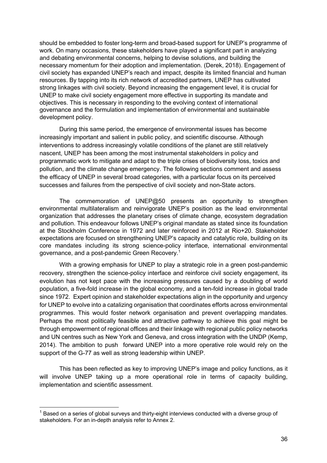should be embedded to foster long-term and broad-based support for UNEP's programme of work. On many occasions, these stakeholders have played a significant part in analyzing and debating environmental concerns, helping to devise solutions, and building the necessary momentum for their adoption and implementation. (Derek, 2018). Engagement of civil society has expanded UNEP's reach and impact, despite its limited financial and human resources. By tapping into its rich network of accredited partners, UNEP has cultivated strong linkages with civil society. Beyond increasing the engagement level, it is crucial for UNEP to make civil society engagement more effective in supporting its mandate and objectives. This is necessary in responding to the evolving context of international governance and the formulation and implementation of environmental and sustainable development policy.

During this same period, the emergence of environmental issues has become increasingly important and salient in public policy, and scientific discourse. Although interventions to address increasingly volatile conditions of the planet are still relatively nascent, UNEP has been among the most instrumental stakeholders in policy and programmatic work to mitigate and adapt to the triple crises of biodiversity loss, toxics and pollution, and the climate change emergency. The following sections comment and assess the efficacy of UNEP in several broad categories, with a particular focus on its perceived successes and failures from the perspective of civil society and non-State actors.

The commemoration of UNEP@50 presents an opportunity to strengthen environmental multilateralism and reinvigorate UNEP's position as the lead environmental organization that addresses the planetary crises of climate change, ecosystem degradation and pollution. This endeavour follows UNEP's original mandate as stated since its foundation at the Stockholm Conference in 1972 and later reinforced in 2012 at Rio+20. Stakeholder expectations are focused on strengthening UNEP's capacity and catalytic role, building on its core mandates including its strong science-policy interface, international environmental governance, and a post-pandemic Green Recovery.1

With a growing emphasis for UNEP to play a strategic role in a green post-pandemic recovery, strengthen the science-policy interface and reinforce civil society engagement, its evolution has not kept pace with the increasing pressures caused by a doubling of world population, a five-fold increase in the global economy, and a ten-fold increase in global trade since 1972. Expert opinion and stakeholder expectations align in the opportunity and urgency for UNEP to evolve into a catalizing organisation that coordinates efforts across environmental programmes. This would foster network organisation and prevent overlapping mandates. Perhaps the most politically feasible and attractive pathway to achieve this goal might be through empowerment of regional offices and their linkage with regional public policy networks and UN centres such as New York and Geneva, and cross integration with the UNDP (Kemp, 2014). The ambition to push forward UNEP into a more operative role would rely on the support of the G-77 as well as strong leadership within UNEP.

This has been reflected as key to improving UNEP's image and policy functions, as it will involve UNEP taking up a more operational role in terms of capacity building. implementation and scientific assessment.

 $<sup>1</sup>$  Based on a series of global surveys and thirty-eight interviews conducted with a diverse group of</sup> stakeholders. For an in-depth analysis refer to Annex 2.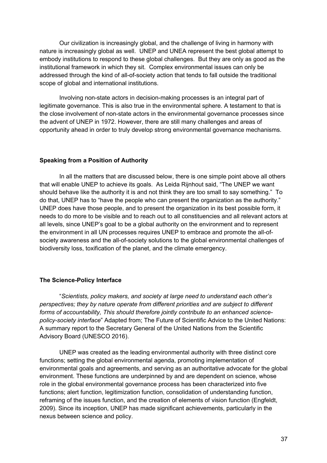Our civilization is increasingly global, and the challenge of living in harmony with nature is increasingly global as well. UNEP and UNEA represent the best global attempt to embody institutions to respond to these global challenges. But they are only as good as the institutional framework in which they sit. Complex environmental issues can only be addressed through the kind of all-of-society action that tends to fall outside the traditional scope of global and international institutions.

Involving non-state actors in decision-making processes is an integral part of legitimate governance. This is also true in the environmental sphere. A testament to that is the close involvement of non-state actors in the environmental governance processes since the advent of UNEP in 1972. However, there are still many challenges and areas of opportunity ahead in order to truly develop strong environmental governance mechanisms.

## **Speaking from a Position of Authority**

In all the matters that are discussed below, there is one simple point above all others that will enable UNEP to achieve its goals. As Leida Rijnhout said, "The UNEP we want should behave like the authority it is and not think they are too small to say something." To do that, UNEP has to "have the people who can present the organization as the authority." UNEP does have those people, and to present the organization in its best possible form, it needs to do more to be visible and to reach out to all constituencies and all relevant actors at all levels, since UNEP's goal to be a global authority on the environment and to represent the environment in all UN processes requires UNEP to embrace and promote the all-ofsociety awareness and the all-of-society solutions to the global environmental challenges of biodiversity loss, toxification of the planet, and the climate emergency.

### **The Science-Policy Interface**

"*Scientists, policy makers, and society at large need to understand each other's perspectives; they by nature operate from different priorities and are subject to different forms of accountability, This should therefore jointly contribute to an enhanced sciencepolicy-society interface*" Adapted from; The Future of Scientific Advice to the United Nations: A summary report to the Secretary General of the United Nations from the Scientific Advisory Board (UNESCO 2016).

UNEP was created as the leading environmental authority with three distinct core functions; setting the global environmental agenda, promoting implementation of environmental goals and agreements, and serving as an authoritative advocate for the global environment. These functions are underpinned by and are dependent on science, whose role in the global environmental governance process has been characterized into five functions; alert function, legitimization function, consolidation of understanding function, reframing of the issues function, and the creation of elements of vision function (Engfeldt, 2009). Since its inception, UNEP has made significant achievements, particularly in the nexus between science and policy.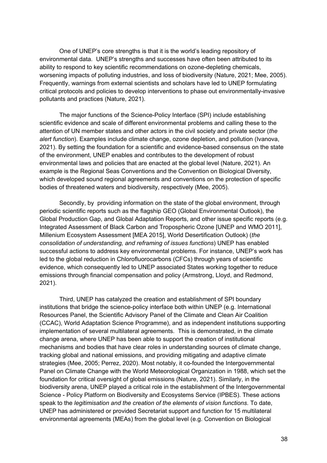One of UNEP's core strengths is that it is the world's leading repository of environmental data. UNEP's strengths and successes have often been attributed to its ability to respond to key scientific recommendations on ozone-depleting chemicals, worsening impacts of polluting industries, and loss of biodiversity (Nature, 2021; Mee, 2005). Frequently, warnings from external scientists and scholars have led to UNEP formulating critical protocols and policies to develop interventions to phase out environmentally-invasive pollutants and practices (Nature, 2021).

The major functions of the Science-Policy Interface (SPI) include establishing scientific evidence and scale of different environmental problems and calling these to the attention of UN member states and other actors in the civil society and private sector (*the alert function*). Examples include climate change, ozone depletion, and pollution (Ivanova, 2021). By setting the foundation for a scientific and evidence-based consensus on the state of the environment, UNEP enables and contributes to the development of robust environmental laws and policies that are enacted at the global level (Nature, 2021). An example is the Regional Seas Conventions and the Convention on Biological Diversity, which developed sound regional agreements and conventions on the protection of specific bodies of threatened waters and biodiversity, respectively (Mee, 2005).

Secondly, by providing information on the state of the global environment, through periodic scientific reports such as the flagship GEO (Global Environmental Outlook), the Global Production Gap, and Global Adaptation Reports, and other issue specific reports (e.g. Integrated Assessment of Black Carbon and Tropospheric Ozone [UNEP and WMO 2011], Millenium Ecosystem Assessment [MEA 2015], World Desertification Outlook) (*the consolidation of understanding, and reframing of issues functions*) UNEP has enabled successful actions to address key environmental problems. For instance, UNEP's work has led to the global reduction in Chlorofluorocarbons (CFCs) through years of scientific evidence, which consequently led to UNEP associated States working together to reduce emissions through financial compensation and policy (Armstrong, Lloyd, and Redmond, 2021).

Third, UNEP has catalyzed the creation and establishment of SPI boundary institutions that bridge the science-policy interface both within UNEP (e.g. International Resources Panel, the Scientific Advisory Panel of the Climate and Clean Air Coalition (CCAC), World Adaptation Science Programme), and as independent institutions supporting implementation of several multilateral agreements. This is demonstrated, in the climate change arena, where UNEP has been able to support the creation of institutional mechanisms and bodies that have clear roles in understanding sources of climate change, tracking global and national emissions, and providing mitigating and adaptive climate strategies (Mee, 2005; Perrez, 2020). Most notably, it co-founded the Intergovernmental Panel on Climate Change with the World Meteorological Organization in 1988, which set the foundation for critical oversight of global emissions (Nature, 2021). Similarly, in the biodiversity arena, UNEP played a critical role in the establishment of the Intergovernmental Science - Policy Platform on Biodiversity and Ecosystems Service (IPBES). These actions speak to the *legitimisation and the creation of the elements of vision functions*. To date, UNEP has administered or provided Secretariat support and function for 15 multilateral environmental agreements (MEAs) from the global level (e.g. Convention on Biological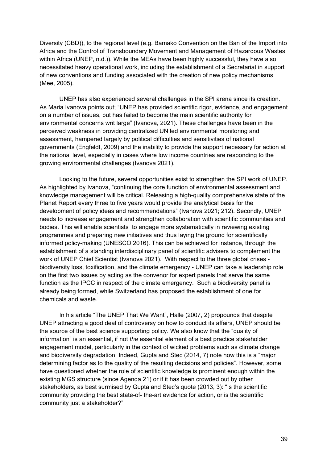Diversity (CBD)), to the regional level (e.g. Bamako Convention on the Ban of the Import into Africa and the Control of Transboundary Movement and Management of Hazardous Wastes within Africa (UNEP, n.d.)). While the MEAs have been highly successful, they have also necessitated heavy operational work, including the establishment of a Secretariat in support of new conventions and funding associated with the creation of new policy mechanisms (Mee, 2005).

UNEP has also experienced several challenges in the SPI arena since its creation. As Maria Ivanova points out; "UNEP has provided scientific rigor, evidence, and engagement on a number of issues, but has failed to become the main scientific authority for environmental concerns writ large" (Ivanova, 2021). These challenges have been in the perceived weakness in providing centralized UN led environmental monitoring and assessment, hampered largely by political difficulties and sensitivities of national governments (Engfeldt, 2009) and the inability to provide the support necessary for action at the national level, especially in cases where low income countries are responding to the growing environmental challenges (Ivanova 2021).

Looking to the future, several opportunities exist to strengthen the SPI work of UNEP. As highlighted by Ivanova, "continuing the core function of environmental assessment and knowledge management will be critical. Releasing a high-quality comprehensive state of the Planet Report every three to five years would provide the analytical basis for the development of policy ideas and recommendations" (Ivanova 2021; 212). Secondly, UNEP needs to increase engagement and strengthen collaboration with scientific communities and bodies. This will enable scientists to engage more systematically in reviewing existing programmes and preparing new initiatives and thus laying the ground for scientifically informed policy-making (UNESCO 2016). This can be achieved for instance, through the establishment of a standing interdisciplinary panel of scientific advisers to complement the work of UNEP Chief Scientist (Ivanova 2021). With respect to the three global crises biodiversity loss, toxification, and the climate emergency - UNEP can take a leadership role on the first two issues by acting as the convenor for expert panels that serve the same function as the IPCC in respect of the climate emergency. Such a biodiversity panel is already being formed, while Switzerland has proposed the establishment of one for chemicals and waste.

In his article "The UNEP That We Want", Halle (2007, 2) propounds that despite UNEP attracting a good deal of controversy on how to conduct its affairs, UNEP should be the source of the best science supporting policy. We also know that the "quality of information" is an essential, if not *the* essential element of a best practice stakeholder engagement model, particularly in the context of wicked problems such as climate change and biodiversity degradation. Indeed, Gupta and Stec (2014, 7) note how this is a "major determining factor as to the quality of the resulting decisions and policies". However, some have questioned whether the role of scientific knowledge is prominent enough within the existing MGS structure (since Agenda 21) or if it has been crowded out by other stakeholders, as best surmised by Gupta and Stec's quote (2013, 3): "Is the scientific community providing the best state-of- the-art evidence for action, or is the scientific community just a stakeholder?"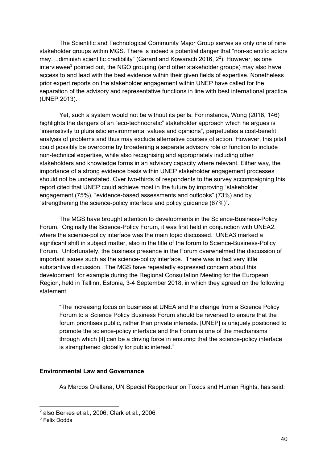The Scientific and Technological Community Major Group serves as only one of nine stakeholder groups within MGS. There is indeed a potential danger that "non-scientific actors may....diminish scientific credibility" (Garard and Kowarsch 2016,  $2^2$ ). However, as one interviewee<sup>3</sup> pointed out, the NGO grouping (and other stakeholder groups) may also have access to and lead with the best evidence within their given fields of expertise. Nonetheless prior expert reports on the stakeholder engagement within UNEP have called for the separation of the advisory and representative functions in line with best international practice (UNEP 2013).

Yet, such a system would not be without its perils. For instance, Wong (2016, 146) highlights the dangers of an "eco-technocratic" stakeholder approach which he argues is "insensitivity to pluralistic environmental values and opinions", perpetuates a cost-benefit analysis of problems and thus may exclude alternative courses of action. However, this pitall could possibly be overcome by broadening a separate advisory role or function to include non-technical expertise, while also recognising and appropriately including other stakeholders and knowledge forms in an advisory capacity where relevant. Either way, the importance of a strong evidence basis within UNEP stakeholder engagement processes should not be understated. Over two-thirds of respondents to the survey accompaigning this report cited that UNEP could achieve most in the future by improving "stakeholder engagement (75%), "evidence-based assessments and outlooks" (73%) and by "strengthening the science-policy interface and policy guidance (67%)".

The MGS have brought attention to developments in the Science-Business-Policy Forum. Originally the Science-Policy Forum, it was first held in conjunction with UNEA2, where the science-policy interface was the main topic discussed. UNEA3 marked a significant shift in subject matter, also in the title of the forum to Science-Business-Policy Forum. Unfortunately, the business presence in the Forum overwhelmed the discussion of important issues such as the science-policy interface. There was in fact very little substantive discussion. The MGS have repeatedly expressed concern about this development, for example during the Regional Consultation Meeting for the European Region, held in Tallinn, Estonia, 3-4 September 2018, in which they agreed on the following statement:

"The increasing focus on business at UNEA and the change from a Science Policy Forum to a Science Policy Business Forum should be reversed to ensure that the forum prioritises public, rather than private interests. [UNEP] is uniquely positioned to promote the science-policy interface and the Forum is one of the mechanisms through which [it] can be a driving force in ensuring that the science-policy interface is strengthened globally for public interest."

## **Environmental Law and Governance**

As Marcos Orellana, UN Special Rapporteur on Toxics and Human Rights, has said:

 $2$  also Berkes et al., 2006; Clark et al., 2006

<sup>3</sup> Felix Dodds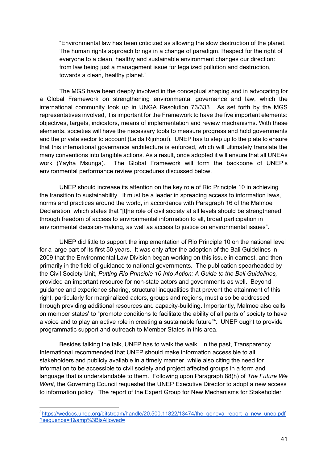"Environmental law has been criticized as allowing the slow destruction of the planet. The human rights approach brings in a change of paradigm. Respect for the right of everyone to a clean, healthy and sustainable environment changes our direction: from law being just a management issue for legalized pollution and destruction, towards a clean, healthy planet."

The MGS have been deeply involved in the conceptual shaping and in advocating for a Global Framework on strengthening environmental governance and law, which the international community took up in UNGA Resolution 73/333. As set forth by the MGS representatives involved, it is important for the Framework to have the five important elements: objectives, targets, indicators, means of implementation and review mechanisms. With these elements, societies will have the necessary tools to measure progress and hold governments and the private sector to account (Leida Rijnhout). UNEP has to step up to the plate to ensure that this international governance architecture is enforced, which will ultimately translate the many conventions into tangible actions. As a result, once adopted it will ensure that all UNEAs work (Yayha Msunga). The Global Framework will form the backbone of UNEP's environmental performance review procedures discussed below.

UNEP should increase its attention on the key role of Rio Principle 10 in achieving the transition to sustainability. It must be a leader in spreading access to information laws, norms and practices around the world, in accordance with Paragraph 16 of the Malmoe Declaration, which states that "[t]he role of civil society at all levels should be strengthened through freedom of access to environmental information to all, broad participation in environmental decision-making, as well as access to justice on environmental issues".

UNEP did little to support the implementation of Rio Principle 10 on the national level for a large part of its first 50 years. It was only after the adoption of the Bali Guidelines in 2009 that the Environmental Law Division began working on this issue in earnest, and then primarily in the field of guidance to national governments. The publication spearheaded by the Civil Society Unit, *Putting Rio Principle 10 Into Action: A Guide to the Bali Guidelines,*  provided an important resource for non-state actors and governments as well. Beyond guidance and experience sharing, structural inequalities that prevent the attainment of this right, particularly for marginalized actors, groups and regions, must also be addressed through providing additional resources and capacity-building. Importantly, Malmoe also calls on member states' to "promote conditions to facilitate the ability of all parts of society to have a voice and to play an active role in creating a sustainable future"<sup>4</sup>. UNEP ought to provide programmatic support and outreach to Member States in this area.

Besides talking the talk, UNEP has to walk the walk. In the past, Transparency International recommended that UNEP should make information accessible to all stakeholders and publicly available in a timely manner, while also citing the need for information to be accessible to civil society and project affected groups in a form and language that is understandable to them. Following upon Paragraph 88(h) of *The Future We Want, the Governing Council requested the UNEP Executive Director to adopt a new access* to information policy. The report of the Expert Group for New Mechanisms for Stakeholder

<sup>&</sup>lt;sup>4</sup>https://wedocs.unep.org/bitstream/handle/20.500.11822/13474/the\_geneva\_report\_a\_new\_unep.pdf ?sequence=1&amp%3BisAllowed=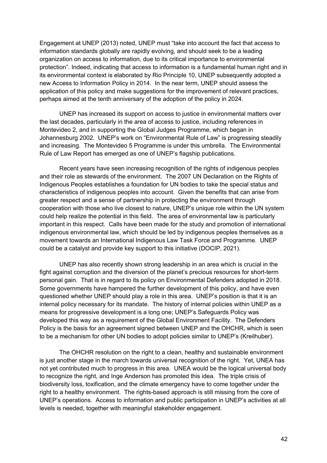Engagement at UNEP (2013) noted, UNEP must "take into account the fact that access to information standards globally are rapidly evolving, and should seek to be a leading organization on access to information, due to its critical importance to environmental protection". Indeed, indicating that access to information is a fundamental human right and in its environmental context is elaborated by Rio Principle 10, UNEP subsequently adopted a new Access to Information Policy in 2014. In the near term, UNEP should assess the application of this policy and make suggestions for the improvement of relevant practices, perhaps aimed at the tenth anniversary of the adoption of the policy in 2024.

UNEP has increased its support on access to justice in environmental matters over the last decades, particularly in the area of access to justice, including references in Montevideo 2, and in supporting the Global Judges Programme, which began in Johannesburg 2002. UNEP's work on "Environmental Rule of Law" is progressing steadily and increasing. The Montevideo 5 Programme is under this umbrella. The Environmental Rule of Law Report has emerged as one of UNEP's flagship publications.

Recent years have seen increasing recognition of the rights of indigenous peoples and their role as stewards of the environment. The 2007 UN Declaration on the Rights of Indigenous Peoples establishes a foundation for UN bodies to take the special status and characteristics of indigenous peoples into account. Given the benefits that can arise from greater respect and a sense of partnership in protecting the environment through cooperation with those who live closest to nature, UNEP's unique role within the UN system could help realize the potential in this field. The area of environmental law is particularly important in this respect. Calls have been made for the study and promotion of international indigenous environmental law, which should be led by indigenous peoples themselves as a movement towards an International Indigenous Law Task Force and Programme. UNEP could be a catalyst and provide key support to this initiative (DOCIP, 2021).

UNEP has also recently shown strong leadership in an area which is crucial in the fight against corruption and the diversion of the planet's precious resources for short-term personal gain. That is in regard to its policy on Environmental Defenders adopted in 2018. Some governments have hampered the further development of this policy, and have even questioned whether UNEP should play a role in this area. UNEP's position is that it is an internal policy necessary for its mandate. The history of internal policies within UNEP as a means for progressive development is a long one; UNEP's Safeguards Policy was developed this way as a requirement of the Global Environment Facility. The Defenders Policy is the basis for an agreement signed between UNEP and the OHCHR, which is seen to be a mechanism for other UN bodies to adopt policies similar to UNEP's (Kreilhuber).

The OHCHR resolution on the right to a clean, healthy and sustainable environment is just another stage in the march towards universal recognition of the right. Yet, UNEA has not yet contributed much to progress in this area. UNEA would be the logical universal body to recognize the right, and Inge Anderson has promoted this idea. The triple crisis of biodiversity loss, toxification, and the climate emergency have to come together under the right to a healthy environment. The rights-based approach is still missing from the core of UNEP's operations. Access to information and public participation in UNEP's activities at all levels is needed, together with meaningful stakeholder engagement.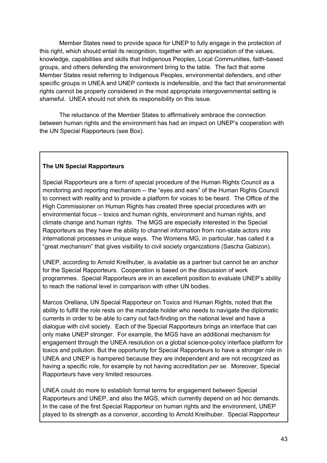Member States need to provide space for UNEP to fully engage in the protection of this right, which should entail its recognition, together with an appreciation of the values, knowledge, capabilities and skills that Indigenous Peoples, Local Communities, faith-based groups, and others defending the environment bring to the table. The fact that some Member States resist referring to Indigenous Peoples, environmental defenders, and other specific groups in UNEA and UNEP contexts is indefensible, and the fact that environmental rights cannot be properly considered in the most appropriate intergovernmental setting is shameful. UNEA should not shirk its responsibility on this issue.

The reluctance of the Member States to affirmatively embrace the connection between human rights and the environment has had an impact on UNEP's cooperation with the UN Special Rapporteurs (see Box).

# **The UN Special Rapporteurs**

Special Rapporteurs are a form of special procedure of the Human Rights Council as a monitoring and reporting mechanism -- the "eyes and ears" of the Human Rights Council to connect with reality and to provide a platform for voices to be heard. The Office of the High Commissioner on Human Rights has created three special procedures with an environmental focus – toxics and human rights, environment and human rights, and climate change and human rights. The MGS are especially interested in the Special Rapporteurs as they have the ability to channel information from non-state actors into international processes in unique ways. The Womens MG, in particular, has called it a "great mechanism" that gives visibility to civil society organizations (Sascha Gabizon).

UNEP, according to Arnold Kreilhuber, is available as a partner but cannot be an anchor for the Special Rapporteurs. Cooperation is based on the discussion of work programmes. Special Rapporteurs are in an excellent position to evaluate UNEP's ability to reach the national level in comparison with other UN bodies.

Marcos Orellana, UN Special Rapporteur on Toxics and Human Rights, noted that the ability to fulfill the role rests on the mandate holder who needs to navigate the diplomatic currents in order to be able to carry out fact-finding on the national level and have a dialogue with civil society. Each of the Special Rapporteurs brings an interface that can only make UNEP stronger. For example, the MGS have an additional mechanism for engagement through the UNEA resolution on a global science-policy interface platform for toxics and pollution. But the opportunity for Special Rapporteurs to have a stronger role in UNEA and UNEP is hampered because they are independent and are not recognized as having a specific role, for example by not having accreditation *per se*. Moreover, Special Rapporteurs have very limited resources.

UNEA could do more to establish formal terms for engagement between Special Rapporteurs and UNEP, and also the MGS, which currently depend on ad hoc demands. In the case of the first Special Rapporteur on human rights and the environment, UNEP played to its strength as a convenor, according to Arnold Kreilhuber. Special Rapporteur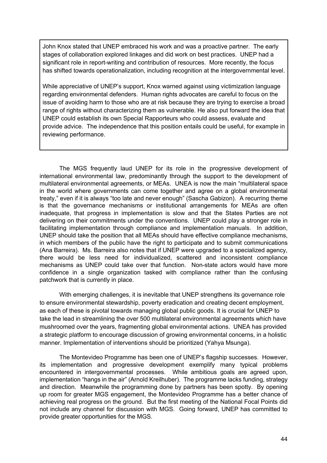John Knox stated that UNEP embraced his work and was a proactive partner. The early stages of collaboration explored linkages and did work on best practices. UNEP had a significant role in report-writing and contribution of resources. More recently, the focus has shifted towards operationalization, including recognition at the intergovernmental level.

While appreciative of UNEP's support, Knox warned against using victimization language regarding environmental defenders. Human rights advocates are careful to focus on the issue of avoiding harm to those who are at risk because they are trying to exercise a broad range of rights without characterizing them as vulnerable. He also put forward the idea that UNEP could establish its own Special Rapporteurs who could assess, evaluate and provide advice. The independence that this position entails could be useful, for example in reviewing performance.

The MGS frequently laud UNEP for its role in the progressive development of international environmental law, predominantly through the support to the development of multilateral environmental agreements, or MEAs. UNEA is now the main "multilateral space in the world where governments can come together and agree on a global environmental treaty," even if it is always "too late and never enough" (Sascha Gabizon). A recurring theme is that the governance mechanisms or institutional arrangements for MEAs are often inadequate, that progress in implementation is slow and that the States Parties are not delivering on their commitments under the conventions. UNEP could play a stronger role in facilitating implementation through compliance and implementation manuals. In addition, UNEP should take the position that all MEAs should have effective compliance mechanisms, in which members of the public have the right to participate and to submit communications (Ana Barreira). Ms. Barreira also notes that if UNEP were upgraded to a specialized agency, there would be less need for individualized, scattered and inconsistent compliance mechanisms as UNEP could take over that function. Non-state actors would have more confidence in a single organization tasked with compliance rather than the confusing patchwork that is currently in place.

With emerging challenges, it is inevitable that UNEP strengthens its governance role to ensure environmental stewardship, poverty eradication and creating decent employment, as each of these is pivotal towards managing global public goods. It is crucial for UNEP to take the lead in streamlining the over 500 multilateral environmental agreements which have mushroomed over the years, fragmenting global environmental actions. UNEA has provided a strategic platform to encourage discussion of growing environmental concerns, in a holistic manner. Implementation of interventions should be prioritized (Yahya Msunga).

The Montevideo Programme has been one of UNEP's flagship successes. However, its implementation and progressive development exemplify many typical problems encountered in intergovernmental processes. While ambitious goals are agreed upon, implementation "hangs in the air" (Arnold Kreilhuber). The programme lacks funding, strategy and direction. Meanwhile the programming done by partners has been spotty. By opening up room for greater MGS engagement, the Montevideo Programme has a better chance of achieving real progress on the ground. But the first meeting of the National Focal Points did not include any channel for discussion with MGS. Going forward, UNEP has committed to provide greater opportunities for the MGS.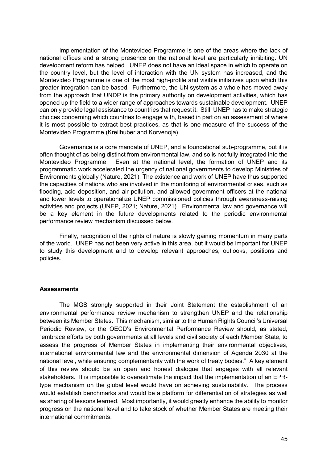Implementation of the Montevideo Programme is one of the areas where the lack of national offices and a strong presence on the national level are particularly inhibiting. UN development reform has helped. UNEP does not have an ideal space in which to operate on the country level, but the level of interaction with the UN system has increased, and the Montevideo Programme is one of the most high-profile and visible initiatives upon which this greater integration can be based. Furthermore, the UN system as a whole has moved away from the approach that UNDP is the primary authority on development activities, which has opened up the field to a wider range of approaches towards sustainable development. UNEP can only provide legal assistance to countries that request it. Still, UNEP has to make strategic choices concerning which countries to engage with, based in part on an assessment of where it is most possible to extract best practices, as that is one measure of the success of the Montevideo Programme (Kreilhuber and Korvenoja).

Governance is a core mandate of UNEP, and a foundational sub-programme, but it is often thought of as being distinct from environmental law, and so is not fully integrated into the Montevideo Programme. Even at the national level, the formation of UNEP and its programmatic work accelerated the urgency of national governments to develop Ministries of Environments globally (Nature, 2021). The existence and work of UNEP have thus supported the capacities of nations who are involved in the monitoring of environmental crises, such as flooding, acid deposition, and air pollution, and allowed government officers at the national and lower levels to operationalize UNEP commissioned policies through awareness-raising activities and projects (UNEP, 2021; Nature, 2021). Environmental law and governance will be a key element in the future developments related to the periodic environmental performance review mechanism discussed below.

Finally, recognition of the rights of nature is slowly gaining momentum in many parts of the world. UNEP has not been very active in this area, but it would be important for UNEP to study this development and to develop relevant approaches, outlooks, positions and policies.

## **Assessments**

The MGS strongly supported in their Joint Statement the establishment of an environmental performance review mechanism to strengthen UNEP and the relationship between its Member States. This mechanism, similar to the Human Rights Council's Universal Periodic Review, or the OECD's Environmental Performance Review should, as stated, "embrace efforts by both governments at all levels and civil society of each Member State, to assess the progress of Member States in implementing their environmental objectives, international environmental law and the environmental dimension of Agenda 2030 at the national level, while ensuring complementarity with the work of treaty bodies." A key element of this review should be an open and honest dialogue that engages with all relevant stakeholders. It is impossible to overestimate the impact that the implementation of an EPRtype mechanism on the global level would have on achieving sustainability. The process would establish benchmarks and would be a platform for differentiation of strategies as well as sharing of lessons learned. Most importantly, it would greatly enhance the ability to monitor progress on the national level and to take stock of whether Member States are meeting their international commitments.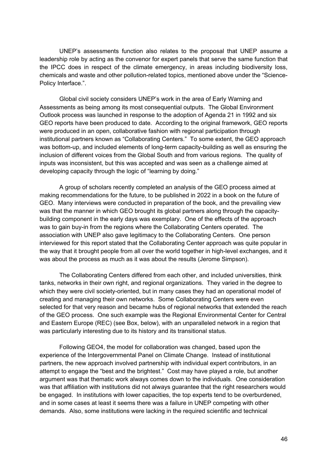UNEP's assessments function also relates to the proposal that UNEP assume a leadership role by acting as the convenor for expert panels that serve the same function that the IPCC does in respect of the climate emergency, in areas including biodiversity loss, chemicals and waste and other pollution-related topics, mentioned above under the "Science-Policy Interface.".

Global civil society considers UNEP's work in the area of Early Warning and Assessments as being among its most consequential outputs. The Global Environment Outlook process was launched in response to the adoption of Agenda 21 in 1992 and six GEO reports have been produced to date. According to the original framework, GEO reports were produced in an open, collaborative fashion with regional participation through institutional partners known as "Collaborating Centers." To some extent, the GEO approach was bottom-up, and included elements of long-term capacity-building as well as ensuring the inclusion of different voices from the Global South and from various regions. The quality of inputs was inconsistent, but this was accepted and was seen as a challenge aimed at developing capacity through the logic of "learning by doing."

A group of scholars recently completed an analysis of the GEO process aimed at making recommendations for the future, to be published in 2022 in a book on the future of GEO. Many interviews were conducted in preparation of the book, and the prevailing view was that the manner in which GEO brought its global partners along through the capacitybuilding component in the early days was exemplary. One of the effects of the approach was to gain buy-in from the regions where the Collaborating Centers operated. The association with UNEP also gave legitimacy to the Collaborating Centers. One person interviewed for this report stated that the Collaborating Center approach was quite popular in the way that it brought people from all over the world together in high-level exchanges, and it was about the process as much as it was about the results (Jerome Simpson).

The Collaborating Centers differed from each other, and included universities, think tanks, networks in their own right, and regional organizations. They varied in the degree to which they were civil society-oriented, but in many cases they had an operational model of creating and managing their own networks. Some Collaborating Centers were even selected for that very reason and became hubs of regional networks that extended the reach of the GEO process. One such example was the Regional Environmental Center for Central and Eastern Europe (REC) (see Box, below), with an unparalleled network in a region that was particularly interesting due to its history and its transitional status.

Following GEO4, the model for collaboration was changed, based upon the experience of the Intergovernmental Panel on Climate Change. Instead of institutional partners, the new approach involved partnership with individual expert contributors, in an attempt to engage the "best and the brightest." Cost may have played a role, but another argument was that thematic work always comes down to the individuals. One consideration was that affiliation with institutions did not always guarantee that the right researchers would be engaged. In institutions with lower capacities, the top experts tend to be overburdened, and in some cases at least it seems there was a failure in UNEP competing with other demands. Also, some institutions were lacking in the required scientific and technical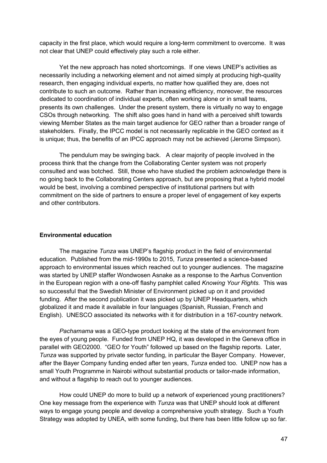capacity in the first place, which would require a long-term commitment to overcome. It was not clear that UNEP could effectively play such a role either.

Yet the new approach has noted shortcomings. If one views UNEP's activities as necessarily including a networking element and not aimed simply at producing high-quality research, then engaging individual experts, no matter how qualified they are, does not contribute to such an outcome. Rather than increasing efficiency, moreover, the resources dedicated to coordination of individual experts, often working alone or in small teams, presents its own challenges. Under the present system, there is virtually no way to engage CSOs through networking. The shift also goes hand in hand with a perceived shift towards viewing Member States as the main target audience for GEO rather than a broader range of stakeholders. Finally, the IPCC model is not necessarily replicable in the GEO context as it is unique; thus, the benefits of an IPCC approach may not be achieved (Jerome Simpson).

The pendulum may be swinging back. A clear majority of people involved in the process think that the change from the Collaborating Center system was not properly consulted and was botched. Still, those who have studied the problem acknowledge there is no going back to the Collaborating Centers approach, but are proposing that a hybrid model would be best, involving a combined perspective of institutional partners but with commitment on the side of partners to ensure a proper level of engagement of key experts and other contributors.

### **Environmental education**

The magazine *Tunza* was UNEP's flagship product in the field of environmental education. Published from the mid-1990s to 2015, *Tunza* presented a science-based approach to environmental issues which reached out to younger audiences. The magazine was started by UNEP staffer Wondwosen Asnake as a response to the Aarhus Convention in the European region with a one-off flashy pamphlet called *Knowing Your Rights.* This was so successful that the Swedish Minister of Environment picked up on it and provided funding. After the second publication it was picked up by UNEP Headquarters, which globalized it and made it available in four languages (Spanish, Russian, French and English). UNESCO associated its networks with it for distribution in a 167-country network.

*Pachamama* was a GEO-type product looking at the state of the environment from the eyes of young people. Funded from UNEP HQ, it was developed in the Geneva office in parallel with GEO2000. "GEO for Youth" followed up based on the flagship reports. Later, *Tunza* was supported by private sector funding, in particular the Bayer Company. However, after the Bayer Company funding ended after ten years, *Tunza* ended too. UNEP now has a small Youth Programme in Nairobi without substantial products or tailor-made information, and without a flagship to reach out to younger audiences.

How could UNEP do more to build up a network of experienced young practitioners? One key message from the experience with *Tunza* was that UNEP should look at different ways to engage young people and develop a comprehensive youth strategy. Such a Youth Strategy was adopted by UNEA, with some funding, but there has been little follow up so far.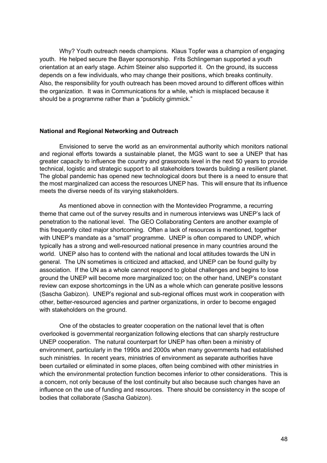Why? Youth outreach needs champions. Klaus Topfer was a champion of engaging youth. He helped secure the Bayer sponsorship. Frits Schlingeman supported a youth orientation at an early stage. Achim Steiner also supported it. On the ground, its success depends on a few individuals, who may change their positions, which breaks continuity. Also, the responsibility for youth outreach has been moved around to different offices within the organization. It was in Communications for a while, which is misplaced because it should be a programme rather than a "publicity gimmick."

### **National and Regional Networking and Outreach**

Envisioned to serve the world as an environmental authority which monitors national and regional efforts towards a sustainable planet, the MGS want to see a UNEP that has greater capacity to influence the country and grassroots level in the next 50 years to provide technical, logistic and strategic support to all stakeholders towards building a resilient planet. The global pandemic has opened new technological doors but there is a need to ensure that the most marginalized can access the resources UNEP has. This will ensure that its influence meets the diverse needs of its varying stakeholders.

As mentioned above in connection with the Montevideo Programme, a recurring theme that came out of the survey results and in numerous interviews was UNEP's lack of penetration to the national level. The GEO Collaborating Centers are another example of this frequently cited major shortcoming. Often a lack of resources is mentioned, together with UNEP's mandate as a "small" programme. UNEP is often compared to UNDP, which typically has a strong and well-resourced national presence in many countries around the world. UNEP also has to contend with the national and local attitudes towards the UN in general. The UN sometimes is criticized and attacked, and UNEP can be found guilty by association. If the UN as a whole cannot respond to global challenges and begins to lose ground the UNEP will become more marginalized too; on the other hand, UNEP's constant review can expose shortcomings in the UN as a whole which can generate positive lessons (Sascha Gabizon). UNEP's regional and sub-regional offices must work in cooperation with other, better-resourced agencies and partner organizations, in order to become engaged with stakeholders on the ground.

One of the obstacles to greater cooperation on the national level that is often overlooked is governmental reorganization following elections that can sharply restructure UNEP cooperation. The natural counterpart for UNEP has often been a ministry of environment, particularly in the 1990s and 2000s when many governments had established such ministries. In recent years, ministries of environment as separate authorities have been curtailed or eliminated in some places, often being combined with other ministries in which the environmental protection function becomes inferior to other considerations. This is a concern, not only because of the lost continuity but also because such changes have an influence on the use of funding and resources. There should be consistency in the scope of bodies that collaborate (Sascha Gabizon).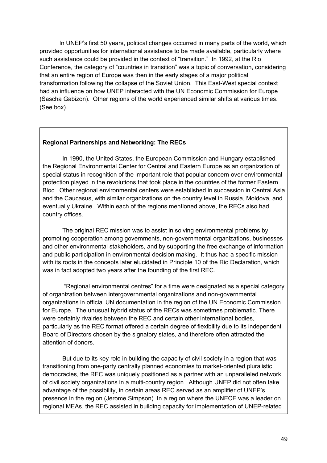In UNEP's first 50 years, political changes occurred in many parts of the world, which provided opportunities for international assistance to be made available, particularly where such assistance could be provided in the context of "transition." In 1992, at the Rio Conference, the category of "countries in transition" was a topic of conversation, considering that an entire region of Europe was then in the early stages of a major political transformation following the collapse of the Soviet Union. This East-West special context had an influence on how UNEP interacted with the UN Economic Commission for Europe (Sascha Gabizon). Other regions of the world experienced similar shifts at various times. (See box).

## **Regional Partnerships and Networking: The RECs**

In 1990, the United States, the European Commission and Hungary established the Regional Environmental Center for Central and Eastern Europe as an organization of special status in recognition of the important role that popular concern over environmental protection played in the revolutions that took place in the countries of the former Eastern Bloc. Other regional environmental centers were established in succession in Central Asia and the Caucasus, with similar organizations on the country level in Russia, Moldova, and eventually Ukraine. Within each of the regions mentioned above, the RECs also had country offices.

The original REC mission was to assist in solving environmental problems by promoting cooperation among governments, non-governmental organizations, businesses and other environmental stakeholders, and by supporting the free exchange of information and public participation in environmental decision making. It thus had a specific mission with its roots in the concepts later elucidated in Principle 10 of the Rio Declaration, which was in fact adopted two years after the founding of the first REC.

"Regional environmental centres" for a time were designated as a special category of organization between intergovernmental organizations and non-governmental organizations in official UN documentation in the region of the UN Economic Commission for Europe. The unusual hybrid status of the RECs was sometimes problematic. There were certainly rivalries between the REC and certain other international bodies, particularly as the REC format offered a certain degree of flexibility due to its independent Board of Directors chosen by the signatory states, and therefore often attracted the attention of donors.

But due to its key role in building the capacity of civil society in a region that was transitioning from one-party centrally planned economies to market-oriented pluralistic democracies, the REC was uniquely positioned as a partner with an unparalleled network of civil society organizations in a multi-country region. Although UNEP did not often take advantage of the possibility, in certain areas REC served as an amplifier of UNEP's presence in the region (Jerome Simpson). In a region where the UNECE was a leader on regional MEAs, the REC assisted in building capacity for implementation of UNEP-related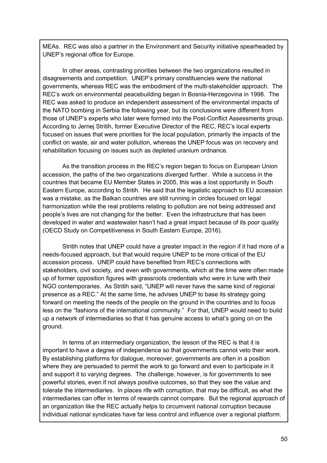MEAs. REC was also a partner in the Environment and Security initiative spearheaded by UNEP's regional office for Europe.

In other areas, contrasting priorities between the two organizations resulted in disagreements and competition. UNEP's primary constituencies were the national governments, whereas REC was the embodiment of the multi-stakeholder approach. The REC's work on environmental peacebuilding began in Bosnia-Herzegovina in 1998. The REC was asked to produce an independent assessment of the environmental impacts of the NATO bombing in Serbia the following year, but its conclusions were different from those of UNEP's experts who later were formed into the Post-Conflict Assessments group. According to Jernej Stritih, former Executive Director of the REC, REC's local experts focused on issues that were priorities for the local population, primarily the impacts of the conflict on waste, air and water pollution, whereas the UNEP focus was on recovery and rehabilitation focusing on issues such as depleted uranium ordnance.

As the transition process in the REC's region began to focus on European Union accession, the paths of the two organizations diverged further. While a success in the countries that became EU Member States in 2005, this was a lost opportunity in South Eastern Europe, according to Stritih. He said that the legalistic approach to EU accession was a mistake, as the Balkan countries are still running in circles focused on legal harmonization while the real problems relating to pollution are not being addressed and people's lives are not changing for the better. Even the infrastructure that has been developed in water and wastewater hasn't had a great impact because of its poor quality (OECD Study on Competitiveness in South Eastern Europe, 2016).

Stritih notes that UNEP could have a greater impact in the region if it had more of a needs-focused approach, but that would require UNEP to be more critical of the EU accession process. UNEP could have benefited from REC's connections with stakeholders, civil society, and even with governments, which at the time were often made up of former opposition figures with grassroots credentials who were in tune with their NGO contemporaries. As Stritih said, "UNEP will never have the same kind of regional presence as a REC." At the same time, he advises UNEP to base its strategy going forward on meeting the needs of the people on the ground in the countries and to focus less on the "fashions of the international community." For that, UNEP would need to build up a network of intermediaries so that it has genuine access to what's going on on the ground.

In terms of an intermediary organization, the lesson of the REC is that it is important to have a degree of independence so that governments cannot veto their work. By establishing platforms for dialogue, moreover, governments are often in a position where they are persuaded to permit the work to go forward and even to participate in it and support it to varying degrees. The challenge, however, is for governments to see powerful stories, even if not always positive outcomes, so that they see the value and tolerate the intermediaries. In places rife with corruption, that may be difficult, as what the intermediaries can offer in terms of rewards cannot compare. But the regional approach of an organization like the REC actually helps to circumvent national corruption because individual national syndicates have far less control and influence over a regional platform.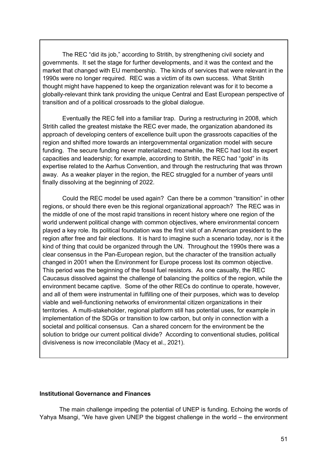The REC "did its job," according to Stritih, by strengthening civil society and governments. It set the stage for further developments, and it was the context and the market that changed with EU membership. The kinds of services that were relevant in the 1990s were no longer required. REC was a victim of its own success. What Stritih thought might have happened to keep the organization relevant was for it to become a globally-relevant think tank providing the unique Central and East European perspective of transition and of a political crossroads to the global dialogue.

Eventually the REC fell into a familiar trap. During a restructuring in 2008, which Stritih called the greatest mistake the REC ever made, the organization abandoned its approach of developing centers of excellence built upon the grassroots capacities of the region and shifted more towards an intergovernmental organization model with secure funding. The secure funding never materialized; meanwhile, the REC had lost its expert capacities and leadership; for example, according to Stritih, the REC had "gold" in its expertise related to the Aarhus Convention, and through the restructuring that was thrown away. As a weaker player in the region, the REC struggled for a number of years until finally dissolving at the beginning of 2022.

Could the REC model be used again? Can there be a common "transition" in other regions, or should there even be this regional organizational approach? The REC was in the middle of one of the most rapid transitions in recent history where one region of the world underwent political change with common objectives, where environmental concern played a key role. Its political foundation was the first visit of an American president to the region after free and fair elections. It is hard to imagine such a scenario today, nor is it the kind of thing that could be organized through the UN. Throughout the 1990s there was a clear consensus in the Pan-European region, but the character of the transition actually changed in 2001 when the Environment for Europe process lost its common objective. This period was the beginning of the fossil fuel resistors. As one casualty, the REC Caucasus dissolved against the challenge of balancing the politics of the region, while the environment became captive. Some of the other RECs do continue to operate, however, and all of them were instrumental in fulfilling one of their purposes, which was to develop viable and well-functioning networks of environmental citizen organizations in their territories. A multi-stakeholder, regional platform still has potential uses, for example in implementation of the SDGs or transition to low carbon, but only in connection with a societal and political consensus. Can a shared concern for the environment be the solution to bridge our current political divide? According to conventional studies, political divisiveness is now irreconcilable (Macy et al., 2021).

## **Institutional Governance and Finances**

The main challenge impeding the potential of UNEP is funding. Echoing the words of Yahya Msangi, "We have given UNEP the biggest challenge in the world – the environment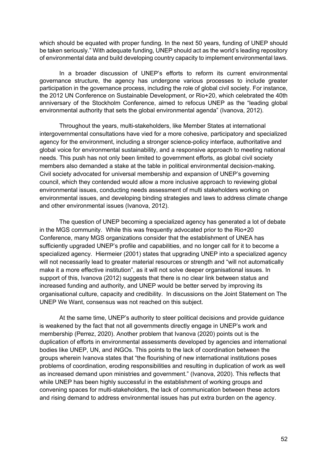which should be equated with proper funding. In the next 50 years, funding of UNEP should be taken seriously." With adequate funding, UNEP should act as the world's leading repository of environmental data and build developing country capacity to implement environmental laws.

In a broader discussion of UNEP's efforts to reform its current environmental governance structure, the agency has undergone various processes to include greater participation in the governance process, including the role of global civil society. For instance, the 2012 UN Conference on Sustainable Development, or Rio+20, which celebrated the 40th anniversary of the Stockholm Conference, aimed to refocus UNEP as the "leading global environmental authority that sets the global environmental agenda" (Ivanova, 2012).

Throughout the years, multi-stakeholders, like Member States at international intergovernmental consultations have vied for a more cohesive, participatory and specialized agency for the environment, including a stronger science-policy interface, authoritative and global voice for environmental sustainability, and a responsive approach to meeting national needs. This push has not only been limited to government efforts, as global civil society members also demanded a stake at the table in political environmental decision-making. Civil society advocated for universal membership and expansion of UNEP's governing council, which they contended would allow a more inclusive approach to reviewing global environmental issues, conducting needs assessment of multi stakeholders working on environmental issues, and developing binding strategies and laws to address climate change and other environmental issues (Ivanova, 2012).

The question of UNEP becoming a specialized agency has generated a lot of debate in the MGS community. While this was frequently advocated prior to the Rio+20 Conference, many MGS organizations consider that the establishment of UNEA has sufficiently upgraded UNEP's profile and capabilities, and no longer call for it to become a specialized agency. Hiermeier (2001) states that upgrading UNEP into a specialized agency will not necessarily lead to greater material resources or strength and "will not automatically make it a more effective institution", as it will not solve deeper organisational issues. In support of this, Ivanova (2012) suggests that there is no clear link between status and increased funding and authority, and UNEP would be better served by improving its organisational culture, capacity and credibility. In discussions on the Joint Statement on The UNEP We Want, consensus was not reached on this subject.

At the same time, UNEP's authority to steer political decisions and provide guidance is weakened by the fact that not all governments directly engage in UNEP's work and membership (Perrez, 2020). Another problem that Ivanova (2020) points out is the duplication of efforts in environmental assessments developed by agencies and international bodies like UNEP, UN, and iNGOs. This points to the lack of coordination between the groups wherein Ivanova states that "the flourishing of new international institutions poses problems of coordination, eroding responsibilities and resulting in duplication of work as well as increased demand upon ministries and government." (Ivanova, 2020). This reflects that while UNEP has been highly successful in the establishment of working groups and convening spaces for multi-stakeholders, the lack of communication between these actors and rising demand to address environmental issues has put extra burden on the agency.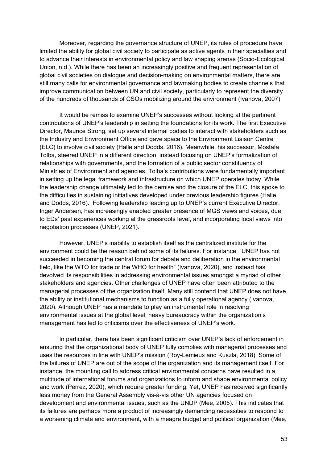Moreover, regarding the governance structure of UNEP, its rules of procedure have limited the ability for global civil society to participate as active agents in their specialties and to advance their interests in environmental policy and law shaping arenas (Socio-Ecological Union, n.d.). While there has been an increasingly positive and frequent representation of global civil societies on dialogue and decision-making on environmental matters, there are still many calls for environmental governance and lawmaking bodies to create channels that improve communication between UN and civil society, particularly to represent the diversity of the hundreds of thousands of CSOs mobilizing around the environment (Ivanova, 2007).

It would be remiss to examine UNEP's successes without looking at the pertinent contributions of UNEP's leadership in setting the foundations for its work. The first Executive Director, Maurice Strong, set up several internal bodies to interact with stakeholders such as the Industry and Environment Office and gave space to the Environment Liaison Centre (ELC) to involve civil society (Halle and Dodds, 2016). Meanwhile, his successor, Mostafa Tolba, steered UNEP in a different direction, instead focusing on UNEP's formalization of relationships with governments, and the formation of a public sector constituency of Ministries of Environment and agencies. Tolba's contributions were fundamentally important in setting up the legal framework and infrastructure on which UNEP operates today. While the leadership change ultimately led to the demise and the closure of the ELC, this spoke to the difficulties in sustaining initiatives developed under previous leadership figures (Halle and Dodds, 2016). Following leadership leading up to UNEP's current Executive Director, Inger Andersen, has increasingly enabled greater presence of MGS views and voices, due to EDs' past experiences working at the grassroots level, and incorporating local views into negotiation processes (UNEP, 2021).

However, UNEP's inability to establish itself as the centralized institute for the environment could be the reason behind some of its failures. For instance, "UNEP has not succeeded in becoming the central forum for debate and deliberation in the environmental field, like the WTO for trade or the WHO for health" (Ivanova, 2020), and instead has devolved its responsibilities in addressing environmental issues amongst a myriad of other stakeholders and agencies. Other challenges of UNEP have often been attributed to the managerial processes of the organization itself. Many still contend that UNEP does not have the ability or institutional mechanisms to function as a fully operational agency (Ivanova, 2020). Although UNEP has a mandate to play an instrumental role in resolving environmental issues at the global level, heavy bureaucracy within the organization's management has led to criticisms over the effectiveness of UNEP's work.

In particular, there has been significant criticism over UNEP's lack of enforcement in ensuring that the organizational body of UNEP fully complies with managerial processes and uses the resources in line with UNEP's mission (Roy-Lemieux and Kuszla, 2018). Some of the failures of UNEP are out of the scope of the organization and its management itself. For instance, the mounting call to address critical environmental concerns have resulted in a multitude of international forums and organizations to inform and shape environmental policy and work (Perrez, 2020), which require greater funding. Yet, UNEP has received significantly less money from the General Assembly vis-à-vis other UN agencies focused on development and environmental issues, such as the UNDP (Mee, 2005). This indicates that its failures are perhaps more a product of increasingly demanding necessities to respond to a worsening climate and environment, with a meagre budget and political organization (Mee,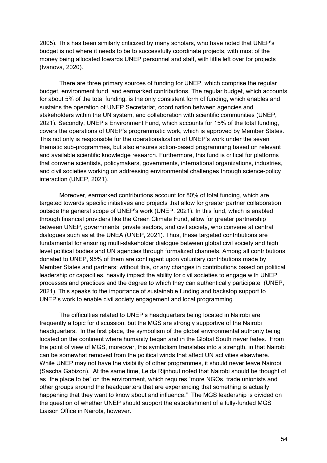2005). This has been similarly criticized by many scholars, who have noted that UNEP's budget is not where it needs to be to successfully coordinate projects, with most of the money being allocated towards UNEP personnel and staff, with little left over for projects (Ivanova, 2020).

There are three primary sources of funding for UNEP, which comprise the regular budget, environment fund, and earmarked contributions. The regular budget, which accounts for about 5% of the total funding, is the only consistent form of funding, which enables and sustains the operation of UNEP Secretariat, coordination between agencies and stakeholders within the UN system, and collaboration with scientific communities (UNEP, 2021). Secondly, UNEP's Environment Fund, which accounts for 15% of the total funding, covers the operations of UNEP's programmatic work, which is approved by Member States. This not only is responsible for the operationalization of UNEP's work under the seven thematic sub-programmes, but also ensures action-based programming based on relevant and available scientific knowledge research. Furthermore, this fund is critical for platforms that convene scientists, policymakers, governments, international organizations, industries, and civil societies working on addressing environmental challenges through science-policy interaction (UNEP, 2021).

Moreover, earmarked contributions account for 80% of total funding, which are targeted towards specific initiatives and projects that allow for greater partner collaboration outside the general scope of UNEP's work (UNEP, 2021). In this fund, which is enabled through financial providers like the Green Climate Fund, allow for greater partnership between UNEP, governments, private sectors, and civil society, who convene at central dialogues such as at the UNEA (UNEP, 2021). Thus, these targeted contributions are fundamental for ensuring multi-stakeholder dialogue between global civil society and high level political bodies and UN agencies through formalized channels. Among all contributions donated to UNEP, 95% of them are contingent upon voluntary contributions made by Member States and partners; without this, or any changes in contributions based on political leadership or capacities, heavily impact the ability for civil societies to engage with UNEP processes and practices and the degree to which they can authentically participate (UNEP, 2021). This speaks to the importance of sustainable funding and backstop support to UNEP's work to enable civil society engagement and local programming.

The difficulties related to UNEP's headquarters being located in Nairobi are frequently a topic for discussion, but the MGS are strongly supportive of the Nairobi headquarters. In the first place, the symbolism of the global environmental authority being located on the continent where humanity began and in the Global South never fades. From the point of view of MGS, moreover, this symbolism translates into a strength, in that Nairobi can be somewhat removed from the political winds that affect UN activities elsewhere. While UNEP may not have the visibility of other programmes, it should never leave Nairobi (Sascha Gabizon). At the same time, Leida Rijnhout noted that Nairobi should be thought of as "the place to be" on the environment, which requires "more NGOs, trade unionists and other groups around the headquarters that are experiencing that something is actually happening that they want to know about and influence." The MGS leadership is divided on the question of whether UNEP should support the establishment of a fully-funded MGS Liaison Office in Nairobi, however.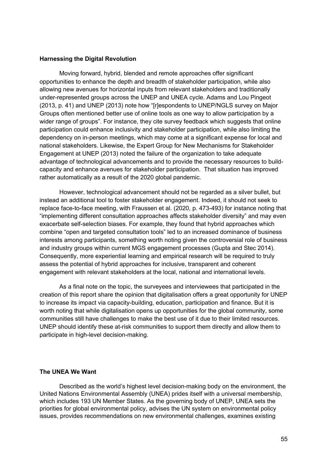### **Harnessing the Digital Revolution**

Moving forward, hybrid, blended and remote approaches offer significant opportunities to enhance the depth and breadth of stakeholder participation, while also allowing new avenues for horizontal inputs from relevant stakeholders and traditionally under-represented groups across the UNEP and UNEA cycle. Adams and Lou Pingeot (2013, p. 41) and UNEP (2013) note how "[r]espondents to UNEP/NGLS survey on Major Groups often mentioned better use of online tools as one way to allow participation by a wider range of groups". For instance, they cite survey feedback which suggests that online participation could enhance inclusivity and stakeholder participation, while also limiting the dependency on in-person meetings, which may come at a significant expense for local and national stakeholders. Likewise, the Expert Group for New Mechanisms for Stakeholder Engagement at UNEP (2013) noted the failure of the organization to take adequate advantage of technological advancements and to provide the necessary resources to buildcapacity and enhance avenues for stakeholder participation. That situation has improved rather automatically as a result of the 2020 global pandemic.

However, technological advancement should not be regarded as a silver bullet, but instead an additional tool to foster stakeholder engagement. Indeed, it should not seek to replace face-to-face meeting, with Fraussen et al. (2020, p. 473-493) for instance noting that "implementing different consultation approaches affects stakeholder diversity" and may even exacerbate self-selection biases. For example, they found that hybrid approaches which combine "open and targeted consultation tools" led to an increased dominance of business interests among participants, something worth noting given the controversial role of business and industry groups within current MGS engagement processes (Gupta and Stec 2014). Consequently, more experiential learning and empirical research will be required to truly assess the potential of hybrid approaches for inclusive, transparent and coherent engagement with relevant stakeholders at the local, national and international levels.

As a final note on the topic, the surveyees and interviewees that participated in the creation of this report share the opinion that digitalisation offers a great opportunity for UNEP to increase its impact via capacity-building, education, participation and finance. But it is worth noting that while digitalisation opens up opportunities for the global community, some communities still have challenges to make the best use of it due to their limited resources. UNEP should identify these at-risk communities to support them directly and allow them to participate in high-level decision-making.

### **The UNEA We Want**

Described as the world's highest level decision-making body on the environment, the United Nations Environmental Assembly (UNEA) prides itself with a universal membership, which includes 193 UN Member States. As the governing body of UNEP, UNEA sets the priorities for global environmental policy, advises the UN system on environmental policy issues, provides recommendations on new environmental challenges, examines existing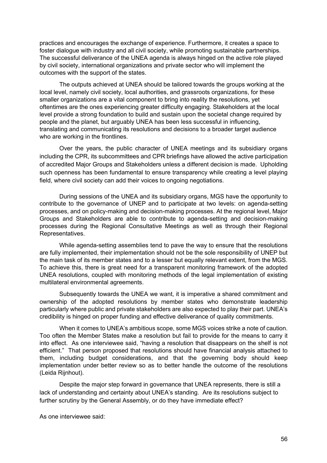practices and encourages the exchange of experience. Furthermore, it creates a space to foster dialogue with industry and all civil society, while promoting sustainable partnerships. The successful deliverance of the UNEA agenda is always hinged on the active role played by civil society, international organizations and private sector who will implement the outcomes with the support of the states.

The outputs achieved at UNEA should be tailored towards the groups working at the local level, namely civil society, local authorities, and grassroots organizations, for these smaller organizations are a vital component to bring into reality the resolutions, yet oftentimes are the ones experiencing greater difficulty engaging. Stakeholders at the local level provide a strong foundation to build and sustain upon the societal change required by people and the planet, but arguably UNEA has been less successful in influencing, translating and communicating its resolutions and decisions to a broader target audience who are working in the frontlines.

Over the years, the public character of UNEA meetings and its subsidiary organs including the CPR, its subcommittees and CPR briefings have allowed the active participation of accredited Major Groups and Stakeholders unless a different decision is made. Upholding such openness has been fundamental to ensure transparency while creating a level playing field, where civil society can add their voices to ongoing negotiations.

During sessions of the UNEA and its subsidiary organs, MGS have the opportunity to contribute to the governance of UNEP and to participate at two levels: on agenda-setting processes, and on policy-making and decision-making processes. At the regional level, Major Groups and Stakeholders are able to contribute to agenda-setting and decision-making processes during the Regional Consultative Meetings as well as through their Regional Representatives.

While agenda-setting assemblies tend to pave the way to ensure that the resolutions are fully implemented, their implementation should not be the sole responsibility of UNEP but the main task of its member states and to a lesser but equally relevant extent, from the MGS. To achieve this, there is great need for a transparent monitoring framework of the adopted UNEA resolutions, coupled with monitoring methods of the legal implementation of existing multilateral environmental agreements.

Subsequently towards the UNEA we want, it is imperative a shared commitment and ownership of the adopted resolutions by member states who demonstrate leadership particularly where public and private stakeholders are also expected to play their part. UNEA's credibility is hinged on proper funding and effective deliverance of quality commitments.

When it comes to UNEA's ambitious scope, some MGS voices strike a note of caution. Too often the Member States make a resolution but fail to provide for the means to carry it into effect. As one interviewee said, "having a resolution that disappears on the shelf is not efficient." That person proposed that resolutions should have financial analysis attached to them, including budget considerations, and that the governing body should keep implementation under better review so as to better handle the outcome of the resolutions (Leida Rijnhout).

Despite the major step forward in governance that UNEA represents, there is still a lack of understanding and certainty about UNEA's standing. Are its resolutions subject to further scrutiny by the General Assembly, or do they have immediate effect?

As one interviewee said: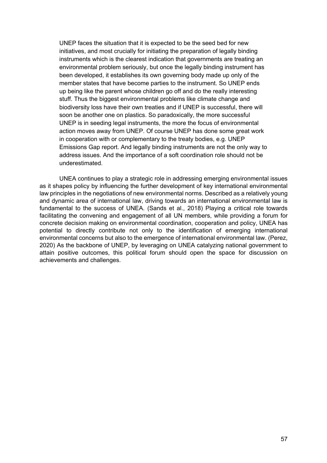UNEP faces the situation that it is expected to be the seed bed for new initiatives, and most crucially for initiating the preparation of legally binding instruments which is the clearest indication that governments are treating an environmental problem seriously, but once the legally binding instrument has been developed, it establishes its own governing body made up only of the member states that have become parties to the instrument. So UNEP ends up being like the parent whose children go off and do the really interesting stuff. Thus the biggest environmental problems like climate change and biodiversity loss have their own treaties and if UNEP is successful, there will soon be another one on plastics. So paradoxically, the more successful UNEP is in seeding legal instruments, the more the focus of environmental action moves away from UNEP. Of course UNEP has done some great work in cooperation with or complementary to the treaty bodies, e.g. UNEP Emissions Gap report. And legally binding instruments are not the only way to address issues. And the importance of a soft coordination role should not be underestimated.

UNEA continues to play a strategic role in addressing emerging environmental issues as it shapes policy by influencing the further development of key international environmental law principles in the negotiations of new environmental norms. Described as a relatively young and dynamic area of international law, driving towards an international environmental law is fundamental to the success of UNEA. (Sands et al., 2018) Playing a critical role towards facilitating the convening and engagement of all UN members, while providing a forum for concrete decision making on environmental coordination, cooperation and policy, UNEA has potential to directly contribute not only to the identification of emerging international environmental concerns but also to the emergence of international environmental law. (Perez, 2020) As the backbone of UNEP, by leveraging on UNEA catalyzing national government to attain positive outcomes, this political forum should open the space for discussion on achievements and challenges.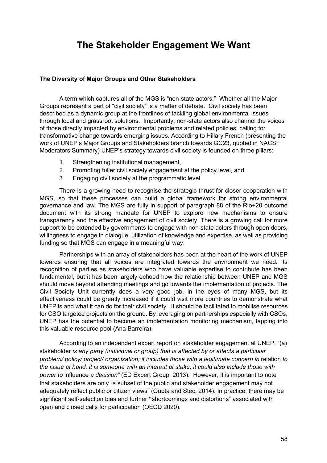# **The Stakeholder Engagement We Want**

## **The Diversity of Major Groups and Other Stakeholders**

A term which captures all of the MGS is "non-state actors." Whether all the Major Groups represent a part of "civil society" is a matter of debate. Civil society has been described as a dynamic group at the frontlines of tackling global environmental issues through local and grassroot solutions. Importantly, non-state actors also channel the voices of those directly impacted by environmental problems and related policies, calling for transformative change towards emerging issues. According to Hillary French (presenting the work of UNEP's Major Groups and Stakeholders branch towards GC23, quoted in NACSF Moderators Summary) UNEP's strategy towards civil society is founded on three pillars:

- 1. Strengthening institutional management,
- 2. Promoting fuller civil society engagement at the policy level, and
- 3. Engaging civil society at the programmatic level.

There is a growing need to recognise the strategic thrust for closer cooperation with MGS, so that these processes can build a global framework for strong environmental governance and law. The MGS are fully in support of paragraph 88 of the Rio+20 outcome document with its strong mandate for UNEP to explore new mechanisms to ensure transparency and the effective engagement of civil society. There is a growing call for more support to be extended by governments to engage with non-state actors through open doors, willingness to engage in dialogue, utilization of knowledge and expertise, as well as providing funding so that MGS can engage in a meaningful way.

Partnerships with an array of stakeholders has been at the heart of the work of UNEP towards ensuring that all voices are integrated towards the environment we need. Its recognition of parties as stakeholders who have valuable expertise to contribute has been fundamental, but it has been largely echoed how the relationship between UNEP and MGS should move beyond attending meetings and go towards the implementation of projects. The Civil Society Unit currently does a very good job, in the eyes of many MGS, but its effectiveness could be greatly increased if it could visit more countries to demonstrate what UNEP is and what it can do for their civil society. It should be facilitated to mobilise resources for CSO targeted projects on the ground. By leveraging on partnerships especially with CSOs, UNEP has the potential to become an implementation monitoring mechanism, tapping into this valuable resource pool (Ana Barreira).

According to an independent expert report on stakeholder engagement at UNEP, "(a) stakeholder *is any party (individual or group) that is affected by or affects a particular problem/ policy/ project/ organization; it includes those with a legitimate concern in relation to the issue at hand; it is someone with an interest at stake; it could also include those with power to* influence *a decision"* (ED Expert Group, 2013). However, it is important to note that stakeholders are only "a subset of the public and stakeholder engagement may not adequately reflect public or citizen views" (Gupta and Stec, 2014). In practice, there may be significant self-selection bias and further **"**shortcomings and distortions" associated with open and closed calls for participation (OECD 2020).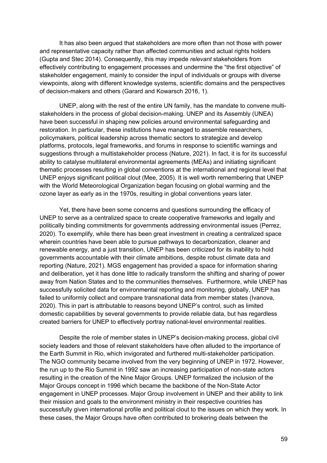It has also been argued that stakeholders are more often than not those with power and representative capacity rather than affected communities and actual rights holders (Gupta and Stec 2014). Consequently, this may impede *relevant* stakeholders from effectively contributing to engagement processes and undermine the "the first objective" of stakeholder engagement, mainly to consider the input of individuals or groups with diverse viewpoints, along with different knowledge systems, scientific domains and the perspectives of decision-makers and others (Garard and Kowarsch 2016, 1).

UNEP, along with the rest of the entire UN family, has the mandate to convene multistakeholders in the process of global decision-making. UNEP and its Assembly (UNEA) have been successful in shaping new policies around environmental safeguarding and restoration. In particular, these institutions have managed to assemble researchers, policymakers, political leadership across thematic sectors to strategize and develop platforms, protocols, legal frameworks, and forums in response to scientific warnings and suggestions through a multistakeholder process (Nature, 2021). In fact, it is for its successful ability to catalyse multilateral environmental agreements (MEAs) and initiating significant thematic processes resulting in global conventions at the international and regional level that UNEP enjoys significant political clout (Mee, 2005). It is well worth remembering that UNEP with the World Meteorological Organization began focusing on global warming and the ozone layer as early as in the 1970s, resulting in global conventions years later.

Yet, there have been some concerns and questions surrounding the efficacy of UNEP to serve as a centralized space to create cooperative frameworks and legally and politically binding commitments for governments addressing environmental issues (Perrez, 2020). To exemplify, while there has been great investment in creating a centralized space wherein countries have been able to pursue pathways to decarbonization, cleaner and renewable energy, and a just transition, UNEP has been criticized for its inability to hold governments accountable with their climate ambitions, despite robust climate data and reporting (Nature, 2021). MGS engagement has provided a space for information sharing and deliberation, yet it has done little to radically transform the shifting and sharing of power away from Nation States and to the communities themselves. Furthermore, while UNEP has successfully solicited data for environmental reporting and monitoring, globally, UNEP has failed to uniformly collect and compare transnational data from member states (Ivanova, 2020). This in part is attributable to reasons beyond UNEP's control, such as limited domestic capabilities by several governments to provide reliable data, but has regardless created barriers for UNEP to effectively portray national-level environmental realities.

Despite the role of member states in UNEP's decision-making process, global civil society leaders and those of relevant stakeholders have often alluded to the importance of the Earth Summit in Rio, which invigorated and furthered multi-stakeholder participation. The NGO community became involved from the very beginning of UNEP in 1972. However, the run up to the Rio Summit in 1992 saw an increasing participation of non-state actors resulting in the creation of the Nine Major Groups. UNEP formalized the inclusion of the Major Groups concept in 1996 which became the backbone of the Non-State Actor engagement in UNEP processes. Major Group involvement in UNEP and their ability to link their mission and goals to the environment ministry in their respective countries has successfully given international profile and political clout to the issues on which they work. In these cases, the Major Groups have often contributed to brokering deals between the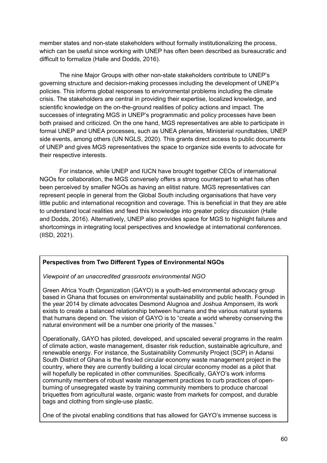member states and non-state stakeholders without formally institutionalizing the process, which can be useful since working with UNEP has often been described as bureaucratic and difficult to formalize (Halle and Dodds, 2016).

The nine Major Groups with other non-state stakeholders contribute to UNEP's governing structure and decision-making processes including the development of UNEP's policies. This informs global responses to environmental problems including the climate crisis. The stakeholders are central in providing their expertise, localized knowledge, and scientific knowledge on the on-the-ground realities of policy actions and impact. The successes of integrating MGS in UNEP's programmatic and policy processes have been both praised and criticized. On the one hand, MGS representatives are able to participate in formal UNEP and UNEA processes, such as UNEA plenaries, Ministerial roundtables, UNEP side events, among others (UN NGLS, 2020). This grants direct access to public documents of UNEP and gives MGS representatives the space to organize side events to advocate for their respective interests.

For instance, while UNEP and IUCN have brought together CEOs of international NGOs for collaboration, the MGS conversely offers a strong counterpart to what has often been perceived by smaller NGOs as having an elitist nature. MGS representatives can represent people in general from the Global South including organisations that have very little public and international recognition and coverage. This is beneficial in that they are able to understand local realities and feed this knowledge into greater policy discussion (Halle and Dodds, 2016). Alternatively, UNEP also provides space for MGS to highlight failures and shortcomings in integrating local perspectives and knowledge at international conferences. (IISD, 2021).

# **Perspectives from Two Different Types of Environmental NGOs**

*Viewpoint of an unaccredited grassroots environmental NGO*

Green Africa Youth Organization (GAYO) is a youth-led environmental advocacy group based in Ghana that focuses on environmental sustainability and public health. Founded in the year 2014 by climate advocates Desmond Alugnoa and Joshua Amponsem, its work exists to create a balanced relationship between humans and the various natural systems that humans depend on. The vision of GAYO is to "create a world whereby conserving the natural environment will be a number one priority of the masses."

Operationally, GAYO has piloted, developed, and upscaled several programs in the realm of climate action, waste management, disaster risk reduction, sustainable agriculture, and renewable energy. For instance, the Sustainability Community Project (SCP) in Adansi South District of Ghana is the first-led circular economy waste management project in the country, where they are currently building a local circular economy model as a pilot that will hopefully be replicated in other communities. Specifically, GAYO's work informs community members of robust waste management practices to curb practices of openburning of unsegregated waste by training community members to produce charcoal briquettes from agricultural waste, organic waste from markets for compost, and durable bags and clothing from single-use plastic.

One of the pivotal enabling conditions that has allowed for GAYO's immense success is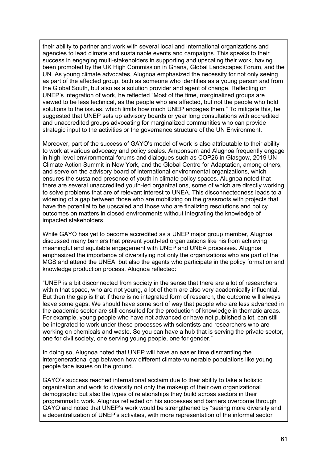their ability to partner and work with several local and international organizations and agencies to lead climate and sustainable events and campaigns. This speaks to their success in engaging multi-stakeholders in supporting and upscaling their work, having been promoted by the UK High Commission in Ghana, Global Landscapes Forum, and the UN. As young climate advocates, Alugnoa emphasized the necessity for not only seeing as part of the affected group, both as someone who identifies as a young person and from the Global South, but also as a solution provider and agent of change. Reflecting on UNEP's integration of work, he reflected "Most of the time, marginalized groups are viewed to be less technical, as the people who are affected, but not the people who hold solutions to the issues, which limits how much UNEP engages them." To mitigate this, he suggested that UNEP sets up advisory boards or year long consultations with accredited and unaccredited groups advocating for marginalized communities who can provide strategic input to the activities or the governance structure of the UN Environment.

Moreover, part of the success of GAYO's model of work is also attributable to their ability to work at various advocacy and policy scales. Amponsem and Alugnoa frequently engage in high-level environmental forums and dialogues such as COP26 in Glasgow, 2019 UN Climate Action Summit in New York, and the Global Centre for Adaptation, among others, and serve on the advisory board of international environmental organizations, which ensures the sustained presence of youth in climate policy spaces. Alugnoa noted that there are several unaccredited youth-led organizations, some of which are directly working to solve problems that are of relevant interest to UNEA. This disconnectedness leads to a widening of a gap between those who are mobilizing on the grassroots with projects that have the potential to be upscaled and those who are finalizing resolutions and policy outcomes on matters in closed environments without integrating the knowledge of impacted stakeholders.

While GAYO has yet to become accredited as a UNEP major group member, Alugnoa discussed many barriers that prevent youth-led organizations like his from achieving meaningful and equitable engagement with UNEP and UNEA processes. Alugnoa emphasized the importance of diversifying not only the organizations who are part of the MGS and attend the UNEA, but also the agents who participate in the policy formation and knowledge production process. Alugnoa reflected:

"UNEP is a bit disconnected from society in the sense that there are a lot of researchers within that space, who are not young, a lot of them are also very academically influential. But then the gap is that if there is no integrated form of research, the outcome will always leave some gaps. We should have some sort of way that people who are less advanced in the academic sector are still consulted for the production of knowledge in thematic areas. For example, young people who have not advanced or have not published a lot, can still be integrated to work under these processes with scientists and researchers who are working on chemicals and waste. So you can have a hub that is serving the private sector, one for civil society, one serving young people, one for gender."

In doing so, Alugnoa noted that UNEP will have an easier time dismantling the intergenerational gap between how different climate-vulnerable populations like young people face issues on the ground.

GAYO's success reached international acclaim due to their ability to take a holistic organization and work to diversify not only the makeup of their own organizational demographic but also the types of relationships they build across sectors in their programmatic work. Alugnoa reflected on his successes and barriers overcome through GAYO and noted that UNEP's work would be strengthened by "seeing more diversity and a decentralization of UNEP's activities, with more representation of the informal sector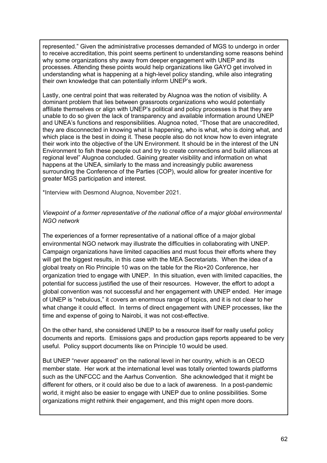represented." Given the administrative processes demanded of MGS to undergo in order to receive accreditation, this point seems pertinent to understanding some reasons behind why some organizations shy away from deeper engagement with UNEP and its processes. Attending these points would help organizations like GAYO get involved in understanding what is happening at a high-level policy standing, while also integrating their own knowledge that can potentially inform UNEP's work.

Lastly, one central point that was reiterated by Alugnoa was the notion of visibility. A dominant problem that lies between grassroots organizations who would potentially affiliate themselves or align with UNEP's political and policy processes is that they are unable to do so given the lack of transparency and available information around UNEP and UNEA's functions and responsibilities. Alugnoa noted, "Those that are unaccredited, they are disconnected in knowing what is happening, who is what, who is doing what, and which place is the best in doing it. These people also do not know how to even integrate their work into the objective of the UN Environment. It should be in the interest of the UN Environment to fish these people out and try to create connections and build alliances at regional level" Alugnoa concluded. Gaining greater visibility and information on what happens at the UNEA, similarly to the mass and increasingly public awareness surrounding the Conference of the Parties (COP), would allow for greater incentive for greater MGS participation and interest.

\*Interview with Desmond Alugnoa, November 2021.

# *Viewpoint of a former representative of the national office of a major global environmental NGO network*

The experiences of a former representative of a national office of a major global environmental NGO network may illustrate the difficulties in collaborating with UNEP. Campaign organizations have limited capacities and must focus their efforts where they will get the biggest results, in this case with the MEA Secretariats. When the idea of a global treaty on Rio Principle 10 was on the table for the Rio+20 Conference, her organization tried to engage with UNEP. In this situation, even with limited capacities, the potential for success justified the use of their resources. However, the effort to adopt a global convention was not successful and her engagement with UNEP ended. Her image of UNEP is "nebulous," it covers an enormous range of topics, and it is not clear to her what change it could effect. In terms of direct engagement with UNEP processes, like the time and expense of going to Nairobi, it was not cost-effective.

On the other hand, she considered UNEP to be a resource itself for really useful policy documents and reports. Emissions gaps and production gaps reports appeared to be very useful. Policy support documents like on Principle 10 would be used.

But UNEP "never appeared" on the national level in her country, which is an OECD member state. Her work at the international level was totally oriented towards platforms such as the UNFCCC and the Aarhus Convention. She acknowledged that it might be different for others, or it could also be due to a lack of awareness. In a post-pandemic world, it might also be easier to engage with UNEP due to online possibilities. Some organizations might rethink their engagement, and this might open more doors.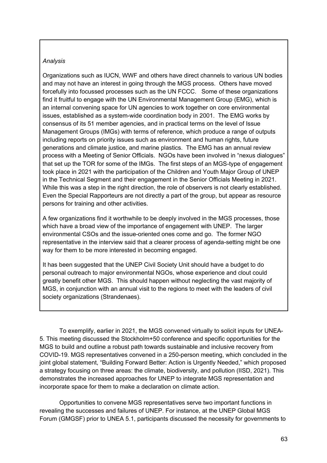## *Analysis*

Organizations such as IUCN, WWF and others have direct channels to various UN bodies and may not have an interest in going through the MGS process. Others have moved forcefully into focussed processes such as the UN FCCC. Some of these organizations find it fruitful to engage with the UN Environmental Management Group (EMG), which is an internal convening space for UN agencies to work together on core environmental issues, established as a system-wide coordination body in 2001. The EMG works by consensus of its 51 member agencies, and in practical terms on the level of Issue Management Groups (IMGs) with terms of reference, which produce a range of outputs including reports on priority issues such as environment and human rights, future generations and climate justice, and marine plastics. The EMG has an annual review process with a Meeting of Senior Officials. NGOs have been involved in "nexus dialogues" that set up the TOR for some of the IMGs. The first steps of an MGS-type of engagement took place in 2021 with the participation of the Children and Youth Major Group of UNEP in the Technical Segment and their engagement in the Senior Officials Meeting in 2021. While this was a step in the right direction, the role of observers is not clearly established. Even the Special Rapporteurs are not directly a part of the group, but appear as resource persons for training and other activities.

A few organizations find it worthwhile to be deeply involved in the MGS processes, those which have a broad view of the importance of engagement with UNEP. The larger environmental CSOs and the issue-oriented ones come and go. The former NGO representative in the interview said that a clearer process of agenda-setting might be one way for them to be more interested in becoming engaged.

It has been suggested that the UNEP Civil Society Unit should have a budget to do personal outreach to major environmental NGOs, whose experience and clout could greatly benefit other MGS. This should happen without neglecting the vast majority of MGS, in conjunction with an annual visit to the regions to meet with the leaders of civil society organizations (Strandenaes).

To exemplify, earlier in 2021, the MGS convened virtually to solicit inputs for UNEA-5. This meeting discussed the Stockholm+50 conference and specific opportunities for the MGS to build and outline a robust path towards sustainable and inclusive recovery from COVID-19. MGS representatives convened in a 250-person meeting, which concluded in the joint global statement, "Building Forward Better: Action is Urgently Needed," which proposed a strategy focusing on three areas: the climate, biodiversity, and pollution (IISD, 2021). This demonstrates the increased approaches for UNEP to integrate MGS representation and incorporate space for them to make a declaration on climate action.

Opportunities to convene MGS representatives serve two important functions in revealing the successes and failures of UNEP. For instance, at the UNEP Global MGS Forum (GMGSF) prior to UNEA 5.1, participants discussed the necessity for governments to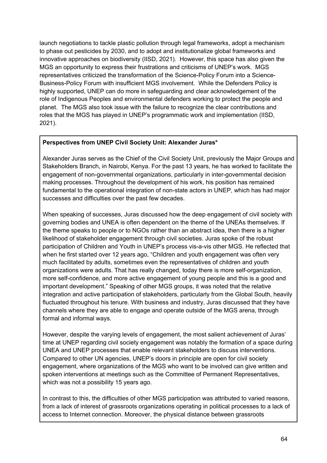launch negotiations to tackle plastic pollution through legal frameworks, adopt a mechanism to phase out pesticides by 2030, and to adopt and institutionalize global frameworks and innovative approaches on biodiversity (IISD, 2021). However, this space has also given the MGS an opportunity to express their frustrations and criticisms of UNEP's work. MGS representatives criticized the transformation of the Science-Policy Forum into a Science-Business-Policy Forum with insufficient MGS involvement. While the Defenders Policy is highly supported, UNEP can do more in safeguarding and clear acknowledgement of the role of Indigenous Peoples and environmental defenders working to protect the people and planet. The MGS also took issue with the failure to recognize the clear contributions and roles that the MGS has played in UNEP's programmatic work and implementation (IISD, 2021).

## **Perspectives from UNEP Civil Society Unit: Alexander Juras\***

Alexander Juras serves as the Chief of the Civil Society Unit, previously the Major Groups and Stakeholders Branch, in Nairobi, Kenya. For the past 13 years, he has worked to facilitate the engagement of non-governmental organizations, particularly in inter-governmental decision making processes. Throughout the development of his work, his position has remained fundamental to the operational integration of non-state actors in UNEP, which has had major successes and difficulties over the past few decades.

When speaking of successes, Juras discussed how the deep engagement of civil society with governing bodies and UNEA is often dependent on the theme of the UNEAs themselves. If the theme speaks to people or to NGOs rather than an abstract idea, then there is a higher likelihood of stakeholder engagement through civil societies. Juras spoke of the robust participation of Children and Youth in UNEP's process vis-a-vis other MGS. He reflected that when he first started over 12 years ago, "Children and youth engagement was often very much facilitated by adults, sometimes even the representatives of children and youth organizations were adults. That has really changed, today there is more self-organization, more self-confidence, and more active engagement of young people and this is a good and important development." Speaking of other MGS groups, it was noted that the relative integration and active participation of stakeholders, particularly from the Global South, heavily fluctuated throughout his tenure. With business and industry, Juras discussed that they have channels where they are able to engage and operate outside of the MGS arena, through formal and informal ways.

However, despite the varying levels of engagement, the most salient achievement of Juras' time at UNEP regarding civil society engagement was notably the formation of a space during UNEA and UNEP processes that enable relevant stakeholders to discuss interventions. Compared to other UN agencies, UNEP's doors in principle are open for civil society engagement, where organizations of the MGS who want to be involved can give written and spoken interventions at meetings such as the Committee of Permanent Representatives, which was not a possibility 15 years ago.

In contrast to this, the difficulties of other MGS participation was attributed to varied reasons, from a lack of interest of grassroots organizations operating in political processes to a lack of access to Internet connection. Moreover, the physical distance between grassroots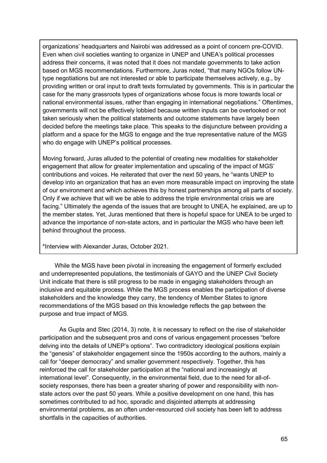organizations' headquarters and Nairobi was addressed as a point of concern pre-COVID. Even when civil societies wanting to organize in UNEP and UNEA's political processes address their concerns, it was noted that it does not mandate governments to take action based on MGS recommendations. Furthermore, Juras noted, "that many NGOs follow UNtype negotiations but are not interested or able to participate themselves actively, e.g., by providing written or oral input to draft texts formulated by governments. This is in particular the case for the many grassroots types of organizations whose focus is more towards local or national environmental issues, rather than engaging in international negotiations." Oftentimes, governments will not be effectively lobbied because written inputs can be overlooked or not taken seriously when the political statements and outcome statements have largely been decided before the meetings take place. This speaks to the disjuncture between providing a platform and a space for the MGS to engage and the true representative nature of the MGS who do engage with UNEP's political processes.

Moving forward, Juras alluded to the potential of creating new modalities for stakeholder engagement that allow for greater implementation and upscaling of the impact of MGS' contributions and voices. He reiterated that over the next 50 years, he "wants UNEP to develop into an organization that has an even more measurable impact on improving the state of our environment and which achieves this by honest partnerships among all parts of society. Only if we achieve that will we be able to address the triple environmental crisis we are facing." Ultimately the agenda of the issues that are brought to UNEA, he explained, are up to the member states. Yet, Juras mentioned that there is hopeful space for UNEA to be urged to advance the importance of non-state actors, and in particular the MGS who have been left behind throughout the process.

\*Interview with Alexander Juras, October 2021.

 While the MGS have been pivotal in increasing the engagement of formerly excluded and underrepresented populations, the testimonials of GAYO and the UNEP Civil Society Unit indicate that there is still progress to be made in engaging stakeholders through an inclusive and equitable process. While the MGS process enables the participation of diverse stakeholders and the knowledge they carry, the tendency of Member States to ignore recommendations of the MGS based on this knowledge reflects the gap between the purpose and true impact of MGS.

As Gupta and Stec (2014, 3) note, it is necessary to reflect on the rise of stakeholder participation and the subsequent pros and cons of various engagement processes "before delving into the details of UNEP's options". Two contradictory ideological positions explain the "genesis" of stakeholder engagement since the 1950s according to the authors, mainly a call for "deeper democracy" and smaller government respectively. Together, this has reinforced the call for stakeholder participation at the "national and increasingly at international level". Consequently, in the environmental field, due to the need for all-ofsociety responses, there has been a greater sharing of power and responsibility with nonstate actors over the past 50 years. While a positive development on one hand, this has sometimes contributed to ad hoc, sporadic and disjointed attempts at addressing environmental problems, as an often under-resourced civil society has been left to address shortfalls in the capacities of authorities.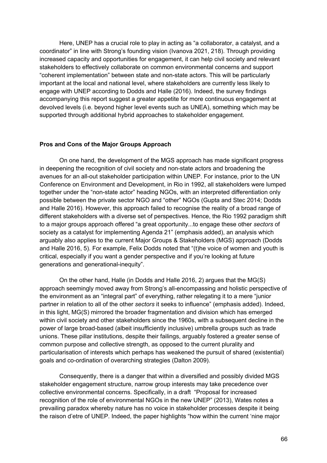Here, UNEP has a crucial role to play in acting as "a collaborator, a catalyst, and a coordinator" in line with Strong's founding vision (Ivanova 2021, 218). Through providing increased capacity and opportunities for engagement, it can help civil society and relevant stakeholders to effectively collaborate on common environmental concerns and support "coherent implementation" between state and non-state actors. This will be particularly important at the local and national level, where stakeholders are currently less likely to engage with UNEP according to Dodds and Halle (2016). Indeed, the survey findings accompanying this report suggest a greater appetite for more continuous engagement at devolved levels (i.e. beyond higher level events such as UNEA), something which may be supported through additional hybrid approaches to stakeholder engagement.

## **Pros and Cons of the Major Groups Approach**

On one hand, the development of the MGS approach has made significant progress in deepening the recognition of civil society and non-state actors and broadening the avenues for an all-out stakeholder participation within UNEP. For instance, prior to the UN Conference on Environment and Development, in Rio in 1992, all stakeholders were lumped together under the "non-state actor" heading NGOs, with an interpreted differentiation only possible between the private sector NGO and "other" NGOs (Gupta and Stec 2014; Dodds and Halle 2016). However, this approach failed to recognise the reality of a broad range of different stakeholders with a diverse set of perspectives. Hence, the Rio 1992 paradigm shift to a major groups approach offered "a great opportunity...to engage these other *sectors* of society as a catalyst for implementing Agenda 21" (emphasis added), an analysis which arguably also applies to the current Major Groups & Stakeholders (MGS) approach (Dodds and Halle 2016, 5). For example, Felix Dodds noted that "(t)he voice of women and youth is critical, especially if you want a gender perspective and if you're looking at future generations and generational-inequity".

On the other hand, Halle (in Dodds and Halle 2016, 2) argues that the MG(S) approach seemingly moved away from Strong's all-encompassing and holistic perspective of the environment as an "integral part" of everything, rather relegating it to a mere "junior partner in relation to all of the other *sectors* it seeks to influence" (emphasis added). Indeed, in this light, MG(S) mirrored the broader fragmentation and division which has emerged within civil society and other stakeholders since the 1960s, with a subsequent decline in the power of large broad-based (albeit insufficiently inclusive) umbrella groups such as trade unions. These pillar institutions, despite their failings, arguably fostered a greater sense of common purpose and collective strength, as opposed to the current plurality and particularisation of interests which perhaps has weakened the pursuit of shared (existential) goals and co-ordination of overarching strategies (Dalton 2009).

Consequently, there is a danger that within a diversified and possibly divided MGS stakeholder engagement structure, narrow group interests may take precedence over collective environmental concerns. Specifically, in a draft "Proposal for increased recognition of the role of environmental NGOs in the new UNEP" (2013), Wates notes a prevailing paradox whereby nature has no voice in stakeholder processes despite it being the raison d'etre of UNEP. Indeed, the paper highlights "how within the current 'nine major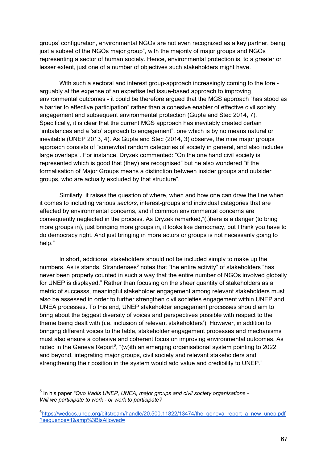groups' configuration, environmental NGOs are not even recognized as a key partner, being just a subset of the NGOs major group", with the majority of major groups and NGOs representing a sector of human society. Hence, environmental protection is, to a greater or lesser extent, just one of a number of objectives such stakeholders might have.

With such a sectoral and interest group-approach increasingly coming to the fore arguably at the expense of an expertise led issue-based approach to improving environmental outcomes - it could be therefore argued that the MGS approach "has stood as a barrier to effective participation" rather than a cohesive enabler of effective civil society engagement and subsequent environmental protection (Gupta and Stec 2014, 7). Specifically, it is clear that the current MGS approach has inevitably created certain "imbalances and a 'silo' approach to engagement", one which is by no means natural or inevitable (UNEP 2013, 4). As Gupta and Stec (2014, 3) observe, the nine major groups approach consists of "somewhat random categories of society in general, and also includes large overlaps". For instance, Dryzek commented: "On the one hand civil society is represented which is good that (they) are recognised" but he also wondered "if the formalisation of Major Groups means a distinction between insider groups and outsider groups, who are actually excluded by that structure".

Similarly, it raises the question of where, when and how one can draw the line when it comes to including various *sectors,* interest-groups and individual categories that are affected by environmental concerns, and if common environmental concerns are consequently neglected in the process. As Dryzek remarked,"(t)here is a danger (to bring more groups in), just bringing more groups in, it looks like democracy, but I think you have to do democracy right. And just bringing in more actors or groups is not necessarily going to help."

In short, additional stakeholders should not be included simply to make up the numbers. As is stands, Strandenaes<sup>5</sup> notes that "the entire activity" of stakeholders "has never been properly counted in such a way that the entire number of NGOs involved globally for UNEP is displayed." Rather than focusing on the sheer quantity of stakeholders as a metric of successs, meaningful stakeholder engagement among relevant stakeholders must also be assessed in order to further strengthen civil societies engagement within UNEP and UNEA processes. To this end, UNEP stakeholder engagement processes should aim to bring about the biggest diversity of voices and perspectives possible with respect to the theme being dealt with (i.e. inclusion of relevant stakeholders'). However, in addition to bringing different voices to the table, stakeholder engagement processes and mechanisms must also ensure a cohesive and coherent focus on improving environmental outcomes. As noted in the Geneva Report<sup>6</sup>, "(w)ith an emerging organisational system pointing to 2022 and beyond, integrating major groups, civil society and relevant stakeholders and strengthening their position in the system would add value and credibility to UNEP."

<sup>5</sup> In his paper *"Quo Vadis UNEP, UNEA, major groups and civil society organisations - Will we participate to work - or work to participate?*

<sup>&</sup>lt;sup>6</sup>https://wedocs.unep.org/bitstream/handle/20.500.11822/13474/the\_geneva\_report\_a\_new\_unep.pdf ?sequence=1&amp%3BisAllowed=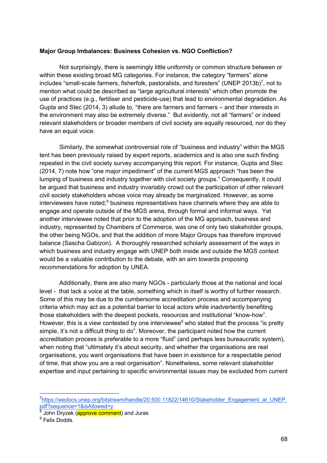## **Major Group Imbalances: Business Cohesion vs. NGO Confliction?**

Not surprisingly, there is seemingly little uniformity or common structure between or within these existing broad MG categories. For instance, the category "farmers" alone includes "small-scale farmers, fisherfolk, pastoralists, and foresters" (UNEP 2013b)<sup>7</sup>, not to mention what could be described as "large agricultural interests" which often promote the use of practices (e.g., fertiliser and pesticide-use) that lead to environmental degradation. As Gupta and Stec (2014, 3) allude to, "there are farmers and farmers – and their interests in the environment may also be extremely diverse." But evidently, not all "farmers" or indeed relevant stakeholders or broader members of civil society are equally resourced, nor do they have an equal voice.

Similarly, the somewhat controversial role of "business and industry" within the MGS tent has been previously raised by expert reports, academics and is also one such finding repeated in the civil society survey accompanying this report. For instance, Gupta and Stec (2014, 7) note how "one major impediment" of the current MGS approach "has been the lumping of business and industry together with civil society groups." Consequently, it could be argued that business and industry invariably crowd out the participation of other relevant civil society stakeholders whose voice may already be marginalized. However, as some interviewees have noted, $8$  business representatives have channels where they are able to engage and operate outside of the MGS arena, through formal and informal ways. Yet another interviewee noted that prior to the adoption of the MG approach, business and industry, represented by Chambers of Commerce, was one of only two stakeholder groups, the other being NGOs, and that the addition of more Major Groups has therefore improved balance (Sascha Gabizon). A thoroughly researched scholarly assessment of the ways in which business and industry engage with UNEP both inside and outside the MGS context would be a valuable contribution to the debate, with an aim towards proposing recommendations for adoption by UNEA.

Additionally, there are also many NGOs - particularly those at the national and local level - that lack a voice at the table, something which in itself is worthy of further research. Some of this may be due to the cumbersome accreditation process and accompanying criteria which may act as a potential barrier to local actors while inadvertently benefiting those stakeholders with the deepest pockets, resources and institutional "know-how". However, this is a view contested by one interviewee<sup>9</sup> who stated that the process "is pretty simple, it's not a difficult thing to do". Moreover, the participant noted how the current accreditation process is preferable to a more "fluid" (and perhaps less bureaucratic system), when noting that "ultimately it's about security, and whether the organisations are real organisations, you want organisations that have been in existence for a respectable period of time, that show you are a real organisation". Nonetheless, some relevant stakeholder expertise and input pertaining to specific environmental issues may be excluded from current

<sup>7</sup>https://wedocs.unep.org/bitstream/handle/20.500.11822/14610/Stakeholder\_Engagement\_at\_UNEP. pdf?sequence=1&isAllowed=y

 $\frac{8}{9}$  John Dryzek (approve comment) and Juras

<sup>&</sup>lt;sup>9</sup> Felix Dodds.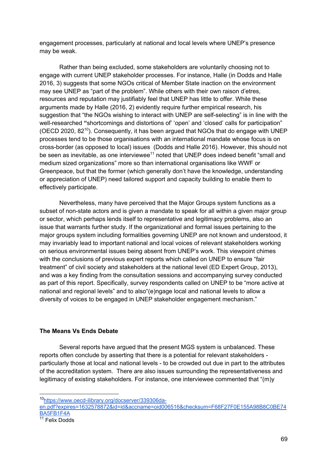engagement processes, particularly at national and local levels where UNEP's presence may be weak.

Rather than being excluded, some stakeholders are voluntarily choosing not to engage with current UNEP stakeholder processes. For instance, Halle (in Dodds and Halle 2016, 3) suggests that some NGOs critical of Member State inaction on the environment may see UNEP as "part of the problem". While others with their own raison d'etres, resources and reputation may justifiably feel that UNEP has little to offer. While these arguments made by Halle (2016, 2) evidently require further empirical research, his suggestion that "the NGOs wishing to interact with UNEP are self-selecting" is in line with the well-researched **"**shortcomings and distortions of' 'open' and 'closed' calls for participation" (OECD 2020,  $82^{10}$ ). Consequently, it has been arqued that NGOs that do engage with UNEP processes tend to be those organisations with an international mandate whose focus is on cross-border (as opposed to local) issues (Dodds and Halle 2016). However, this should not be seen as inevitable, as one interviewee $11$  noted that UNEP does indeed benefit "small and medium sized organizations" more so than international organisations like WWF or Greenpeace, but that the former (which generally don't have the knowledge, understanding or appreciation of UNEP) need tailored support and capacity building to enable them to effectively participate.

Nevertheless, many have perceived that the Major Groups system functions as a subset of non-state actors and is given a mandate to speak for all within a given major group or sector, which perhaps lends itself to representative and legitimacy problems, also an issue that warrants further study. If the organizational and formal issues pertaining to the major groups system including formalities governing UNEP are not known and understood, it may invariably lead to important national and local voices of relevant stakeholders working on serious environmental issues being absent from UNEP's work. This viewpoint chimes with the conclusions of previous expert reports which called on UNEP to ensure "fair treatment" of civil society and stakeholders at the national level (ED Expert Group, 2013), and was a key finding from the consultation sessions and accompanying survey conducted as part of this report. Specifically, survey respondents called on UNEP to be "more active at national and regional levels" and to also"(e)ngage local and national levels to allow a diversity of voices to be engaged in UNEP stakeholder engagement mechanism."

# **The Means Vs Ends Debate**

Several reports have argued that the present MGS system is unbalanced. These reports often conclude by asserting that there is a potential for relevant stakeholders particularly those at local and national levels - to be crowded out due in part to the attributes of the accreditation system. There are also issues surrounding the representativeness and legitimacy of existing stakeholders. For instance, one interviewee commented that "(m)y

<sup>10</sup>https://www.oecd-ilibrary.org/docserver/339306da-

en.pdf?expires=1632578872&id=id&accname=oid006516&checksum=F68F27F0E155A98B8C0BE74 BA5FB1F4A

 $11$  Felix Dodds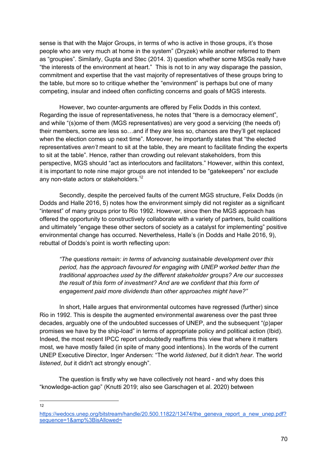sense is that with the Major Groups, in terms of who is active in those groups, it's those people who are very much at home in the system" (Dryzek) while another referred to them as "groupies". Similarly, Gupta and Stec (2014. 3) question whether some MSGs really have "the interests of the environment at heart." This is not to in any way disparage the passion, commitment and expertise that the vast majority of representatives of these groups bring to the table, but more so to critique whether the "environment" is perhaps but one of many competing, insular and indeed often conflicting concerns and goals of MGS interests.

However, two counter-arguments are offered by Felix Dodds in this context. Regarding the issue of representativeness, he notes that "there is a democracy element", and while "(s)ome of them (MGS representatives) are very good a servicing (the needs of) their members, some are less so…and if they are less so, chances are they'll get replaced when the election comes up next time". Moreover, he importantly states that "the elected representatives *aren't* meant to sit at the table, they are meant to facilitate finding the experts to sit at the table". Hence, rather than crowding out relevant stakeholders, from this perspective, MGS should "act as interlocutors and facilitators." However, within this context, it is important to note nine major groups are not intended to be "gatekeepers" nor exclude any non-state actors or stakeholders.<sup>12</sup>

Secondly, despite the perceived faults of the current MGS structure, Felix Dodds (in Dodds and Halle 2016, 5) notes how the environment simply did not register as a significant "interest" of many groups prior to Rio 1992. However, since then the MGS approach has offered the opportunity to constructively collaborate with a variety of partners, build coalitions and ultimately "engage these other sectors of society as a catalyst for implementing" positive environmental change has occurred. Nevertheless, Halle's (in Dodds and Halle 2016, 9), rebuttal of Dodds's point is worth reflecting upon:

*"The questions remain: in terms of advancing sustainable development over this period, has the approach favoured for engaging with UNEP worked better than the traditional approaches used by the different stakeholder groups? Are our successes the result of this form of investment? And are we confident that this form of engagement paid more dividends than other approaches might have?"*

In short, Halle argues that environmental outcomes have regressed (further) since Rio in 1992. This is despite the augmented environmental awareness over the past three decades, arguably one of the undoubted successes of UNEP, and the subsequent "(p)aper promises we have by the ship-load" in terms of appropriate policy and political action (Ibid). Indeed, the most recent IPCC report undoubtedly reaffirms this view that where it matters most, we have mostly failed (in spite of many good intentions). In the words of the current UNEP Executive Director, Inger Andersen: "The world *listened*, *but* it didn't *hear*. The world *listened*, *but* it didn't act strongly enough".

The question is firstly why we have collectively not heard - and why does this "knowledge-action gap" (Knutti 2019; also see Garschagen et al. 2020) between

 $12$ 

https://wedocs.unep.org/bitstream/handle/20.500.11822/13474/the\_geneva\_report\_a\_new\_unep.pdf? sequence=1&amp%3BisAllowed=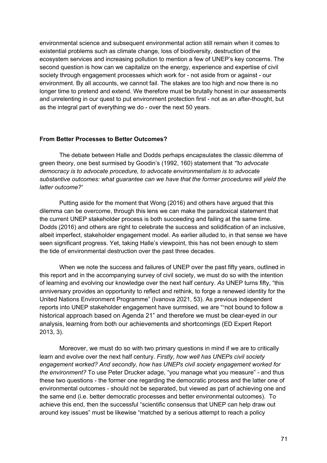environmental science and subsequent environmental action still remain when it comes to existential problems such as climate change, loss of biodiversity, destruction of the ecosystem services and increasing pollution to mention a few of UNEP's key concerns. The second question is how can we capitalize on the energy, experience and expertise of civil society through engagement processes which work for - not aside from or against - our environment. By all accounts, we cannot fail. The stakes are too high and now there is no longer time to pretend and extend. We therefore must be brutally honest in our assessments and unrelenting in our quest to put environment protection first - not as an after-thought, but as the integral part of everything we do - over the next 50 years.

## **From Better Processes to Better Outcomes?**

The debate between Halle and Dodds perhaps encapsulates the classic dilemma of green theory, one best surmised by Goodin's (1992, 160) statement that *"'to advocate democracy is to advocate procedure, to advocate environmentalism is to advocate substantive outcomes: what guarantee can we have that the former procedures will yield the latter outcome?'* 

Putting aside for the moment that Wong (2016) and others have argued that this dilemma can be overcome, through this lens we can make the paradoxical statement that the current UNEP stakeholder process is both succeeding and failing at the same time. Dodds (2016) and others are right to celebrate the success and solidification of an inclusive, albeit imperfect, stakeholder engagement model. As earlier alluded to, in that sense we have seen significant progress. Yet, taking Halle's viewpoint, this has not been enough to stem the tide of environmental destruction over the past three decades.

When we note the success and failures of UNEP over the past fifty years, outlined in this report and in the accompanying survey of civil society, we must do so with the intention of learning and evolving our knowledge over the next half century. *As* UNEP turns fifty, "this anniversary provides an opportunity to reflect and rethink, to forge a renewed identity for the United Nations Environment Programme" (Ivanova 2021, 53). As previous independent reports into UNEP stakeholder engagement have surmised, we are ""not bound to follow a historical approach based on Agenda 21" and therefore we must be clear-eyed in our analysis, learning from both our achievements and shortcomings (ED Expert Report 2013, 3).

Moreover, we must do so with two primary questions in mind if we are to critically learn and evolve over the next half century. *Firstly, how well has UNEPs civil society engagement worked? And secondly, how has UNEPs civil society engagement worked for the environment?* To use Peter Drucker adage, "you manage what you measure" - and thus these two questions - the former one regarding the democratic process and the latter one of environmental outcomes - should not be separated, but viewed as part of achieving one and the same end (i.e. better democratic processes and better environmental outcomes). To achieve this end, then the successful "scientific consensus that UNEP can help draw out around key issues" must be likewise "matched by a serious attempt to reach a policy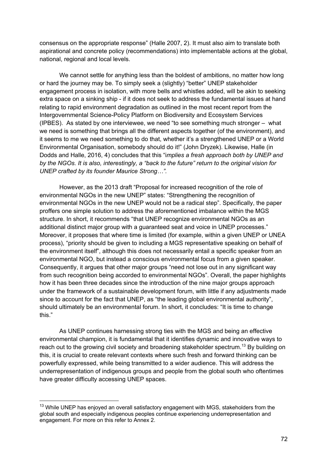consensus on the appropriate response" (Halle 2007, 2). It must also aim to translate both aspirational and concrete policy (recommendations) into implementable actions at the global, national, regional and local levels.

We cannot settle for anything less than the boldest of ambitions, no matter how long or hard the journey may be. To simply seek a (slightly) "better" UNEP stakeholder engagement process in isolation, with more bells and whistles added, will be akin to seeking extra space on a sinking ship - if it does not seek to address the fundamental issues at hand relating to rapid environment degradation as outlined in the most recent report from the Intergovernmental Science-Policy Platform on Biodiversity and Ecosystem Services (IPBES). As stated by one interviewee, we need "to see something much stronger – what we need is something that brings all the different aspects together (of the environment), and it seems to me we need something to do that, whether it's a strengthened UNEP or a World Environmental Organisation, somebody should do it!" (John Dryzek). Likewise, Halle (in Dodds and Halle, 2016, 4) concludes that this "i*mplies a fresh approach both by UNEP and by the NGOs. It is also, interestingly, a "back to the future" return to the original vision for UNEP crafted by its founder Maurice Strong…".* 

However, as the 2013 draft "Proposal for increased recognition of the role of environmental NGOs in the new UNEP" states: "Strengthening the recognition of environmental NGOs in the new UNEP would not be a radical step". Specifically, the paper proffers one simple solution to address the aforementioned imbalance within the MGS structure. In short, it recommends "that UNEP recognize environmental NGOs as an additional distinct major group with a guaranteed seat and voice in UNEP processes." Moreover, it proposes that where time is limited (for example, within a given UNEP or UNEA process), "priority should be given to including a MGS representative speaking on behalf of the environment itself", although this does not necessarily entail a specific speaker from an environmental NGO, but instead a conscious environmental focus from a given speaker. Consequently, it argues that other major groups "need not lose out in any significant way from such recognition being accorded to environmental NGOs". Overall, the paper highlights how it has been three decades since the introduction of the nine major groups approach under the framework of a sustainable development forum, with little if any adjustments made since to account for the fact that UNEP, as "the leading global environmental authority", should ultimately be an environmental forum. In short, it concludes: "It is time to change this."

As UNEP continues harnessing strong ties with the MGS and being an effective environmental champion, it is fundamental that it identifies dynamic and innovative ways to reach out to the growing civil society and broadening stakeholder spectrum.<sup>13</sup> By building on this, it is crucial to create relevant contexts where such fresh and forward thinking can be powerfully expressed, while being transmitted to a wider audience. This will address the underrepresentation of indigenous groups and people from the global south who oftentimes have greater difficulty accessing UNEP spaces.

<sup>&</sup>lt;sup>13</sup> While UNEP has enioyed an overall satisfactory engagement with MGS, stakeholders from the global south and especially indigenous peoples continue experiencing underrepresentation and engagement. For more on this refer to Annex 2.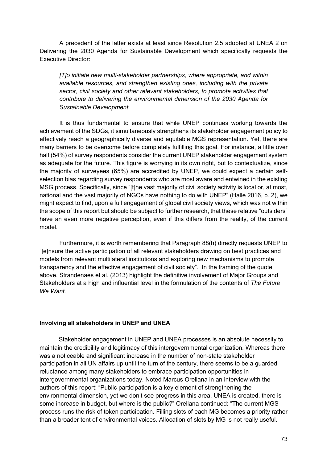A precedent of the latter exists at least since Resolution 2.5 adopted at UNEA 2 on Delivering the 2030 Agenda for Sustainable Development which specifically requests the Executive Director:

*[T]o initiate new multi-stakeholder partnerships, where appropriate, and within available resources, and strengthen existing ones, including with the private sector, civil society and other relevant stakeholders, to promote activities that contribute to delivering the environmental dimension of the 2030 Agenda for Sustainable Development.*

It is thus fundamental to ensure that while UNEP continues working towards the achievement of the SDGs, it simultaneously strengthens its stakeholder engagement policy to effectively reach a geographically diverse and equitable MGS representation. Yet, there are many barriers to be overcome before completely fulfilling this goal. For instance, a little over half (54%) of survey respondents consider the current UNEP stakeholder engagement system as adequate for the future. This figure is worrying in its own right, but to contextualize, since the majority of surveyees (65%) are accredited by UNEP, we could expect a certain selfselection bias regarding survey respondents who are most aware and entwined in the existing MSG process. Specifically, since "[t]he vast majority of civil society activity is local or, at most, national and the vast majority of NGOs have nothing to do with UNEP" (Halle 2016, p. 2), we might expect to find, upon a full engagement of global civil society views, which was not within the scope of this report but should be subject to further research, that these relative "outsiders" have an even more negative perception, even if this differs from the reality, of the current model.

Furthermore, it is worth remembering that Paragraph 88(h) directly requests UNEP to "[e]nsure the active participation of all relevant stakeholders drawing on best practices and models from relevant multilateral institutions and exploring new mechanisms to promote transparency and the effective engagement of civil society". In the framing of the quote above, Strandenaes et al. (2013) highlight the definitive involvement of Major Groups and Stakeholders at a high and influential level in the formulation of the contents of *The Future We Want*.

#### **Involving all stakeholders in UNEP and UNEA**

Stakeholder engagement in UNEP and UNEA processes is an absolute necessity to maintain the credibility and legitimacy of this intergovernmental organization. Whereas there was a noticeable and significant increase in the number of non-state stakeholder participation in all UN affairs up until the turn of the century, there seems to be a guarded reluctance among many stakeholders to embrace participation opportunities in intergovernmental organizations today. Noted Marcus Orellana in an interview with the authors of this report: "Public participation is a key element of strengthening the environmental dimension, yet we don't see progress in this area. UNEA is created, there is some increase in budget, but where is the public?" Orellana continued: "The current MGS process runs the risk of token participation. Filling slots of each MG becomes a priority rather than a broader tent of environmental voices. Allocation of slots by MG is not really useful.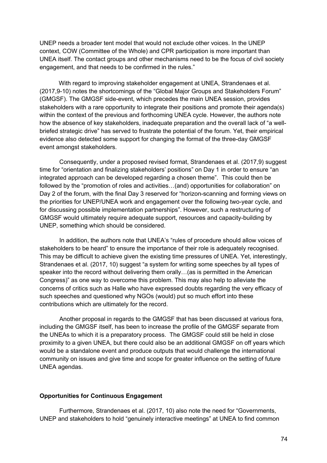UNEP needs a broader tent model that would not exclude other voices. In the UNEP context, COW (Committee of the Whole) and CPR participation is more important than UNEA itself. The contact groups and other mechanisms need to be the focus of civil society engagement, and that needs to be confirmed in the rules."

With regard to improving stakeholder engagement at UNEA, Strandenaes et al. (2017,9-10) notes the shortcomings of the "Global Major Groups and Stakeholders Forum" (GMGSF). The GMGSF side-event, which precedes the main UNEA session, provides stakeholders with a rare opportunity to integrate their positions and promote their agenda(s) within the context of the previous and forthcoming UNEA cycle. However, the authors note how the absence of key stakeholders, inadequate preparation and the overall lack of "a wellbriefed strategic drive" has served to frustrate the potential of the forum. Yet, their empirical evidence also detected some support for changing the format of the three-day GMGSF event amongst stakeholders.

Consequently, under a proposed revised format, Strandenaes et al. (2017,9) suggest time for "orientation and finalizing stakeholders' positions" on Day 1 in order to ensure "an integrated approach can be developed regarding a chosen theme". This could then be followed by the "promotion of roles and activities…(and) opportunities for collaboration" on Day 2 of the forum, with the final Day 3 reserved for "horizon-scanning and forming views on the priorities for UNEP/UNEA work and engagement over the following two-year cycle, and for discussing possible implementation partnerships". However, such a restructuring of GMGSF would ultimately require adequate support, resources and capacity-building by UNEP, something which should be considered.

In addition, the authors note that UNEA's "rules of procedure should allow voices of stakeholders to be heard" to ensure the importance of their role is adequately recognised. This may be difficult to achieve given the existing time pressures of UNEA. Yet, interestingly, Strandenaes et al. (2017, 10) suggest "a system for writing some speeches by all types of speaker into the record without delivering them orally…(as is permitted in the American Congress)" as one way to overcome this problem. This may also help to alleviate the concerns of critics such as Halle who have expressed doubts regarding the very efficacy of such speeches and questioned why NGOs (would) put so much effort into these contributions which are ultimately for the record.

Another proposal in regards to the GMGSF that has been discussed at various fora, including the GMGSF itself, has been to increase the profile of the GMGSF separate from the UNEAs to which it is a preparatory process. The GMGSF could still be held in close proximity to a given UNEA, but there could also be an additional GMGSF on off years which would be a standalone event and produce outputs that would challenge the international community on issues and give time and scope for greater influence on the setting of future UNEA agendas.

### **Opportunities for Continuous Engagement**

Furthermore, Strandenaes et al. (2017, 10) also note the need for "Governments, UNEP and stakeholders to hold "genuinely interactive meetings" at UNEA to find common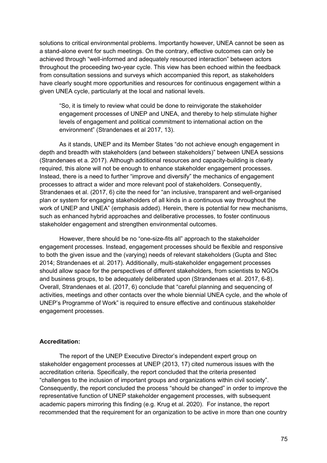solutions to critical environmental problems. Importantly however, UNEA cannot be seen as a stand-alone event for such meetings. On the contrary, effective outcomes can only be achieved through "well-informed and adequately resourced interaction" between actors throughout the proceeding two-year cycle. This view has been echoed within the feedback from consultation sessions and surveys which accompanied this report, as stakeholders have clearly sought more opportunities and resources for continuous engagement within a given UNEA cycle, particularly at the local and national levels.

"So, it is timely to review what could be done to reinvigorate the stakeholder engagement processes of UNEP and UNEA, and thereby to help stimulate higher levels of engagement and political commitment to international action on the environment" (Strandenaes et al 2017, 13).

As it stands, UNEP and its Member States "do not achieve enough engagement in depth and breadth with stakeholders (and between stakeholders)" between UNEA sessions (Strandenaes et a. 2017). Although additional resources and capacity-building is clearly required, this alone will not be enough to enhance stakeholder engagement processes. Instead, there is a need to further "improve and diversify" the mechanics of engagement processes to attract a wider and more relevant pool of stakeholders. Consequently, Strandenaes et al. (2017, 6) cite the need for "an inclusive, transparent and well-organised plan or system for engaging stakeholders of all kinds in a continuous way throughout the work of UNEP and UNEA" (emphasis added). Herein, there is potential for new mechanisms, such as enhanced hybrid approaches and deliberative processes, to foster continuous stakeholder engagement and strengthen environmental outcomes.

However, there should be no "one-size-fits all" approach to the stakeholder engagement processes. Instead, engagement processes should be flexible and responsive to both the given issue and the (varying) needs of relevant stakeholders (Gupta and Stec 2014; Strandenaes et al. 2017). Additionally, multi-stakeholder engagement processes should allow space for the perspectives of different stakeholders, from scientists to NGOs and business groups, to be adequately deliberated upon (Strandenaes et al. 2017, 6-8). Overall, Strandenaes et al. (2017, 6) conclude that "careful planning and sequencing of activities, meetings and other contacts over the whole biennial UNEA cycle, and the whole of UNEP's Programme of Work" is required to ensure effective and continuous stakeholder engagement processes.

# **Accreditation:**

The report of the UNEP Executive Director's independent expert group on stakeholder engagement processes at UNEP (2013, 17) cited numerous issues with the accreditation criteria. Specifically, the report concluded that the criteria presented "challenges to the inclusion of important groups and organizations within civil society". Consequently, the report concluded the process "should be changed" in order to improve the representative function of UNEP stakeholder engagement processes, with subsequent academic papers mirroring this finding (e.g. Krug et al. 2020). For instance, the report recommended that the requirement for an organization to be active in more than one country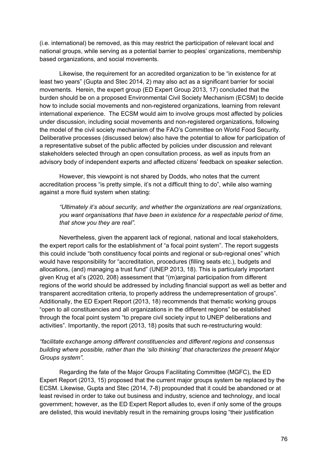(i.e. international) be removed, as this may restrict the participation of relevant local and national groups, while serving as a potential barrier to peoples' organizations, membership based organizations, and social movements.

Likewise, the requirement for an accredited organization to be "in existence for at least two years" (Gupta and Stec 2014, 2) may also act as a significant barrier for social movements. Herein, the expert group (ED Expert Group 2013, 17) concluded that the burden should be on a proposed Environmental Civil Society Mechanism (ECSM) to decide how to include social movements and non-registered organizations, learning from relevant international experience. The ECSM would aim to involve groups most affected by policies under discussion, including social movements and non-registered organizations, following the model of the civil society mechanism of the FAO's Committee on World Food Security. Deliberative processes (discussed below) also have the potential to allow for participation of a representative subset of the public affected by policies under discussion and relevant stakeholders selected through an open consultation process, as well as inputs from an advisory body of independent experts and affected citizens' feedback on speaker selection.

However, this viewpoint is not shared by Dodds, who notes that the current accreditation process "is pretty simple, it's not a difficult thing to do", while also warning against a more fluid system when stating:

*"Ultimately it's about security, and whether the organizations are real organizations, you want organisations that have been in existence for a respectable period of time, that show you they are real".*

Nevertheless, given the apparent lack of regional, national and local stakeholders, the expert report calls for the establishment of "a focal point system". The report suggests this could include "both constituency focal points and regional or sub-regional ones" which would have responsibility for "accreditation, procedures (filling seats etc.), budgets and allocations, (and) managing a trust fund" (UNEP 2013, 18). This is particularly important given Krug et al's (2020, 208) assessment that "(m)arginal participation from different regions of the world should be addressed by including financial support as well as better and transparent accreditation criteria, to properly address the underrepresentation of groups". Additionally, the ED Expert Report (2013, 18) recommends that thematic working groups "open to all constituencies and all organizations in the different regions" be established through the focal point system "to prepare civil society input to UNEP deliberations and activities". Importantly, the report (2013, 18) posits that such re-restructuring would:

# *"facilitate exchange among different constituencies and different regions and consensus building where possible, rather than the 'silo thinking' that characterizes the present Major Groups system".*

Regarding the fate of the Major Groups Facilitating Committee (MGFC), the ED Expert Report (2013, 15) proposed that the current major groups system be replaced by the ECSM. Likewise, Gupta and Stec (2014, 7-8) propounded that it could be abandoned or at least revised in order to take out business and industry, science and technology, and local government; however, as the ED Expert Report alludes to, even if only some of the groups are delisted, this would inevitably result in the remaining groups losing "their justification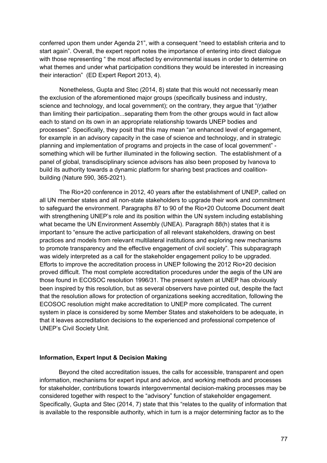conferred upon them under Agenda 21", with a consequent "need to establish criteria and to start again". Overall, the expert report notes the importance of entering into direct dialogue with those representing " the most affected by environmental issues in order to determine on what themes and under what participation conditions they would be interested in increasing their interaction" (ED Expert Report 2013, 4).

Nonetheless, Gupta and Stec (2014, 8) state that this would not necessarily mean the exclusion of the aforementioned major groups (specifically business and industry, science and technology, and local government); on the contrary, they argue that "(r)ather than limiting their participation...separating them from the other groups would in fact allow each to stand on its own in an appropriate relationship towards UNEP bodies and processes''. Specifically, they posit that this may mean "an enhanced level of engagement, for example in an advisory capacity in the case of science and technology, and in strategic planning and implementation of programs and projects in the case of local government" something which will be further illuminated in the following section. The establishment of a panel of global, transdisciplinary science advisors has also been proposed by Ivanova to build its authority towards a dynamic platform for sharing best practices and coalitionbuilding (Nature 590, 365-2021).

The Rio+20 conference in 2012, 40 years after the establishment of UNEP, called on all UN member states and all non-state stakeholders to upgrade their work and commitment to safeguard the environment. Paragraphs 87 to 90 of the Rio+20 Outcome Document dealt with strengthening UNEP's role and its position within the UN system including establishing what became the UN Environment Assembly (UNEA). Paragraph 88(h) states that it is important to "ensure the active participation of all relevant stakeholders, drawing on best practices and models from relevant multilateral institutions and exploring new mechanisms to promote transparency and the effective engagement of civil society". This subparagraph was widely interpreted as a call for the stakeholder engagement policy to be upgraded. Efforts to improve the accreditation process in UNEP following the 2012 Rio+20 decision proved difficult. The most complete accreditation procedures under the aegis of the UN are those found in ECOSOC resolution 1996/31. The present system at UNEP has obviously been inspired by this resolution, but as several observers have pointed out, despite the fact that the resolution allows for protection of organizations seeking accreditation, following the ECOSOC resolution might make accreditation to UNEP more complicated. The current system in place is considered by some Member States and stakeholders to be adequate, in that it leaves accreditation decisions to the experienced and professional competence of UNEP's Civil Society Unit.

#### **Information, Expert Input & Decision Making**

Beyond the cited accreditation issues, the calls for accessible, transparent and open information, mechanisms for expert input and advice, and working methods and processes for stakeholder, contributions towards intergovernmental decision-making processes may be considered together with respect to the "advisory" function of stakeholder engagement. Specifically, Gupta and Stec (2014, 7) state that this "relates to the quality of information that is available to the responsible authority, which in turn is a major determining factor as to the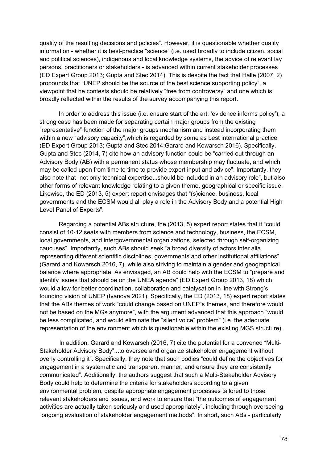quality of the resulting decisions and policies". However, it is questionable whether quality information - whether it is best-practice "science" (i.e. used broadly to include citizen, social and political sciences), indigenous and local knowledge systems, the advice of relevant lay persons, practitioners or stakeholders - is advanced within current stakeholder processes (ED Expert Group 2013; Gupta and Stec 2014). This is despite the fact that Halle (2007, 2) propounds that "UNEP should be the source of the best science supporting policy", a viewpoint that he contests should be relatively "free from controversy" and one which is broadly reflected within the results of the survey accompanying this report.

In order to address this issue (i.e. ensure start of the art: 'evidence informs policy'), a strong case has been made for separating certain major groups from the existing "representative" function of the major groups mechanism and instead incorporating them within a new "advisory capacity", which is regarded by some as best international practice (ED Expert Group 2013; Gupta and Stec 2014;Garard and Kowarsch 2016). Specifically, Gupta and Stec (2014, 7) cite how an advisory function could be "carried out through an Advisory Body (AB) with a permanent status whose membership may fluctuate, and which may be called upon from time to time to provide expert input and advice". Importantly, they also note that "not only technical expertise...should be included in an advisory role", but also other forms of relevant knowledge relating to a given theme, geographical or specific issue. Likewise, the ED (2013, 5) expert report envisages that "(s)cience, business, local governments and the ECSM would all play a role in the Advisory Body and a potential High Level Panel of Experts".

Regarding a potential ABs structure, the (2013, 5) expert report states that it "could consist of 10-12 seats with members from science and technology, business, the ECSM, local governments, and intergovernmental organizations, selected through self-organizing caucuses". Importantly, such ABs should seek "a broad diversity of actors inter alia representing different scientific disciplines, governments and other institutional affiliations" (Garard and Kowarsch 2016, 7), while also striving to maintain a gender and geographical balance where appropriate. As envisaged, an AB could help with the ECSM to "prepare and identify issues that should be on the UNEA agenda" (ED Expert Group 2013, 18) which would allow for better coordination, collaboration and catalysation in line with Strong's founding vision of UNEP (Ivanova 2021). Specifically, the ED (2013, 18) expert report states that the ABs themes of work "could change based on UNEP"s themes, and therefore would not be based on the MGs anymore", with the argument advanced that this approach "would be less complicated, and would eliminate the "silent voice" problem" (i.e. the adequate representation of the environment which is questionable within the existing MGS structure).

In addition, Garard and Kowarsch (2016, 7) cite the potential for a convened "Multi-Stakeholder Advisory Body"...to oversee and organize stakeholder engagement without overly controlling it". Specifically, they note that such bodies "could define the objectives for engagement in a systematic and transparent manner, and ensure they are consistently communicated". Additionally, the authors suggest that such a Multi-Stakeholder Advisory Body could help to determine the criteria for stakeholders according to a given environmental problem, despite appropriate engagement processes tailored to those relevant stakeholders and issues, and work to ensure that "the outcomes of engagement activities are actually taken seriously and used appropriately", including through overseeing "ongoing evaluation of stakeholder engagement methods". In short, such ABs - particularly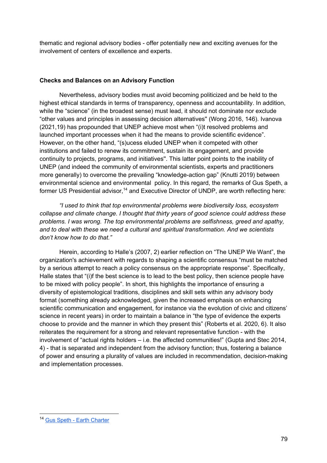thematic and regional advisory bodies - offer potentially new and exciting avenues for the involvement of centers of excellence and experts.

# **Checks and Balances on an Advisory Function**

Nevertheless, advisory bodies must avoid becoming politicized and be held to the highest ethical standards in terms of transparency, openness and accountability. In addition, while the "science" (in the broadest sense) must lead, it should not dominate nor exclude "other values and principles in assessing decision alternatives'' (Wong 2016, 146). Ivanova (2021,19) has propounded that UNEP achieve most when "(i)t resolved problems and launched important processes when it had the means to provide scientific evidence". However, on the other hand, "(s)ucess eluded UNEP when it competed with other institutions and failed to renew its commitment, sustain its engagement, and provide continuity to projects, programs, and initiatives''. This latter point points to the inability of UNEP (and indeed the community of environmental scientists, experts and practitioners more generally) to overcome the prevailing "knowledge-action gap" (Knutti 2019) between environmental science and environmental policy. In this regard, the remarks of Gus Speth, a former US Presidential advisor.<sup>14</sup> and Executive Director of UNDP, are worth reflecting here:

*"I used to think that top environmental problems were biodiversity loss, ecosystem collapse and climate change. I thought that thirty years of good science could address these problems. I was wrong. The top environmental problems are selfishness, greed and apathy, and to deal with these we need a cultural and spiritual transformation. And we scientists don't know how to do that."*

Herein, according to Halle's (2007, 2) earlier reflection on "The UNEP We Want", the organization's achievement with regards to shaping a scientific consensus "must be matched by a serious attempt to reach a policy consensus on the appropriate response". Specifically, Halle states that "(i)f the best science is to lead to the best policy, then science people have to be mixed with policy people". In short, this highlights the importance of ensuring a diversity of epistemological traditions, disciplines and skill sets within any advisory body format (something already acknowledged, given the increased emphasis on enhancing scientific communication and engagement, for instance via the evolution of civic and citizens' science in recent years) in order to maintain a balance in "the type of evidence the experts choose to provide and the manner in which they present this" (Roberts et al. 2020, 6). It also reiterates the requirement for a strong and relevant representative function - with the involvement of "actual rights holders – i.e. the affected communities!" (Gupta and Stec 2014, 4) - that is separated and independent from the advisory function; thus, fostering a balance of power and ensuring a plurality of values are included in recommendation, decision-making and implementation processes.

<sup>14</sup> Gus Speth - Earth Charter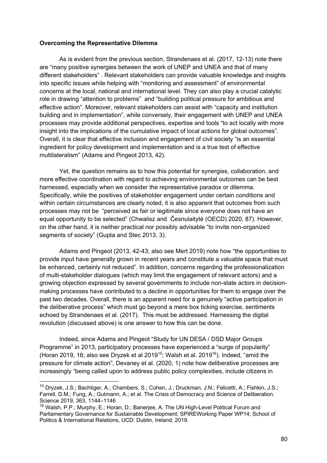### **Overcoming the Representative Dilemma**

As is evident from the previous section, Strandenaes et al. (2017, 12-13) note there are "many positive synergies between the work of UNEP and UNEA and that of many different stakeholders" . Relevant stakeholders can provide valuable knowledge and insights into specific issues while helping with "monitoring and assessment" of environmental concerns at the local, national and international level. They can also play a crucial catalytic role in drawing "attention to problems" and "building political pressure for ambitious and effective action". Moreover, relevant stakeholders can assist with "capacity and institution building and in implementation", while conversely, their engagement with UNEP and UNEA processes may provide additional perspectives, expertise and tools "to act locally with more insight into the implications of the cumulative impact of local actions for global outcomes". Overall, it is clear that effective inclusion and engagement of civil society "is an essential ingredient for policy development and implementation and is a true test of effective multilateralism" (Adams and Pingeot 2013, 42).

Yet, the question remains as to how this potential for synergies, collaboration, and more effective coordination with regard to achieving environmental outcomes can be best harnessed, especially when we consider the representative paradox or dilemma. Specifically, while the positives of stakeholder engagement under certain conditions and within certain circumstances are clearly noted, it is also apparent that outcomes from such processes may not be "perceived as fair or legitimate since everyone does not have an equal opportunity to be selected" (Chwalisz and Česnulaitytė (OECD) 2020, 87). However, on the other hand, it is neither practical nor possibly advisable "to invite non-organized segments of society" (Gupta and Stec 2013, 3).

Adams and Pingeot (2013, 42-43; also see Mert 2019) note how "the opportunities to provide input have generally grown in recent years and constitute a valuable space that must be enhanced, certainly not reduced". In addition, concerns regarding the professionalization of multi-stakeholder dialogues (which may limit the engagement of relevant actors) and a growing objection expressed by several governments to include non-state actors in decisionmaking processes have contributed to a decline in opportunities for them to engage over the past two decades. Overall, there is an apparent need for a genuinely "active participation in the deliberative process" which must go beyond a mere box ticking exercise, sentiments echoed by Strandenaes et al. (2017). This must be addressed. Harnessing the digital revolution (discussed above) is one answer to how this can be done.

Indeed, since Adams and Pingeot "Study for UN DESA / DSD Major Groups Programme" in 2013, participatory processes have experienced a "surge of popularity" (Horan 2019, 16; also see Dryzek et al 2019<sup>15</sup>; Walsh et al. 2019<sup>16</sup>). Indeed, "amid the pressure for climate action", Devaney et al. (2020, 1) note how deliberative processes are increasingly "being called upon to address public policy complexities, include citizens in

<sup>15</sup> Dryzek, J.S.; Bachtiger, A.; Chambers, S.; Cohen, J.; Druckman, J.N.; Felicetti, A.; Fishkin, J.S.; Farrell, D.M.; Fung, A.; Gutmann, A.; et al. The Crisis of Democracy and Science of Deliberation. Science 2019, 363, 1144–1146

<sup>&</sup>lt;sup>16</sup> Walsh, P.P.; Murphy, E.; Horan, D.; Baneriee, A. The UN High-Level Political Forum and Parliamentary Governance for Sustainable Development; SPIREWorking Paper WP14; School of Politics & International Relations, UCD: Dublin, Ireland, 2019.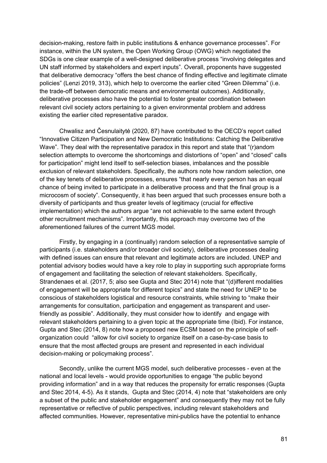decision-making, restore faith in public institutions & enhance governance processes". For instance, within the UN system, the Open Working Group (OWG) which negotiated the SDGs is one clear example of a well-designed deliberative process "involving delegates and UN staff informed by stakeholders and expert inputs". Overall, proponents have suggested that deliberative democracy "offers the best chance of finding effective and legitimate climate policies" (Lenzi 2019, 313), which help to overcome the earlier cited "Green Dilemma" (i.e. the trade-off between democratic means and environmental outcomes). Additionally, deliberative processes also have the potential to foster greater coordination between relevant civil society actors pertaining to a given environmental problem and address existing the earlier cited representative paradox.

Chwalisz and Česnulaitytė (2020, 87) have contributed to the OECD's report called "Innovative Citizen Participation and New Democratic Institutions: Catching the Deliberative Wave". They deal with the representative paradox in this report and state that "(r)andom selection attempts to overcome the shortcomings and distortions of "open" and "closed" calls for participation" might lend itself to self-selection biases, imbalances and the possible exclusion of relevant stakeholders. Specifically, the authors note how random selection, one of the key tenets of deliberative processes, ensures "that nearly every person has an equal chance of being invited to participate in a deliberative process and that the final group is a microcosm of society". Consequently, it has been argued that such processes ensure both a diversity of participants and thus greater levels of legitimacy (crucial for effective implementation) which the authors argue "are not achievable to the same extent through other recruitment mechanisms". Importantly, this approach may overcome two of the aforementioned failures of the current MGS model.

Firstly, by engaging in a (continually) random selection of a representative sample of participants (i.e. stakeholders and/or broader civil society), deliberative processes dealing with defined issues can ensure that relevant and legitimate actors are included. UNEP and potential advisory bodies would have a key role to play in supporting such appropriate forms of engagement and facilitating the selection of relevant stakeholders. Specifically, Strandenaes et al. (2017, 5; also see Gupta and Stec 2014) note that "(d)ifferent modalities of engagement will be appropriate for different topics" and state the need for UNEP to be conscious of stakeholders logistical and resource constraints, while striving to "make their arrangements for consultation, participation and engagement as transparent and userfriendly as possible". Additionally, they must consider how to identify and engage with relevant stakeholders pertaining to a given topic at the appropriate time (Ibid). For instance, Gupta and Stec (2014, 8) note how a proposed new ECSM based on the principle of selforganization could "allow for civil society to organize itself on a case-by-case basis to ensure that the most affected groups are present and represented in each individual decision-making or policymaking process".

Secondly, unlike the current MGS model, such deliberative processes - even at the national and local levels - would provide opportunities to engage "the public beyond providing information" and in a way that reduces the propensity for erratic responses (Gupta and Stec 2014, 4-5). As it stands, Gupta and Stec (2014, 4) note that "stakeholders are only a subset of the public and stakeholder engagement" and consequently they may not be fully representative or reflective of public perspectives, including relevant stakeholders and affected communities. However, representative mini-publics have the potential to enhance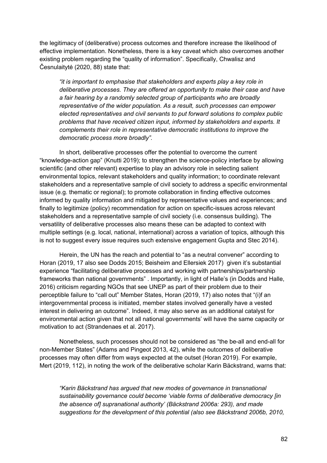the legitimacy of (deliberative) process outcomes and therefore increase the likelihood of effective implementation. Nonetheless, there is a key caveat which also overcomes another existing problem regarding the "quality of information". Specifically, Chwalisz and Česnulaitytė (2020, 88) state that:

*"it is important to emphasise that stakeholders and experts play a key role in deliberative processes. They are offered an opportunity to make their case and have a fair hearing by a randomly selected group of participants who are broadly representative of the wider population. As a result, such processes can empower elected representatives and civil servants to put forward solutions to complex public problems that have received citizen input, informed by stakeholders and experts. It complements their role in representative democratic institutions to improve the democratic process more broadly".*

In short, deliberative processes offer the potential to overcome the current "knowledge-action gap" (Knutti 2019); to strengthen the science-policy interface by allowing scientific (and other relevant) expertise to play an advisory role in selecting salient environmental topics, relevant stakeholders and quality information; to coordinate relevant stakeholders and a representative sample of civil society to address a specific environmental issue (e.g. thematic or regional); to promote collaboration in finding effective outcomes informed by quality information and mitigated by representative values and experiences; and finally to legitimize (policy) recommendation for action on specific-issues across relevant stakeholders and a representative sample of civil society (i.e. consensus building). The versatility of deliberative processes also means these can be adapted to context with multiple settings (e.g. local, national, international) across a variation of topics, although this is not to suggest every issue requires such extensive engagement Gupta and Stec 2014).

Herein, the UN has the reach and potential to "as a neutral convener" according to Horan (2019, 17 also see Dodds 2015; Beisheim and Ellersiek 2017) given it's substantial experience "facilitating deliberative processes and working with partnerships/partnership frameworks than national governments" . Importantly, in light of Halle's (in Dodds and Halle, 2016) criticism regarding NGOs that see UNEP as part of their problem due to their perceptible failure to "call out" Member States, Horan (2019, 17) also notes that "(i)f an intergovernmental process is initiated, member states involved generally have a vested interest in delivering an outcome". Indeed, it may also serve as an additional catalyst for environmental action given that not all national governments' will have the same capacity or motivation to act (Strandenaes et al. 2017).

Nonetheless, such processes should not be considered as "the be-all and end-all for non-Member States" (Adams and Pingeot 2013, 42), while the outcomes of deliberative processes may often differ from ways expected at the outset (Horan 2019). For example, Mert (2019, 112), in noting the work of the deliberative scholar Karin Bäckstrand, warns that:

*"Karin Bäckstrand has argued that new modes of governance in transnational sustainability governance could become 'viable forms of deliberative democracy [in the absence of] supranational authority' (Bäckstrand 2006a: 293), and made suggestions for the development of this potential (also see Bäckstrand 2006b, 2010,*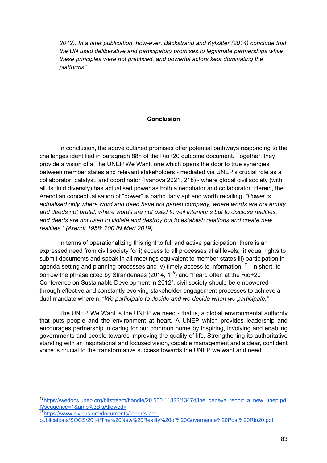*2012). In a later publication, how-ever, Bäckstrand and Kylsäter (2014) conclude that the UN used deliberative and participatory promises to legitimate partnerships while these principles were not practiced, and powerful actors kept dominating the platforms".*

### **Conclusion**

In conclusion, the above outlined promises offer potential pathways responding to the challenges identified in paragraph 88h of the Rio+20 outcome document. Together, they provide a vision of a The UNEP We Want, one which opens the door to true synergies between member states and relevant stakeholders - mediated via UNEP's crucial role as a collaborator, catalyst, and coordinator (Ivanova 2021, 218) - where global civil society (with all its fluid diversity) has actualised power as both a negotiator and collaborator. Herein, the Arendtian conceptualisation of "power" is particularly apt and worth recalling: *"Power is actualised only where word and deed have not parted company, where words are not empty and deeds not brutal, where words are not used to veil intentions but to disclose realities, and deeds are not used to violate and destroy but to establish relations and create new realities." (Arendt 1958: 200 IN Mert 2019)*

In terms of operationalizing this right to full and active participation, there is an expressed need from civil society for i) access to all processes at all levels; ii) equal rights to submit documents and speak in all meetings equivalent to member states iii) participation in agenda-setting and planning processes and iv) timely access to information.<sup>17</sup> In short, to borrow the phrase cited by Strandenaes (2014, 1<sup>18</sup>) and "heard often at the Rio+20 Conference on Sustainable Development in 2012", civil society should be empowered through effective and constantly evolving stakeholder engagement processes to achieve a dual mandate wherein: "*We participate to decide and we decide when we participate."* 

The UNEP We Want is the UNEP we need - that is, a global environmental authority that puts people and the environment at heart. A UNEP which provides leadership and encourages partnership in caring for our common home by inspiring, involving and enabling governments and people towards improving the quality of life. Strengthening its authoritative standing with an inspirational and focused vision, capable management and a clear, confident voice is crucial to the transformative success towards the UNEP we want and need.

<sup>&</sup>lt;sup>17</sup>https://wedocs.unep.org/bitstream/handle/20.500.11822/13474/the\_geneva\_report\_a\_new\_unep.pd f?sequence=1&amp%3BisAllowed=

<sup>18</sup>https://www.civicus.org/documents/reports-andpublications/SOCS/2014/The%20New%20Reality%20of%20Governance%20Post%20Rio20.pdf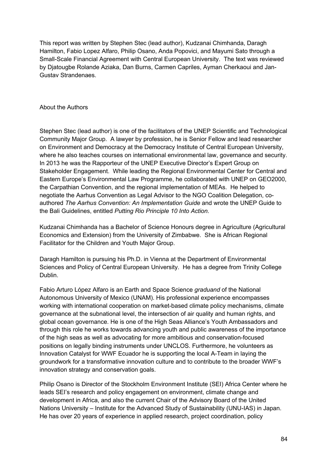This report was written by Stephen Stec (lead author), Kudzanai Chimhanda, Daragh Hamilton, Fabio Lopez Alfaro, Philip Osano, Anda Popovici, and Mayumi Sato through a Small-Scale Financial Agreement with Central European University. The text was reviewed by Djatougbe Rolande Aziaka, Dan Burns, Carmen Capriles, Ayman Cherkaoui and Jan-Gustav Strandenaes.

## About the Authors

Stephen Stec (lead author) is one of the facilitators of the UNEP Scientific and Technological Community Major Group. A lawyer by profession, he is Senior Fellow and lead researcher on Environment and Democracy at the Democracy Institute of Central European University, where he also teaches courses on international environmental law, governance and security. In 2013 he was the Rapporteur of the UNEP Executive Director's Expert Group on Stakeholder Engagement. While leading the Regional Environmental Center for Central and Eastern Europe's Environmental Law Programme, he collaborated with UNEP on GEO2000, the Carpathian Convention, and the regional implementation of MEAs. He helped to negotiate the Aarhus Convention as Legal Advisor to the NGO Coalition Delegation, coauthored *The Aarhus Convention: An Implementation Guide* and wrote the UNEP Guide to the Bali Guidelines, entitled *Putting Rio Principle 10 Into Action*.

Kudzanai Chimhanda has a Bachelor of Science Honours degree in Agriculture (Agricultural Economics and Extension) from the University of Zimbabwe. She is African Regional Facilitator for the Children and Youth Major Group.

Daragh Hamilton is pursuing his Ph.D. in Vienna at the Department of Environmental Sciences and Policy of Central European University. He has a degree from Trinity College Dublin.

Fabio Arturo López Alfaro is an Earth and Space Science *graduand* of the National Autonomous University of Mexico (UNAM). His professional experience encompasses working with international cooperation on market-based climate policy mechanisms, climate governance at the subnational level, the intersection of air quality and human rights, and global ocean governance. He is one of the High Seas Alliance's Youth Ambassadors and through this role he works towards advancing youth and public awareness of the importance of the high seas as well as advocating for more ambitious and conservation-focused positions on legally binding instruments under UNCLOS. Furthermore, he volunteers as Innovation Catalyst for WWF Ecuador he is supporting the local A-Team in laying the groundwork for a transformative innovation culture and to contribute to the broader WWF's innovation strategy and conservation goals.

Philip Osano is Director of the Stockholm Environment Institute (SEI) Africa Center where he leads SEI's research and policy engagement on environment, climate change and development in Africa, and also the current Chair of the Advisory Board of the United Nations University – Institute for the Advanced Study of Sustainability (UNU-IAS) in Japan. He has over 20 years of experience in applied research, project coordination, policy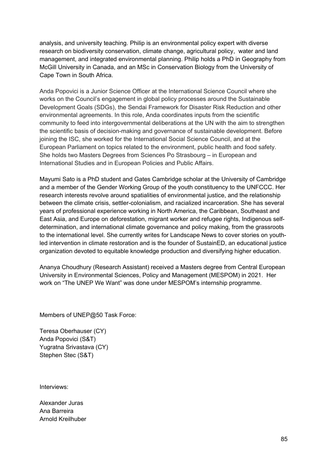analysis, and university teaching. Philip is an environmental policy expert with diverse research on biodiversity conservation, climate change, agricultural policy, water and land management, and integrated environmental planning. Philip holds a PhD in Geography from McGill University in Canada, and an MSc in Conservation Biology from the University of Cape Town in South Africa.

Anda Popovici is a Junior Science Officer at the International Science Council where she works on the Council's engagement in global policy processes around the Sustainable Development Goals (SDGs), the Sendai Framework for Disaster Risk Reduction and other environmental agreements. In this role, Anda coordinates inputs from the scientific community to feed into intergovernmental deliberations at the UN with the aim to strengthen the scientific basis of decision-making and governance of sustainable development. Before joining the ISC, she worked for the International Social Science Council, and at the European Parliament on topics related to the environment, public health and food safety. She holds two Masters Degrees from Sciences Po Strasbourg – in European and International Studies and in European Policies and Public Affairs.

Mayumi Sato is a PhD student and Gates Cambridge scholar at the University of Cambridge and a member of the Gender Working Group of the youth constituency to the UNFCCC. Her research interests revolve around spatialities of environmental justice, and the relationship between the climate crisis, settler-colonialism, and racialized incarceration. She has several years of professional experience working in North America, the Caribbean, Southeast and East Asia, and Europe on deforestation, migrant worker and refugee rights, Indigenous selfdetermination, and international climate governance and policy making, from the grassroots to the international level. She currently writes for Landscape News to cover stories on youthled intervention in climate restoration and is the founder of SustainED, an educational justice organization devoted to equitable knowledge production and diversifying higher education.

Ananya Choudhury (Research Assistant) received a Masters degree from Central European University in Environmental Sciences, Policy and Management (MESPOM) in 2021. Her work on "The UNEP We Want" was done under MESPOM's internship programme.

Members of UNEP@50 Task Force:

Teresa Oberhauser (CY) Anda Popovici (S&T) Yugratna Srivastava (CY) Stephen Stec (S&T)

Interviews:

Alexander Juras Ana Barreira Arnold Kreilhuber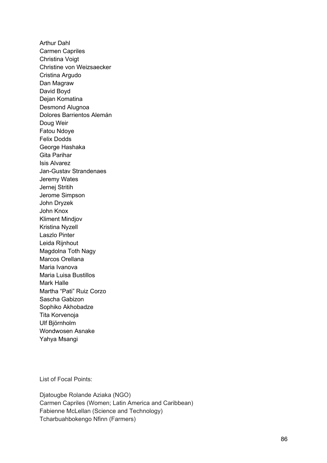Arthur Dahl Carmen Capriles Christina Voigt Christine von Weizsaecker Cristina Argudo Dan Magraw David Boyd Dejan Komatina Desmond Alugnoa Dolores Barrientos Alemán Doug Weir Fatou Ndoye Felix Dodds George Hashaka Gita Parihar Isis Alvarez Jan-Gustav Strandenaes Jeremy Wates Jernej Stritih Jerome Simpson John Dryzek John Knox Kliment Mindjov Kristina Nyzell Laszlo Pinter Leida Rijnhout Magdolna Toth Nagy Marcos Orellana Maria Ivanova Maria Luisa Bustillos Mark Halle Martha "Pati" Ruiz Corzo Sascha Gabizon Sophiko Akhobadze Tita Korvenoja Ulf Björnholm Wondwosen Asnake Yahya Msangi

List of Focal Points:

Djatougbe Rolande Aziaka (NGO) Carmen Capriles (Women; Latin America and Caribbean) Fabienne McLellan (Science and Technology) Tcharbuahbokengo Nfinn (Farmers)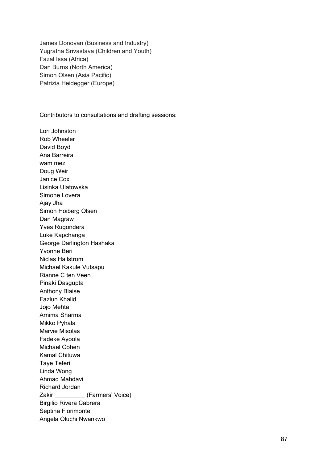James Donovan (Business and Industry) Yugratna Srivastava (Children and Youth) Fazal Issa (Africa) Dan Burns (North America) Simon Olsen (Asia Pacific) Patrizia Heidegger (Europe)

Contributors to consultations and drafting sessions:

Lori Johnston Rob Wheeler David Boyd Ana Barreira wam mez Doug Weir Janice Cox Lisinka Ulatowska Simone Lovera Ajay Jha Simon Hoiberg Olsen Dan Magraw Yves Rugondera Luke Kapchanga George Darlington Hashaka Yvonne Beri Niclas Hallstrom Michael Kakule Vutsapu Rianne C ten Veen Pinaki Dasgupta Anthony Blaise Fazlun Khalid Jojo Mehta Arnima Sharma Mikko Pyhala Marvie Misolas Fadeke Ayoola Michael Cohen Kamal Chituwa Taye Teferi Linda Wong Ahmad Mahdavi Richard Jordan Zakir (Farmers' Voice) Birgilio Rivera Cabrera Septina Florimonte Angela Oluchi Nwankwo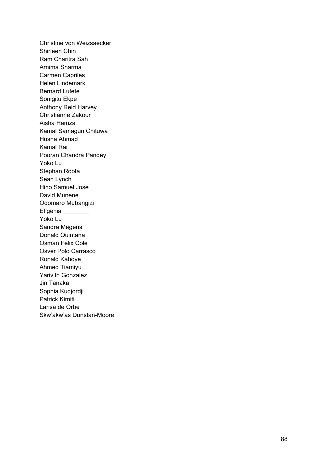Christine von Weizsaecker Shirleen Chin Ram Charitra Sah Arnima Sharma Carmen Capriles Helen Lindemark Bernard Lutete Sonigitu Ekpe Anthony Reid Harvey Christianne Zakour Aisha Hamza Kamal Samagun Chituwa Husna Ahmad Kamal Rai Pooran Chandra Pandey Yoko Lu Stephan Roota Sean Lynch Hino Samuel Jose David Munene Odomaro Mubangizi Efigenia \_\_\_\_\_\_\_\_ Yoko Lu Sandra Megens Donald Quintana Osman Felix Cole Osver Polo Carrasco Ronald Kaboye Ahmed Tiamiyu Yarivith Gonzalez Jin Tanaka Sophia Kudjordji Patrick Kimiti Larisa de Orbe Skw'akw'as Dunstan -Moore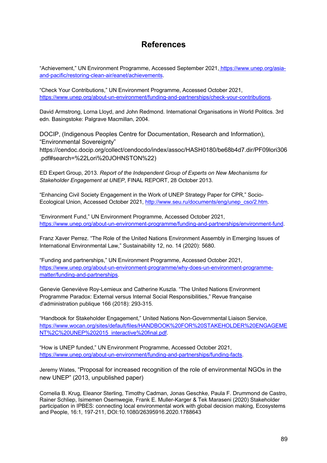# **References**

"Achievement," UN Environment Programme, Accessed September 2021, https://www.unep.org/asiaand-pacific/restoring-clean-air/eanet/achievements.

"Check Your Contributions," UN Environment Programme, Accessed October 2021, https://www.unep.org/about-un-environment/funding-and-partnerships/check-your-contributions.

David Armstrong, Lorna Lloyd, and John Redmond. International Organisations in World Politics. 3rd edn. Basingstoke: Palgrave Macmillan, 2004.

DOCIP, (Indigenous Peoples Centre for Documentation, Research and Information), "Environmental Sovereignty" https://cendoc.docip.org/collect/cendocdo/index/assoc/HASH0180/be68b4d7.dir/PF09lori306 .pdf#search=%22Lori%20JOHNSTON%22)

ED Expert Group, 2013. *Report of the Independent Group of Experts on New Mechanisms for Stakeholder Engagement at UNEP*, FINAL REPORT, 28 October 2013.

"Enhancing Civil Society Engagement in the Work of UNEP Strategy Paper for CPR," Socio-Ecological Union, Accessed October 2021, http://www.seu.ru/documents/eng/unep\_cso/2.htm.

"Environment Fund," UN Environment Programme, Accessed October 2021, https://www.unep.org/about-un-environment-programme/funding-and-partnerships/environment-fund.

Franz Xaver Perrez. "The Role of the United Nations Environment Assembly in Emerging Issues of International Environmental Law," Sustainability 12, no. 14 (2020): 5680.

"Funding and partnerships," UN Environment Programme, Accessed October 2021, https://www.unep.org/about-un-environment-programme/why-does-un-environment-programmematter/funding-and-partnerships.

Genevie Geneviève Roy-Lemieux and Catherine Kuszla. "The United Nations Environment Programme Paradox: External versus Internal Social Responsibilities," Revue française d'administration publique 166 (2018): 293-315.

"Handbook for Stakeholder Engagement," United Nations Non-Governmental Liaison Service, https://www.wocan.org/sites/default/files/HANDBOOK%20FOR%20STAKEHOLDER%20ENGAGEME NT%2C%20UNEP%202015\_interactive%20final.pdf.

"How is UNEP funded," UN Environment Programme, Accessed October 2021, https://www.unep.org/about-un-environment/funding-and-partnerships/funding-facts.

Jeremy Wates, "Proposal for increased recognition of the role of environmental NGOs in the new UNEP" (2013, unpublished paper)

Cornelia B. Krug, Eleanor Sterling, Timothy Cadman, Jonas Geschke, Paula F. Drummond de Castro, Rainer Schliep, Isimemen Osemwegie, Frank E. Muller-Karger & Tek Maraseni (2020) Stakeholder participation in IPBES: connecting local environmental work with global decision making, Ecosystems and People, 16:1, 197-211, DOI:10.1080/26395916.2020.1788643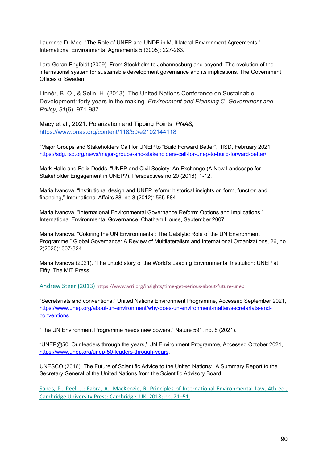Laurence D. Mee. "The Role of UNEP and UNDP in Multilateral Environment Agreements," International Environmental Agreements 5 (2005): 227-263.

Lars-Goran Engfeldt (2009). From Stockholm to Johannesburg and beyond; The evolution of the international system for sustainable development governance and its implications. The Government Offices of Sweden.

Linnér, B. O., & Selin, H. (2013). The United Nations Conference on Sustainable Development: forty years in the making. *Environment and Planning C: Government and Policy*, *31*(6), 971-987.

Macy et al., 2021. Polarization and Tipping Points, *PNAS,*  https://www.pnas.org/content/118/50/e2102144118

"Major Groups and Stakeholders Call for UNEP to "Build Forward Better"," IISD, February 2021, https://sdg.iisd.org/news/major-groups-and-stakeholders-call-for-unep-to-build-forward-better/.

Mark Halle and Felix Dodds, "UNEP and Civil Society: An Exchange (A New Landscape for Stakeholder Engagement in UNEP?), Perspectives no.20 (2016), 1-12.

Maria Ivanova. "Institutional design and UNEP reform: historical insights on form, function and financing," International Affairs 88, no.3 (2012): 565-584.

Maria Ivanova. "International Environmental Governance Reform: Options and Implications," International Environmental Governance, Chatham House, September 2007.

Maria Ivanova. "Coloring the UN Environmental: The Catalytic Role of the UN Environment Programme," Global Governance: A Review of Multilateralism and International Organizations, 26, no. 2(2020): 307-324.

Maria Ivanova (2021). "The untold story of the World's Leading Environmental Institution: UNEP at Fifty. The MIT Press.

Andrew Steer (2013) https://www.wri.org/insights/time-get-serious-about-future-unep

"Secretariats and conventions," United Nations Environment Programme, Accessed September 2021, https://www.unep.org/about-un-environment/why-does-un-environment-matter/secretariats-andconventions.

"The UN Environment Programme needs new powers," Nature 591, no. 8 (2021).

"UNEP@50: Our leaders through the years," UN Environment Programme, Accessed October 2021, https://www.unep.org/unep-50-leaders-through-years.

UNESCO (2016). The Future of Scientific Advice to the United Nations: A Summary Report to the Secretary General of the United Nations from the Scientific Advisory Board.

Sands, P.; Peel, J.; Fabra, A.; MacKenzie, R. Principles of International Environmental Law, 4th ed.; Cambridge University Press: Cambridge, UK, 2018; pp. 21–51.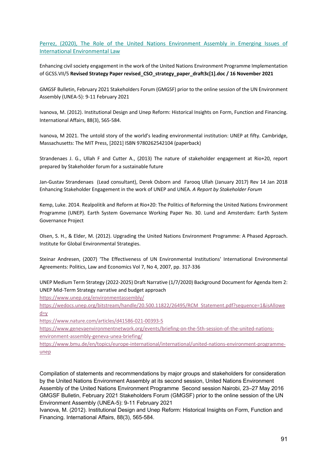Perrez, (2020), The Role of the United Nations Environment Assembly in Emerging Issues of International Environmental Law

Enhancing civil society engagement in the work of the United Nations Environment Programme Implementation of GCSS.VII/5 **Revised Strategy Paper revised\_CSO\_strategy\_paper\_draft3c[1].doc / 16 November 2021**

GMGSF Bulletin, February 2021 Stakeholders Forum (GMGSF) prior to the online session of the UN Environment Assembly (UNEA-5): 9-11 February 2021

Ivanova, M. (2012). Institutional Design and Unep Reform: Historical Insights on Form, Function and Financing. International Affairs, 88(3), 565-584.

Ivanova, M 2021. The untold story of the world's leading environmental institution: UNEP at fifty. Cambridge, Massachusetts: The MIT Press, [2021] ISBN 9780262542104 (paperback)

Strandenaes J. G., Ullah F and Cutter A., (2013) The nature of stakeholder engagement at Rio+20, report prepared by Stakeholder forum for a sustainable future

Jan-Gustav Strandenaes (Lead consultant), Derek Osborn and Farooq Ullah (January 2017) Rev 14 Jan 2018 Enhancing Stakeholder Engagement in the work of UNEP and UNEA. *A Report by Stakeholder Forum*

Kemp, Luke. 2014. Realpolitik and Reform at Rio+20: The Politics of Reforming the United Nations Environment Programme (UNEP). Earth System Governance Working Paper No. 30. Lund and Amsterdam: Earth System Governance Project

Olsen, S. H., & Elder, M. (2012). Upgrading the United Nations Environment Programme: A Phased Approach. Institute for Global Environmental Strategies.

Steinar Andresen, (2007) 'The Effectiveness of UN Environmental Institutions' International Environmental Agreements: Politics, Law and Economics Vol 7, No 4, 2007, pp. 317-336

UNEP Medium Term Strategy (2022-2025) Draft Narrative (1/7/2020) Background Document for Agenda Item 2: UNEP Mid-Term Strategy narrative and budget approach

https://www.unep.org/environmentassembly/

https://wedocs.unep.org/bitstream/handle/20.500.11822/26495/RCM\_Statement.pdf?sequence=1&isAllowe  $d=v$ 

https://www.nature.com/articles/d41586-021-00393-5

https://www.genevaenvironmentnetwork.org/events/briefing-on-the-5th-session-of-the-united-nationsenvironment-assembly-geneva-unea-briefing/

https://www.bmu.de/en/topics/europe-international/international/united-nations-environment-programmeunep

Compilation of statements and recommendations by major groups and stakeholders for consideration by the United Nations Environment Assembly at its second session, United Nations Environment Assembly of the United Nations Environment Programme Second session Nairobi, 23–27 May 2016 GMGSF Bulletin, February 2021 Stakeholders Forum (GMGSF) prior to the online session of the UN Environment Assembly (UNEA-5): 9-11 February 2021

Ivanova, M. (2012). Institutional Design and Unep Reform: Historical Insights on Form, Function and Financing. International Affairs, 88(3), 565-584.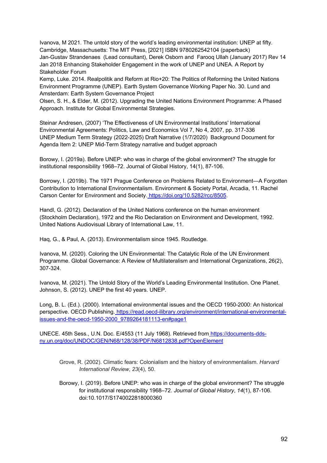Ivanova, M 2021. The untold story of the world's leading environmental institution: UNEP at fifty. Cambridge, Massachusetts: The MIT Press, [2021] ISBN 9780262542104 (paperback) Jan-Gustav Strandenaes (Lead consultant), Derek Osborn and Farooq Ullah (January 2017) Rev 14 Jan 2018 Enhancing Stakeholder Engagement in the work of UNEP and UNEA. A Report by Stakeholder Forum

Kemp, Luke. 2014. Realpolitik and Reform at Rio+20: The Politics of Reforming the United Nations Environment Programme (UNEP). Earth System Governance Working Paper No. 30. Lund and Amsterdam: Earth System Governance Project

Olsen, S. H., & Elder, M. (2012). Upgrading the United Nations Environment Programme: A Phased Approach. Institute for Global Environmental Strategies.

Steinar Andresen, (2007) 'The Effectiveness of UN Environmental Institutions' International Environmental Agreements: Politics, Law and Economics Vol 7, No 4, 2007, pp. 317-336 UNEP Medium Term Strategy (2022-2025) Draft Narrative (1/7/2020) Background Document for Agenda Item 2: UNEP Mid-Term Strategy narrative and budget approach

Borowy, I. (2019a). Before UNEP: who was in charge of the global environment? The struggle for institutional responsibility 1968–72. Journal of Global History, 14(1), 87-106.

Borrowy, I. (2019b). The 1971 Prague Conference on Problems Related to Environment—A Forgotten Contribution to International Environmentalism. Environment & Society Portal, Arcadia, 11. Rachel Carson Center for Environment and Society. https://doi.org/10.5282/rcc/8505.

Handl, G. (2012). Declaration of the United Nations conference on the human environment (Stockholm Declaration), 1972 and the Rio Declaration on Environment and Development, 1992. United Nations Audiovisual Library of International Law, 11.

Haq, G., & Paul, A. (2013). Environmentalism since 1945. Routledge.

Ivanova, M. (2020). Coloring the UN Environmental: The Catalytic Role of the UN Environment Programme. Global Governance: A Review of Multilateralism and International Organizations, 26(2), 307-324.

Ivanova, M. (2021). The Untold Story of the World's Leading Environmental Institution. One Planet. Johnson, S. (2012). UNEP the first 40 years. UNEP.

Long, B. L. (Ed.). (2000). International environmental issues and the OECD 1950-2000: An historical perspective. OECD Publishing. https://read.oecd-ilibrary.org/environment/international-environmentalissues-and-the-oecd-1950-2000\_9789264181113-en#page1

UNECE. 45th Sess., U.N. Doc. E/4553 (11 July 1968). Retrieved from https://documents-ddsny.un.org/doc/UNDOC/GEN/N68/128/38/PDF/N6812838.pdf?OpenElement

- Grove, R. (2002). Climatic fears: Colonialism and the history of environmentalism. *Harvard International Review*, *23*(4), 50.
- Borowy, I. (2019). Before UNEP: who was in charge of the global environment? The struggle for institutional responsibility 1968–72. *Journal of Global History*, *14*(1), 87-106. doi:10.1017/S1740022818000360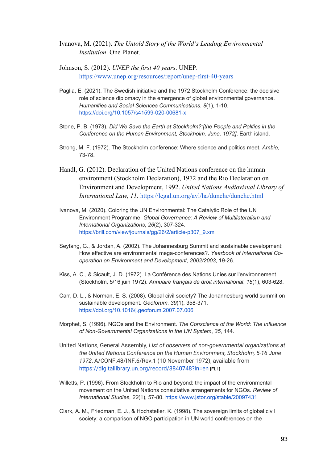Ivanova, M. (2021). *The Untold Story of the World's Leading Environmental Institution*. One Planet.

- Johnson, S. (2012). *UNEP the first 40 years*. UNEP. https://www.unep.org/resources/report/unep-first-40-years
- Paglia, E. (2021). The Swedish initiative and the 1972 Stockholm Conference: the decisive role of science diplomacy in the emergence of global environmental governance. *Humanities and Social Sciences Communications*, *8*(1), 1-10. https://doi.org/10.1057/s41599-020-00681-x
- Stone, P. B. (1973). *Did We Save the Earth at Stockholm?:[the People and Politics in the Conference on the Human Environment, Stockholm, June, 1972]*. Earth island.
- Strong, M. F. (1972). The Stockholm conference: Where science and politics meet. *Ambio*, 73-78.
- Handl, G. (2012). Declaration of the United Nations conference on the human environment (Stockholm Declaration), 1972 and the Rio Declaration on Environment and Development, 1992. *United Nations Audiovisual Library of International Law*, *11*. https://legal.un.org/avl/ha/dunche/dunche.html
- Ivanova, M. (2020). Coloring the UN Environmental: The Catalytic Role of the UN Environment Programme. *Global Governance: A Review of Multilateralism and International Organizations*, *26*(2), 307-324. https://brill.com/view/journals/gg/26/2/article-p307\_9.xml
- Seyfang, G., & Jordan, A. (2002). The Johannesburg Summit and sustainable development: How effective are environmental mega-conferences?. *Yearbook of International Cooperation on Environment and Development, 2002/2003*, 19-26.
- Kiss, A. C., & Sicault, J. D. (1972). La Conférence des Nations Unies sur l'environnement (Stockholm, 5/16 juin 1972). *Annuaire français de droit international*, *18*(1), 603-628.
- Carr, D. L., & Norman, E. S. (2008). Global civil society? The Johannesburg world summit on sustainable development. *Geoforum*, *39*(1), 358-371. https://doi.org/10.1016/j.geoforum.2007.07.006
- Morphet, S. (1996). NGOs and the Environment. *The Conscience of the World: The Influence of Non-Governmental Organizations in the UN System*, *35*, 144.
- United Nations, General Assembly, *List of observers of non-governmental organizations at the United Nations Conference on the Human Environment, Stockholm, 5-16 June 1972*, A/CONF.48/INF.6/Rev.1 (10 November 1972), available from https://digitallibrary.un.org/record/3840748?ln=en [FL1]
- Willetts, P. (1996). From Stockholm to Rio and beyond: the impact of the environmental movement on the United Nations consultative arrangements for NGOs. *Review of International Studies*, *22*(1), 57-80. https://www.jstor.org/stable/20097431
- Clark, A. M., Friedman, E. J., & Hochstetler, K. (1998). The sovereign limits of global civil society: a comparison of NGO participation in UN world conferences on the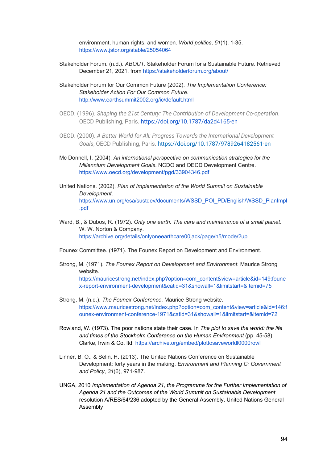environment, human rights, and women. *World politics*, *51*(1), 1-35. https://www.jstor.org/stable/25054064

- Stakeholder Forum. (n.d.). *ABOUT*. Stakeholder Forum for a Sustainable Future. Retrieved December 21, 2021, from https://stakeholderforum.org/about/
- Stakeholder Forum for Our Common Future (2002). *The Implementation Conference: Stakeholder Action For Our Common Future*. http://www.earthsummit2002.org/ic/default.html
- OECD. (1996). *Shaping the 21st Century: The Contribution of Development Co-operation*. OECD Publishing, Paris. https://doi.org/10.1787/da2d4165-en
- OECD. (2000). *A Better World for All: Progress Towards the International Development Goals*, OECD Publishing, Paris. https://doi.org/10.1787/9789264182561-en
- Mc Donnell, I. (2004). *An international perspective on communication strategies for the Millennium Development Goals*. NCDO and OECD Development Centre. https://www.oecd.org/development/pgd/33904346.pdf
- United Nations. (2002). *Plan of Implementation of the World Summit on Sustainable Development*. https://www.un.org/esa/sustdev/documents/WSSD\_POI\_PD/English/WSSD\_PlanImpl .pdf
- Ward, B., & Dubos, R. (1972). *Only one earth. The care and maintenance of a small planet*. W. W. Norton & Company. https://archive.org/details/onlyoneearthcare00jack/page/n5/mode/2up
- Founex Committee. (1971). The Founex Report on Development and Environment.
- Strong, M. (1971). *The Founex Report on Development and Environment*. Maurice Strong website. https://mauricestrong.net/index.php?option=com\_content&view=article&id=149:foune x-report-environment-development&catid=31&showall=1&limitstart=&Itemid=75
- Strong, M. (n.d.). *The Founex Conference*. Maurice Strong website. https://www.mauricestrong.net/index.php?option=com\_content&view=article&id=146:f ounex-environment-conference-1971&catid=31&showall=1&limitstart=&Itemid=72
- Rowland, W. (1973). The poor nations state their case. In *The plot to save the world: the life and times of the Stockholm Conference on the Human Environment* (pp. 45-58). Clarke, Irwin & Co. ltd. https://archive.org/embed/plottosaveworldl0000rowl
- Linnér, B. O., & Selin, H. (2013). The United Nations Conference on Sustainable Development: forty years in the making. *Environment and Planning C: Government and Policy*, *31*(6), 971-987.
- UNGA, 2010 *Implementation of Agenda 21, the Programme for the Further Implementation of Agenda 21 and the Outcomes of the World Summit on Sustainable Development* resolution A/RES/64/236 adopted by the General Assembly, United Nations General Assembly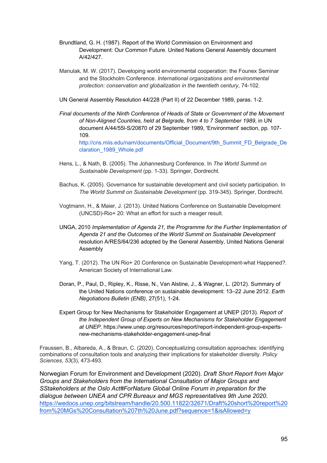- Brundtland, G. H. (1987). Report of the World Commission on Environment and Development: Our Common Future. United Nations General Assembly document A/42/427.
- Manulak, M. W. (2017). Developing world environmental cooperation: the Founex Seminar and the Stockholm Conference. *International organizations and environmental protection: conservation and globalization in the twentieth century*, 74-102.
- UN General Assembly Resolution 44/228 (Part II) of 22 December 1989, paras. 1-2.
- *Final documents of the Ninth Conference of Heads of State or Government of the Movement of Non-Aligned Countries, held at Belgrade, from 4 to 7 September 1989*, in UN document A/44/55l-S/20870 of 29 September 1989, 'Environment' section, pp. 107- 109.

http://cns.miis.edu/nam/documents/Official\_Document/9th\_Summit\_FD\_Belgrade\_De claration\_1989\_Whole.pdf

- Hens, L., & Nath, B. (2005). The Johannesburg Conference. In *The World Summit on Sustainable Development* (pp. 1-33). Springer, Dordrecht.
- Bachus, K. (2005). Governance for sustainable development and civil society participation. In *The World Summit on Sustainable Development* (pp. 319-345). Springer, Dordrecht.
- Vogtmann, H., & Maier, J. (2013). United Nations Conference on Sustainable Development (UNCSD)-Rio+ 20: What an effort for such a meager result.
- UNGA, 2010 *Implementation of Agenda 21, the Programme for the Further Implementation of Agenda 21 and the Outcomes of the World Summit on Sustainable Development* resolution A/RES/64/236 adopted by the General Assembly, United Nations General Assembly
- Yang, T. (2012). The UN Rio+ 20 Conference on Sustainable Development-what Happened?. American Society of International Law.
- Doran, P., Paul, D., Ripley, K., Risse, N., Van Alstine, J., & Wagner, L. (2012). Summary of the United Nations conference on sustainable development: 13–22 June 2012. *Earth Negotiations Bulletin (ENB)*, 27(51), 1-24.
- Expert Group for New Mechanisms for Stakeholder Engagement at UNEP (2013). *Report of the Independent Group of Experts on New Mechanisms for Stakeholder Engagement at UNEP*. https://www.unep.org/resources/report/report-independent-group-expertsnew-mechanisms-stakeholder-engagement-unep-final

Fraussen, B., Albareda, A., & Braun, C. (2020). Conceptualizing consultation approaches: identifying combinations of consultation tools and analyzing their implications for stakeholder diversity. *Policy Sciences*, *53*(3), 473-493.

Norwegian Forum for Environment and Development (2020). *Draft Short Report from Major Groups and Stakeholders from the International Consultation of Major Groups and SStakeholders at the Oslo Act#ForNature Global Online Forum in preparation for the dialogue between UNEA and CPR Bureaux and MGS representatives 9th June 2020*. https://wedocs.unep.org/bitstream/handle/20.500.11822/32671/Draft%20short%20report%20 from%20MGs%20Consultation%207th%20June.pdf?sequence=1&isAllowed=y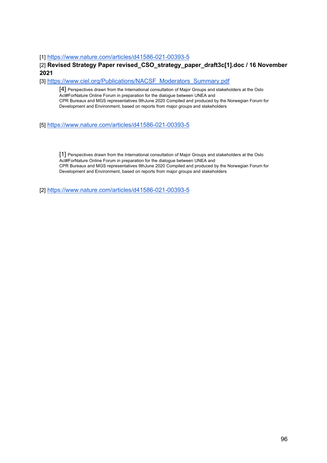[1] https://www.nature.com/articles/d41586-021-00393-5

### [2] Revised Strategy Paper revised CSO strategy paper draft3c[1].doc / 16 November **2021**

[3] https://www.ciel.org/Publications/NACSF\_Moderators\_Summary.pdf

[4] Perspectives drawn from the International consultation of Major Groups and stakeholders at the Oslo Act#ForNature Online Forum in preparation for the dialogue between UNEA and CPR Bureaux and MGS representatives 9thJune 2020 Compiled and produced by the Norwegian Forum for Development and Environment, based on reports from major groups and stakeholders

#### [5] https://www.nature.com/articles/d41586-021-00393-5

[1] Perspectives drawn from the International consultation of Major Groups and stakeholders at the Oslo Act#ForNature Online Forum in preparation for the dialogue between UNEA and CPR Bureaux and MGS representatives 9thJune 2020 Compiled and produced by the Norwegian Forum for Development and Environment, based on reports from major groups and stakeholders

[2] https://www.nature.com/articles/d41586-021-00393-5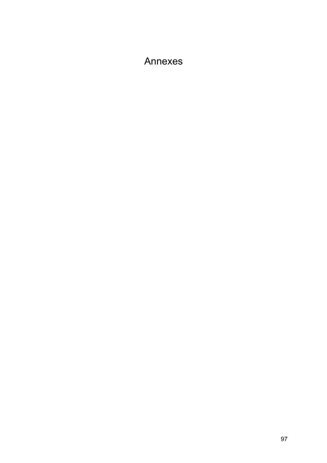# Annexes